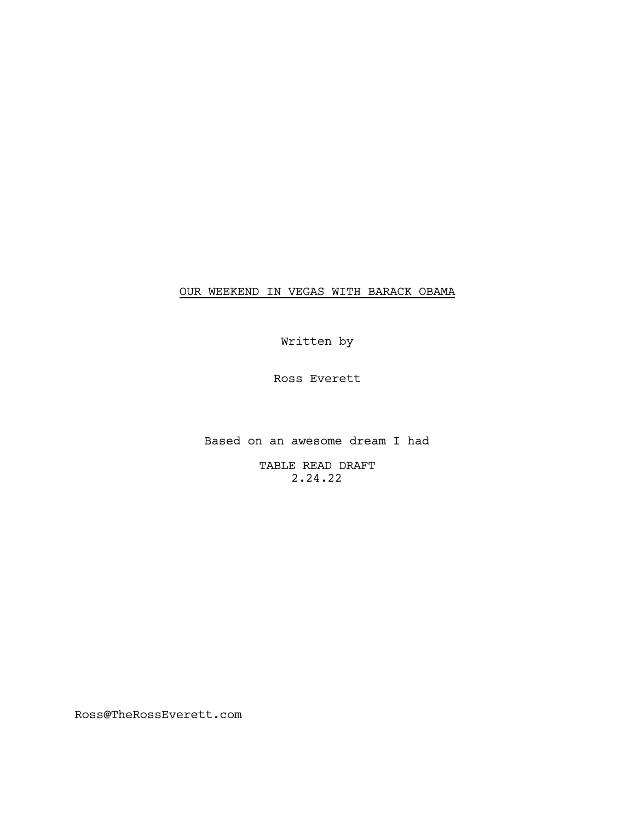# OUR WEEKEND IN VEGAS WITH BARACK OBAMA

Written by

Ross Everett

Based on an awesome dream I had

TABLE READ DRAFT 2.24.22

Ross@TheRossEverett.com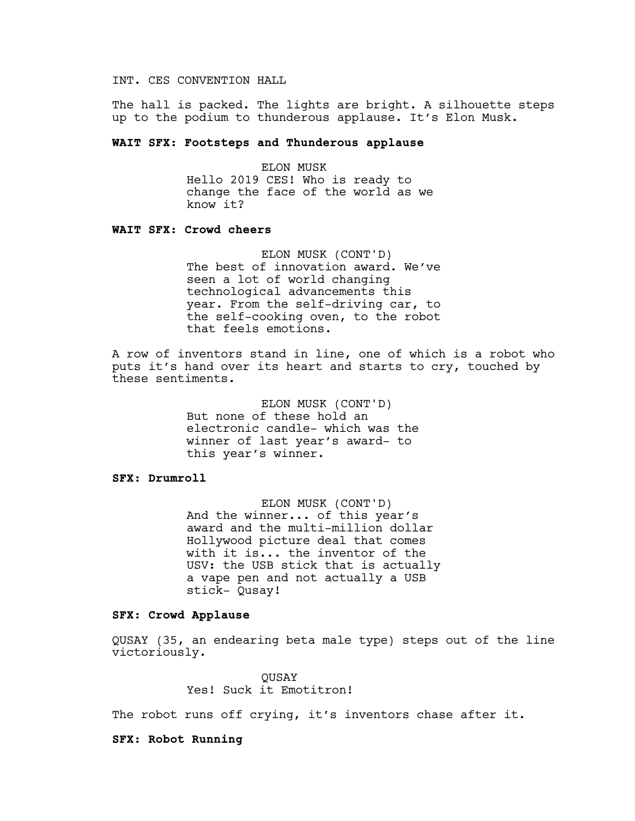# INT. CES CONVENTION HALL

The hall is packed. The lights are bright. A silhouette steps up to the podium to thunderous applause. It's Elon Musk.

## **WAIT SFX: Footsteps and Thunderous applause**

ELON MUSK Hello 2019 CES! Who is ready to change the face of the world as we know it?

## **WAIT SFX: Crowd cheers**

ELON MUSK (CONT'D) The best of innovation award. We've seen a lot of world changing technological advancements this year. From the self-driving car, to the self-cooking oven, to the robot that feels emotions.

A row of inventors stand in line, one of which is a robot who puts it's hand over its heart and starts to cry, touched by these sentiments.

> ELON MUSK (CONT'D) But none of these hold an electronic candle- which was the winner of last year's award- to this year's winner.

# **SFX: Drumroll**

ELON MUSK (CONT'D) And the winner... of this year's award and the multi-million dollar Hollywood picture deal that comes with it is... the inventor of the USV: the USB stick that is actually a vape pen and not actually a USB stick- Qusay!

# **SFX: Crowd Applause**

QUSAY (35, an endearing beta male type) steps out of the line victoriously.

> QUSAY Yes! Suck it Emotitron!

The robot runs off crying, it's inventors chase after it.

#### **SFX: Robot Running**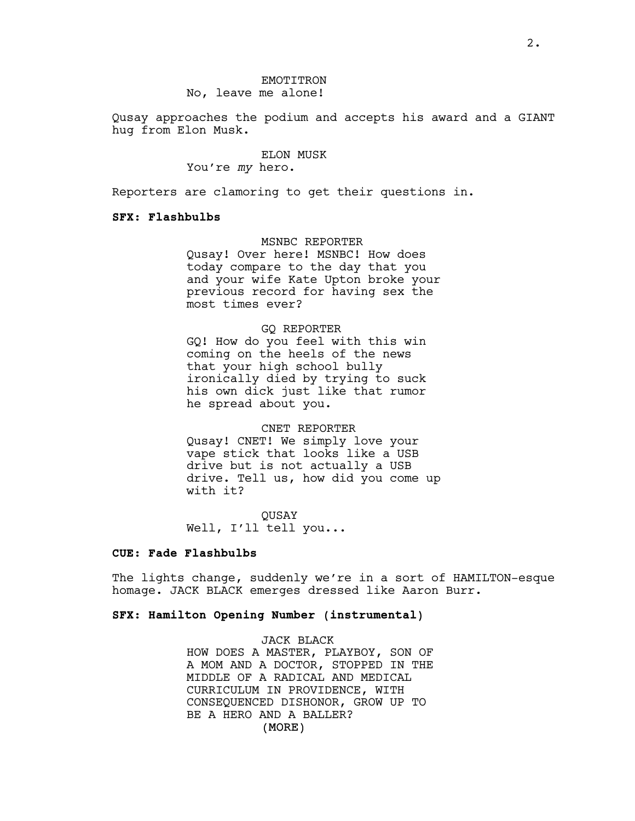### EMOTITRON No, leave me alone!

Qusay approaches the podium and accepts his award and a GIANT hug from Elon Musk.

## ELON MUSK

You're *my* hero.

Reporters are clamoring to get their questions in.

### **SFX: Flashbulbs**

## MSNBC REPORTER

Qusay! Over here! MSNBC! How does today compare to the day that you and your wife Kate Upton broke your previous record for having sex the most times ever?

#### GQ REPORTER

GQ! How do you feel with this win coming on the heels of the news that your high school bully ironically died by trying to suck his own dick just like that rumor he spread about you.

### CNET REPORTER

Qusay! CNET! We simply love your vape stick that looks like a USB drive but is not actually a USB drive. Tell us, how did you come up with it?

QUSAY Well, I'll tell you...

# **CUE: Fade Flashbulbs**

The lights change, suddenly we're in a sort of HAMILTON-esque homage. JACK BLACK emerges dressed like Aaron Burr.

## **SFX: Hamilton Opening Number (instrumental)**

(MORE) JACK BLACK HOW DOES A MASTER, PLAYBOY, SON OF A MOM AND A DOCTOR, STOPPED IN THE MIDDLE OF A RADICAL AND MEDICAL CURRICULUM IN PROVIDENCE, WITH CONSEQUENCED DISHONOR, GROW UP TO BE A HERO AND A BALLER?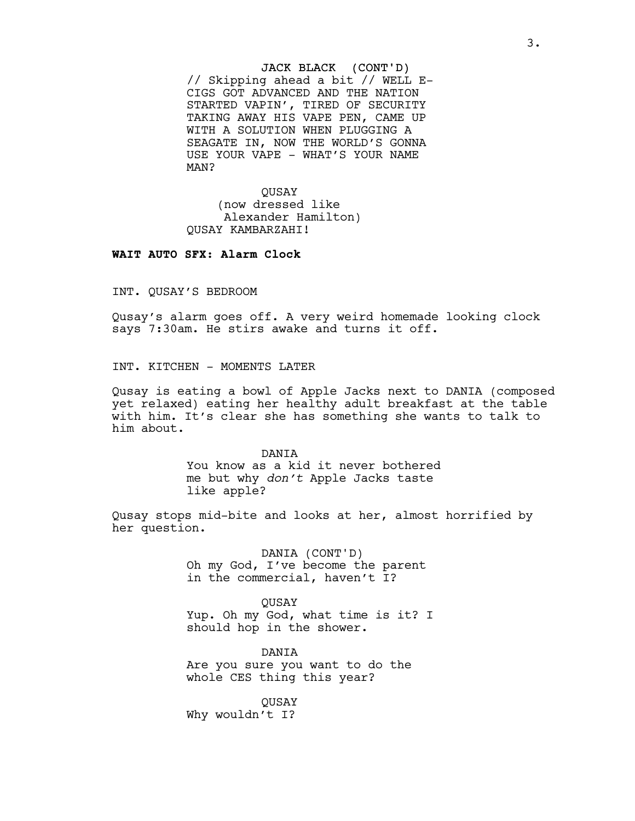#### JACK BLACK (CONT'D)

// Skipping ahead a bit // WELL E-CIGS GOT ADVANCED AND THE NATION STARTED VAPIN', TIRED OF SECURITY TAKING AWAY HIS VAPE PEN, CAME UP WITH A SOLUTION WHEN PLUGGING A SEAGATE IN, NOW THE WORLD'S GONNA USE YOUR VAPE - WHAT'S YOUR NAME MAN?

QUSAY (now dressed like Alexander Hamilton) QUSAY KAMBARZAHI!

## **WAIT AUTO SFX: Alarm Clock**

INT. QUSAY'S BEDROOM

Qusay's alarm goes off. A very weird homemade looking clock says 7:30am. He stirs awake and turns it off.

INT. KITCHEN - MOMENTS LATER

Qusay is eating a bowl of Apple Jacks next to DANIA (composed yet relaxed) eating her healthy adult breakfast at the table with him. It's clear she has something she wants to talk to him about.

> DANIA You know as a kid it never bothered me but why *don't* Apple Jacks taste like apple?

Qusay stops mid-bite and looks at her, almost horrified by her question.

> DANIA (CONT'D) Oh my God, I've become the parent in the commercial, haven't I?

QUSAY Yup. Oh my God, what time is it? I should hop in the shower.

DANIA Are you sure you want to do the whole CES thing this year?

QUSAY Why wouldn't I?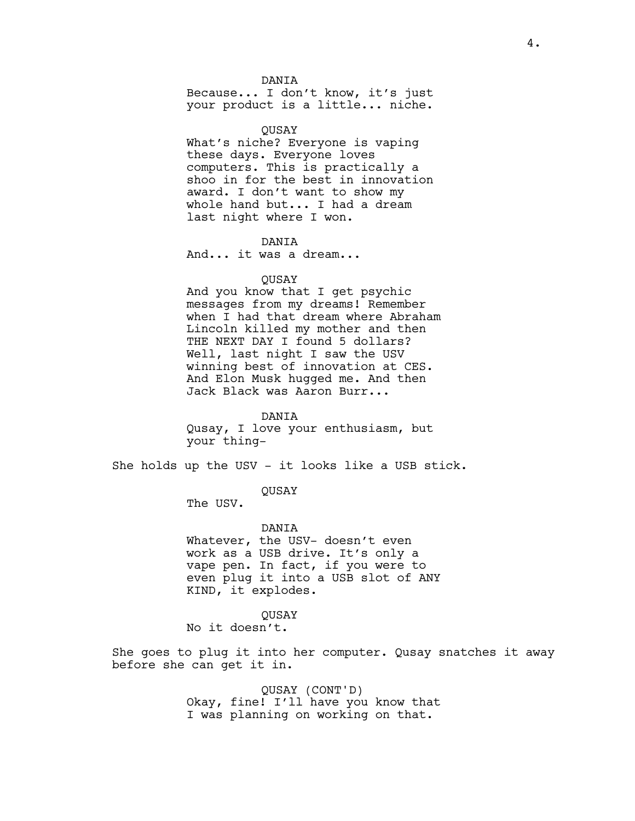DANIA

Because... I don't know, it's just your product is a little... niche.

QUSAY What's niche? Everyone is vaping these days. Everyone loves computers. This is practically a shoo in for the best in innovation award. I don't want to show my whole hand but... I had a dream last night where I won.

#### DANIA

And... it was a dream...

#### QUSAY

And you know that I get psychic messages from my dreams! Remember when I had that dream where Abraham Lincoln killed my mother and then THE NEXT DAY I found 5 dollars? Well, last night I saw the USV winning best of innovation at CES. And Elon Musk hugged me. And then Jack Black was Aaron Burr...

DANIA Qusay, I love your enthusiasm, but your thing-

She holds up the USV - it looks like a USB stick.

## QUSAY

The USV.

#### DANIA

Whatever, the USV- doesn't even work as a USB drive. It's only a vape pen. In fact, if you were to even plug it into a USB slot of ANY KIND, it explodes.

QUSAY No it doesn't.

She goes to plug it into her computer. Qusay snatches it away before she can get it in.

> QUSAY (CONT'D) Okay, fine! I'll have you know that I was planning on working on that.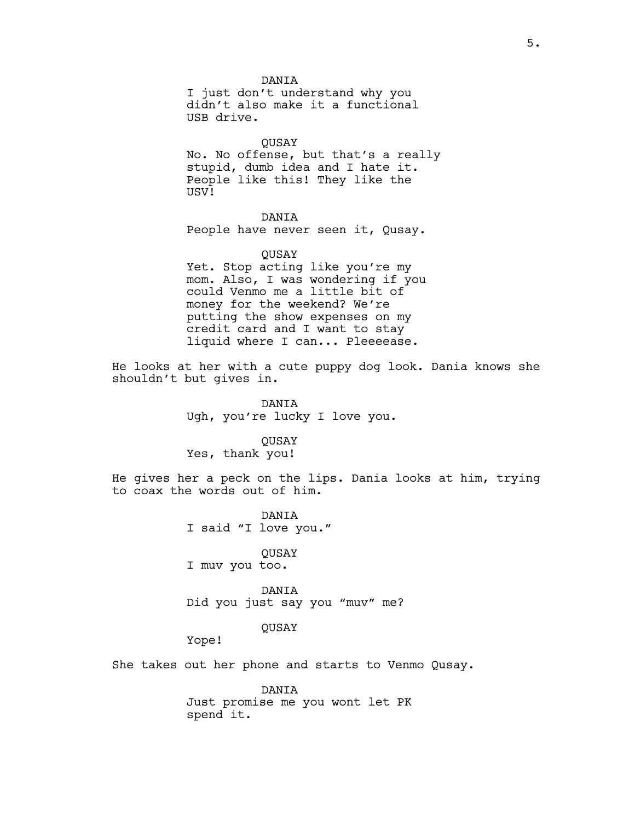DANIA I just don't understand why you didn't also make it a functional USB drive.

QUSAY No. No offense, but that's a really stupid, dumb idea and I hate it. People like this! They like the USV!

## DANIA

People have never seen it, Qusay.

# QUSAY Yet. Stop acting like you're my mom. Also, I was wondering if you could Venmo me a little bit of money for the weekend? We're putting the show expenses on my credit card and I want to stay liquid where I can... Pleeeease.

He looks at her with a cute puppy dog look. Dania knows she shouldn't but gives in.

> DANIA Ugh, you're lucky I love you.

## **OUSAY**

Yes, thank you!

He gives her a peck on the lips. Dania looks at him, trying to coax the words out of him.

> DANIA I said "I love you."

QUSAY I muv you too.

DANIA Did you just say you "muv" me?

## QUSAY

Yope!

She takes out her phone and starts to Venmo Qusay.

DANIA Just promise me you wont let PK spend it.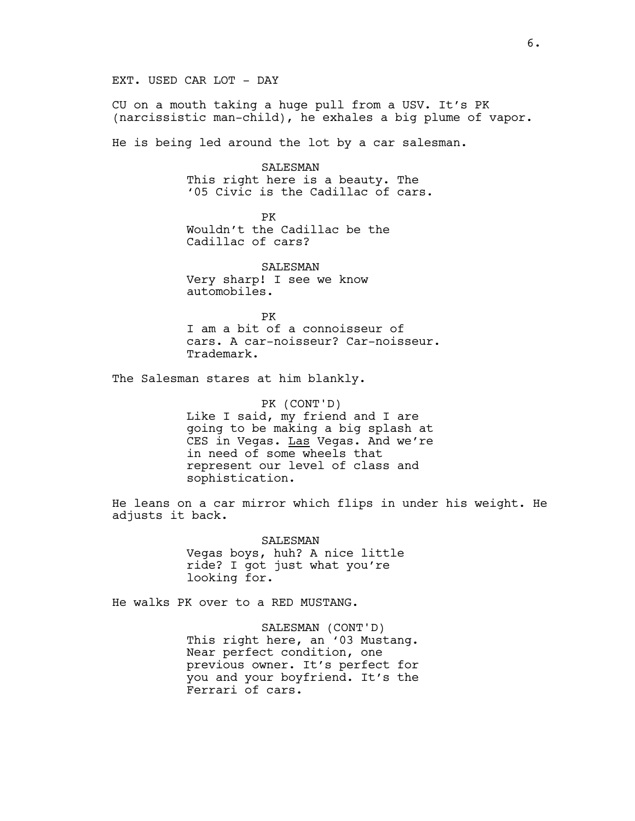# EXT. USED CAR LOT - DAY

CU on a mouth taking a huge pull from a USV. It's PK (narcissistic man-child), he exhales a big plume of vapor.

He is being led around the lot by a car salesman.

SALESMAN This right here is a beauty. The '05 Civic is the Cadillac of cars.

PK Wouldn't the Cadillac be the Cadillac of cars?

SALESMAN Very sharp! I see we know automobiles.

PK I am a bit of a connoisseur of cars. A car-noisseur? Car-noisseur. Trademark.

The Salesman stares at him blankly.

PK (CONT'D) Like I said, my friend and I are going to be making a big splash at CES in Vegas. Las Vegas. And we're in need of some wheels that represent our level of class and sophistication.

He leans on a car mirror which flips in under his weight. He adjusts it back.

> SALESMAN Vegas boys, huh? A nice little ride? I got just what you're looking for.

He walks PK over to a RED MUSTANG.

SALESMAN (CONT'D) This right here, an '03 Mustang. Near perfect condition, one previous owner. It's perfect for you and your boyfriend. It's the Ferrari of cars.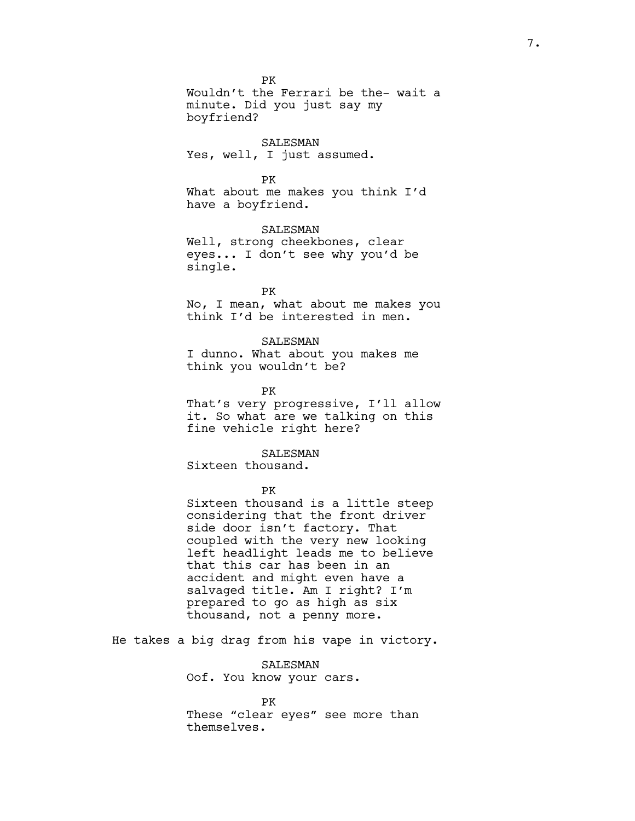PK

Wouldn't the Ferrari be the- wait a minute. Did you just say my boyfriend?

#### SALESMAN

Yes, well, I just assumed.

#### PK

What about me makes you think I'd have a boyfriend.

## SALESMAN

Well, strong cheekbones, clear eyes... I don't see why you'd be single.

#### PK

No, I mean, what about me makes you think I'd be interested in men.

#### SALESMAN

I dunno. What about you makes me think you wouldn't be?

PK

That's very progressive, I'll allow it. So what are we talking on this fine vehicle right here?

SALESMAN

Sixteen thousand.

PK

Sixteen thousand is a little steep considering that the front driver side door isn't factory. That coupled with the very new looking left headlight leads me to believe that this car has been in an accident and might even have a salvaged title. Am I right? I'm prepared to go as high as six thousand, not a penny more.

He takes a big drag from his vape in victory.

SALESMAN Oof. You know your cars.

PK These "clear eyes" see more than themselves.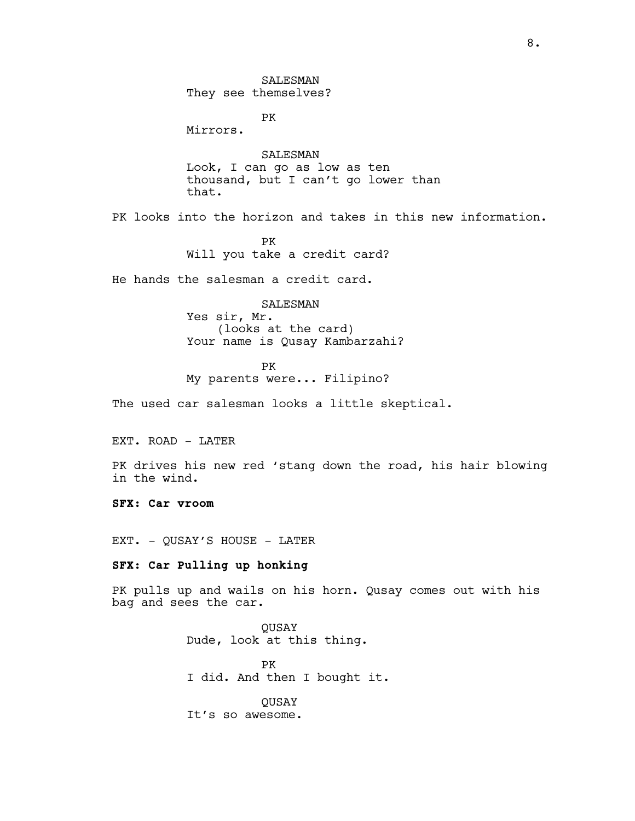SALESMAN They see themselves?

PK

Mirrors.

SALESMAN Look, I can go as low as ten thousand, but I can't go lower than that.

PK looks into the horizon and takes in this new information.

PK Will you take a credit card?

He hands the salesman a credit card.

SALESMAN Yes sir, Mr. (looks at the card) Your name is Qusay Kambarzahi?

PK My parents were... Filipino?

The used car salesman looks a little skeptical.

EXT. ROAD - LATER

PK drives his new red 'stang down the road, his hair blowing in the wind.

**SFX: Car vroom**

EXT. - QUSAY'S HOUSE - LATER

## **SFX: Car Pulling up honking**

PK pulls up and wails on his horn. Qusay comes out with his bag and sees the car.

> QUSAY Dude, look at this thing.

PK I did. And then I bought it.

QUSAY It's so awesome.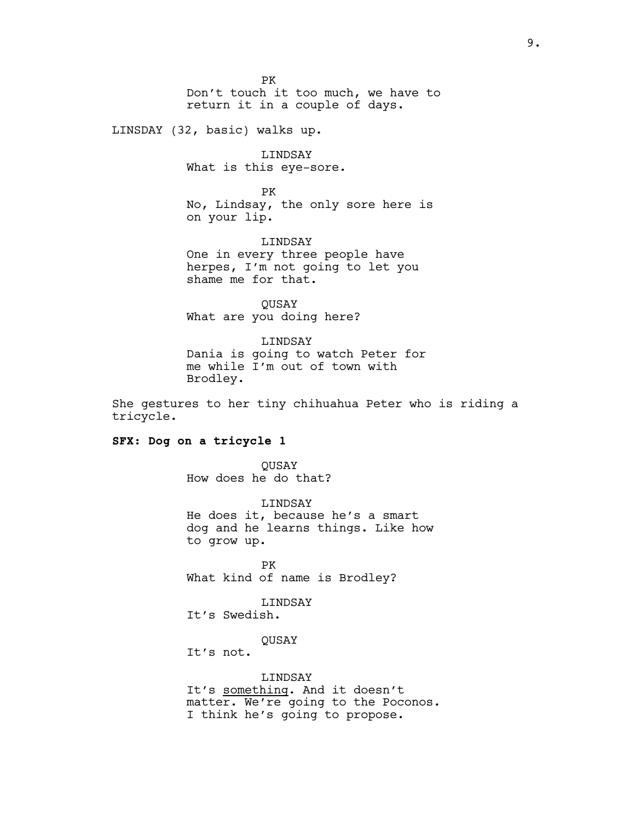PK Don't touch it too much, we have to return it in a couple of days.

LINSDAY (32, basic) walks up.

LINDSAY What is this eye-sore.

PK No, Lindsay, the only sore here is on your lip.

LINDSAY One in every three people have herpes, I'm not going to let you shame me for that.

**OUSAY** What are you doing here?

LINDSAY Dania is going to watch Peter for me while I'm out of town with Brodley.

She gestures to her tiny chihuahua Peter who is riding a tricycle.

### **SFX: Dog on a tricycle 1**

QUSAY How does he do that?

LINDSAY He does it, because he's a smart dog and he learns things. Like how to grow up.

PK What kind of name is Brodley?

### LINDSAY

It's Swedish.

**OUSAY** 

It's not.

LINDSAY It's something. And it doesn't matter. We're going to the Poconos. I think he's going to propose.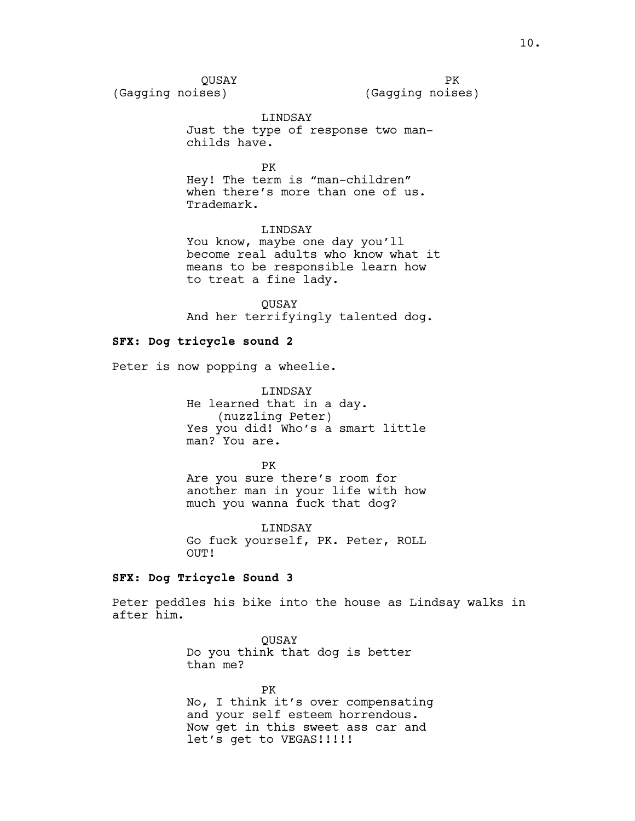PK (Gagging noises)

LINDSAY

Just the type of response two manchilds have.

PK

Hey! The term is "man-children" when there's more than one of us. Trademark.

LINDSAY

You know, maybe one day you'll become real adults who know what it means to be responsible learn how to treat a fine lady.

**OUSAY** And her terrifyingly talented dog.

## **SFX: Dog tricycle sound 2**

Peter is now popping a wheelie.

LINDSAY He learned that in a day. (nuzzling Peter) Yes you did! Who's a smart little man? You are.

PK Are you sure there's room for another man in your life with how much you wanna fuck that dog?

LINDSAY Go fuck yourself, PK. Peter, ROLL OUT!

## **SFX: Dog Tricycle Sound 3**

Peter peddles his bike into the house as Lindsay walks in after him.

> **OUSAY** Do you think that dog is better than me?

PK No, I think it's over compensating and your self esteem horrendous. Now get in this sweet ass car and let's get to VEGAS!!!!!!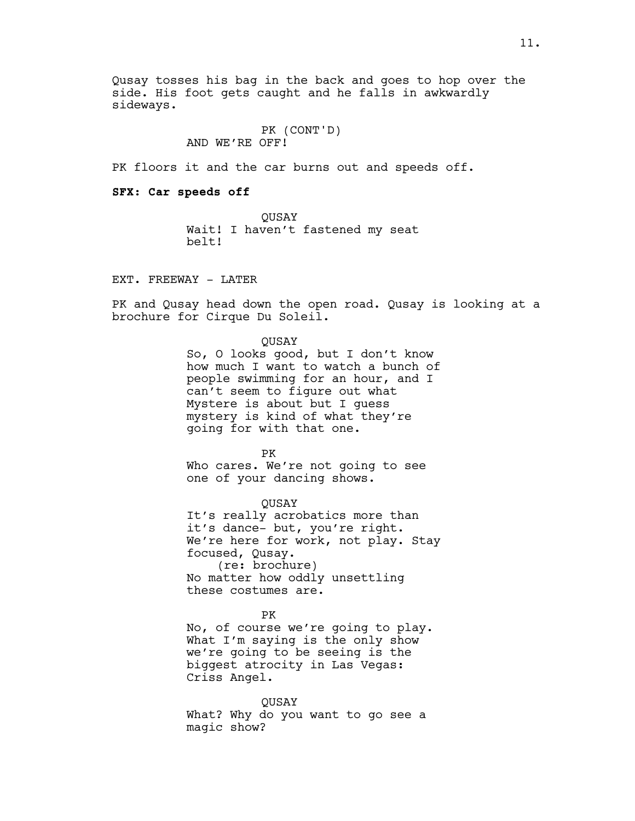Qusay tosses his bag in the back and goes to hop over the side. His foot gets caught and he falls in awkwardly sideways.

> PK (CONT'D) AND WE'RE OFF!

PK floors it and the car burns out and speeds off.

**SFX: Car speeds off**

QUSAY Wait! I haven't fastened my seat belt!

EXT. FREEWAY - LATER

PK and Qusay head down the open road. Qusay is looking at a brochure for Cirque Du Soleil.

QUSAY

So, O looks good, but I don't know how much I want to watch a bunch of people swimming for an hour, and I can't seem to figure out what Mystere is about but I guess mystery is kind of what they're going for with that one.

PK Who cares. We're not going to see one of your dancing shows.

QUSAY It's really acrobatics more than it's dance- but, you're right. We're here for work, not play. Stay focused, Qusay. (re: brochure)

No matter how oddly unsettling these costumes are.

PK

No, of course we're going to play. What I'm saying is the only show we're going to be seeing is the biggest atrocity in Las Vegas: Criss Angel.

QUSAY

What? Why do you want to go see a magic show?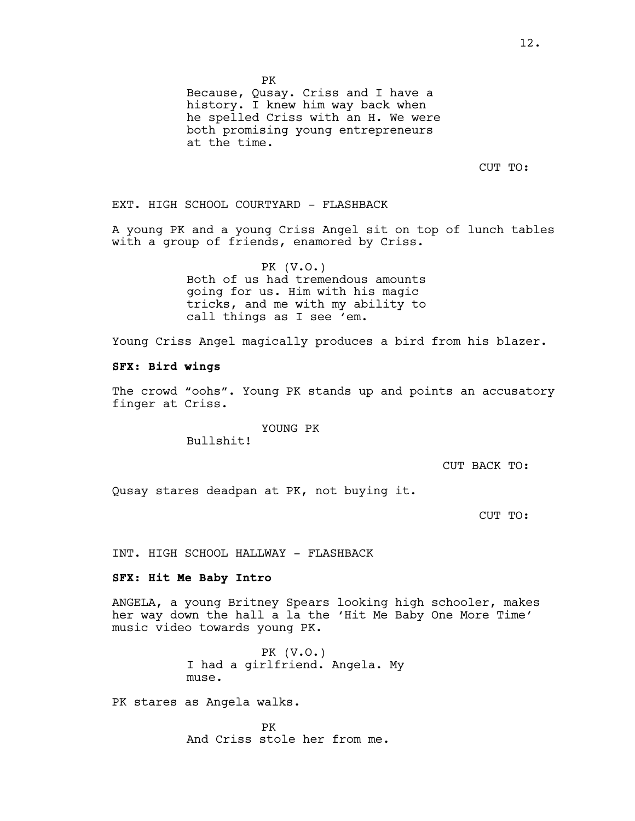PK

Because, Qusay. Criss and I have a history. I knew him way back when he spelled Criss with an H. We were both promising young entrepreneurs at the time.

CUT TO:

EXT. HIGH SCHOOL COURTYARD - FLASHBACK

A young PK and a young Criss Angel sit on top of lunch tables with a group of friends, enamored by Criss.

> PK (V.O.) Both of us had tremendous amounts going for us. Him with his magic tricks, and me with my ability to call things as I see 'em.

Young Criss Angel magically produces a bird from his blazer.

#### **SFX: Bird wings**

The crowd "oohs". Young PK stands up and points an accusatory finger at Criss.

YOUNG PK

Bullshit!

CUT BACK TO:

Qusay stares deadpan at PK, not buying it.

CUT TO:

INT. HIGH SCHOOL HALLWAY - FLASHBACK

## **SFX: Hit Me Baby Intro**

ANGELA, a young Britney Spears looking high schooler, makes her way down the hall a la the 'Hit Me Baby One More Time' music video towards young PK.

> PK (V.O.) I had a girlfriend. Angela. My muse.

PK stares as Angela walks.

PK And Criss stole her from me.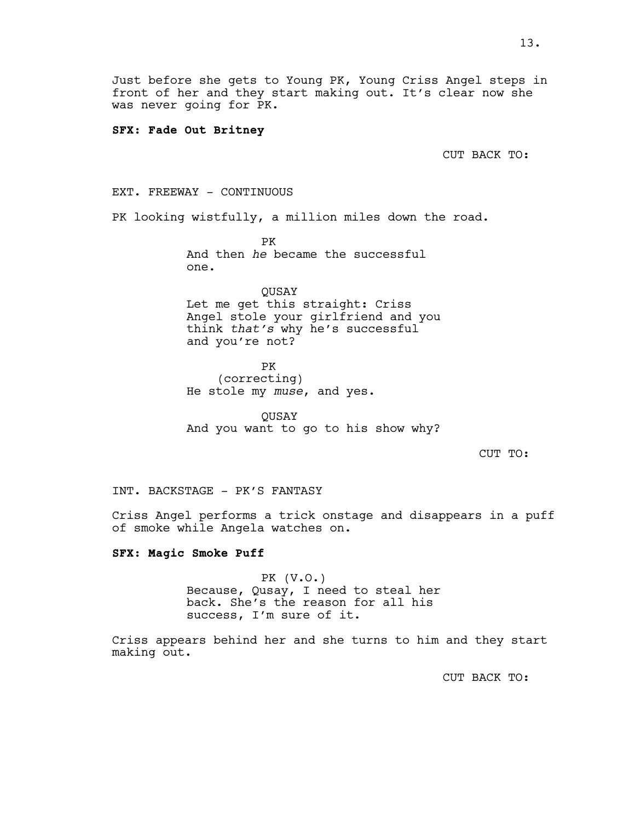Just before she gets to Young PK, Young Criss Angel steps in front of her and they start making out. It's clear now she was never going for PK.

### **SFX: Fade Out Britney**

CUT BACK TO:

EXT. FREEWAY - CONTINUOUS

PK looking wistfully, a million miles down the road.

PK And then *he* became the successful one.

QUSAY Let me get this straight: Criss Angel stole your girlfriend and you think *that's* why he's successful and you're not?

PK (correcting) He stole my *muse*, and yes.

**OUSAY** And you want to go to his show why?

CUT TO:

INT. BACKSTAGE - PK'S FANTASY

Criss Angel performs a trick onstage and disappears in a puff of smoke while Angela watches on.

## **SFX: Magic Smoke Puff**

PK (V.O.) Because, Qusay, I need to steal her back. She's the reason for all his success, I'm sure of it.

Criss appears behind her and she turns to him and they start making out.

CUT BACK TO: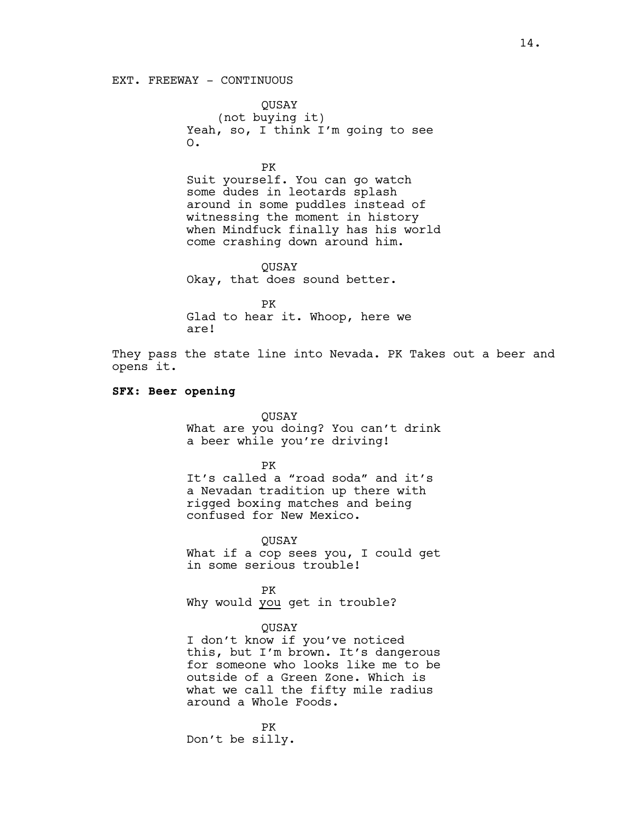### EXT. FREEWAY - CONTINUOUS

QUSAY (not buying it) Yeah, so, I think I'm going to see O.

PK

Suit yourself. You can go watch some dudes in leotards splash around in some puddles instead of witnessing the moment in history when Mindfuck finally has his world come crashing down around him.

QUSAY Okay, that does sound better.

PK Glad to hear it. Whoop, here we are!

They pass the state line into Nevada. PK Takes out a beer and opens it.

#### **SFX: Beer opening**

QUSAY

What are you doing? You can't drink a beer while you're driving!

PK

It's called a "road soda" and it's a Nevadan tradition up there with rigged boxing matches and being confused for New Mexico.

QUSAY What if a cop sees you, I could get in some serious trouble!

PK Why would you get in trouble?

### QUSAY

I don't know if you've noticed this, but I'm brown. It's dangerous for someone who looks like me to be outside of a Green Zone. Which is what we call the fifty mile radius around a Whole Foods.

PK Don't be silly.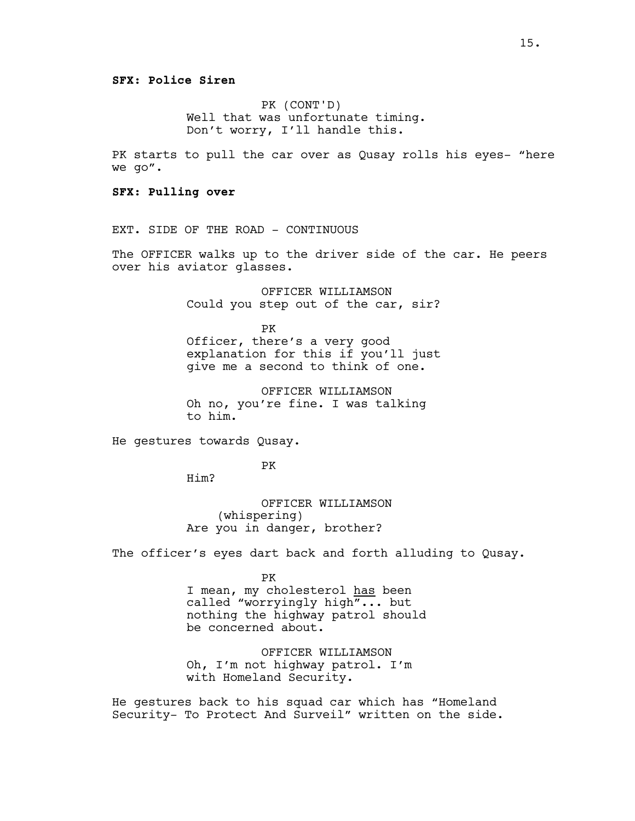PK (CONT'D) Well that was unfortunate timing. Don't worry, I'll handle this.

PK starts to pull the car over as Qusay rolls his eyes- "here we go".

**SFX: Pulling over**

EXT. SIDE OF THE ROAD - CONTINUOUS

The OFFICER walks up to the driver side of the car. He peers over his aviator glasses.

> OFFICER WILLIAMSON Could you step out of the car, sir?

> PK Officer, there's a very good explanation for this if you'll just give me a second to think of one.

OFFICER WILLIAMSON Oh no, you're fine. I was talking to him.

He gestures towards Qusay.

PK

Him?

OFFICER WILLIAMSON (whispering) Are you in danger, brother?

The officer's eyes dart back and forth alluding to Qusay.

PK

I mean, my cholesterol has been called "worryingly high"... but nothing the highway patrol should be concerned about.

OFFICER WILLIAMSON Oh, I'm not highway patrol. I'm with Homeland Security.

He gestures back to his squad car which has "Homeland Security- To Protect And Surveil" written on the side.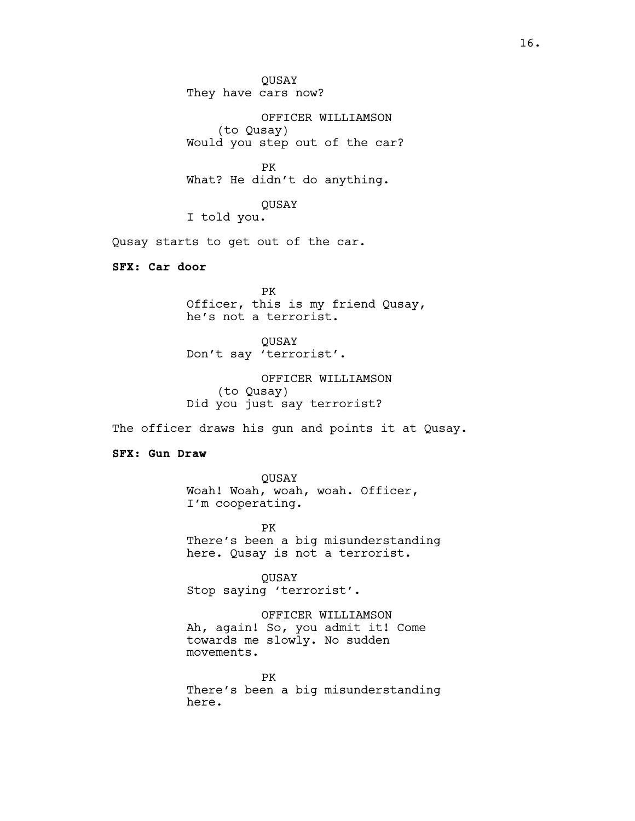QUSAY They have cars now?

OFFICER WILLIAMSON (to Qusay) Would you step out of the car?

PK What? He didn't do anything.

QUSAY I told you.

Qusay starts to get out of the car.

**SFX: Car door**

PK Officer, this is my friend Qusay, he's not a terrorist.

QUSAY Don't say 'terrorist'.

OFFICER WILLIAMSON (to Qusay) Did you just say terrorist?

The officer draws his gun and points it at Qusay.

**SFX: Gun Draw**

QUSAY Woah! Woah, woah, woah. Officer, I'm cooperating.

PK There's been a big misunderstanding here. Qusay is not a terrorist.

QUSAY Stop saying 'terrorist'.

OFFICER WILLIAMSON Ah, again! So, you admit it! Come towards me slowly. No sudden movements.

PK There's been a big misunderstanding here.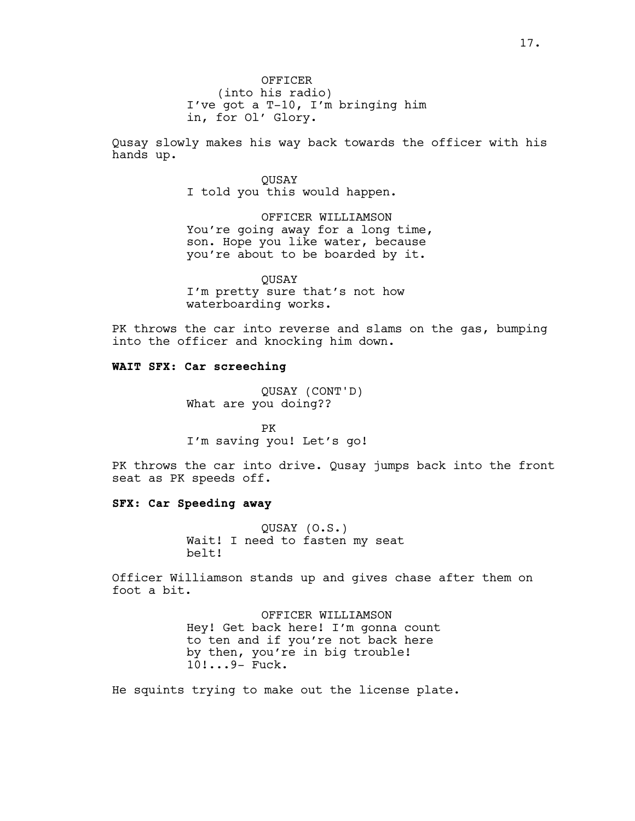Qusay slowly makes his way back towards the officer with his hands up.

> QUSAY I told you this would happen.

OFFICER WILLIAMSON You're going away for a long time, son. Hope you like water, because you're about to be boarded by it.

QUSAY I'm pretty sure that's not how waterboarding works.

PK throws the car into reverse and slams on the gas, bumping into the officer and knocking him down.

## **WAIT SFX: Car screeching**

QUSAY (CONT'D) What are you doing??

PK I'm saving you! Let's go!

PK throws the car into drive. Qusay jumps back into the front seat as PK speeds off.

## **SFX: Car Speeding away**

QUSAY (O.S.) Wait! I need to fasten my seat belt!

Officer Williamson stands up and gives chase after them on foot a bit.

> OFFICER WILLIAMSON Hey! Get back here! I'm gonna count to ten and if you're not back here by then, you're in big trouble! 10!...9- Fuck.

He squints trying to make out the license plate.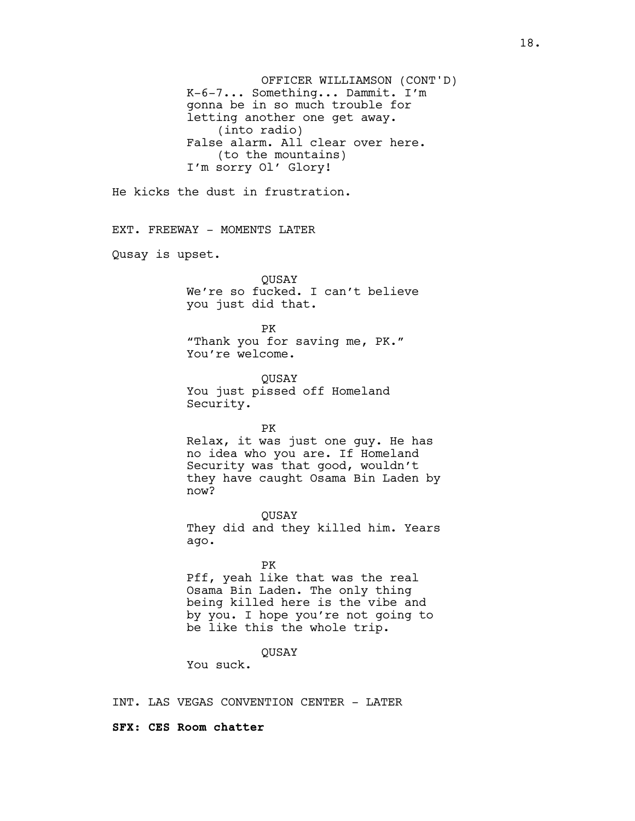OFFICER WILLIAMSON (CONT'D) K-6-7... Something... Dammit. I'm gonna be in so much trouble for letting another one get away. (into radio) False alarm. All clear over here. (to the mountains) I'm sorry Ol' Glory! He kicks the dust in frustration. EXT. FREEWAY - MOMENTS LATER Qusay is upset. **OUSAY** We're so fucked. I can't believe you just did that. PK "Thank you for saving me, PK." You're welcome. QUSAY You just pissed off Homeland Security. PK Relax, it was just one guy. He has no idea who you are. If Homeland Security was that good, wouldn't they have caught Osama Bin Laden by now? QUSAY They did and they killed him. Years ago. PK Pff, yeah like that was the real Osama Bin Laden. The only thing being killed here is the vibe and by you. I hope you're not going to be like this the whole trip. QUSAY You suck.

INT. LAS VEGAS CONVENTION CENTER - LATER

#### **SFX: CES Room chatter**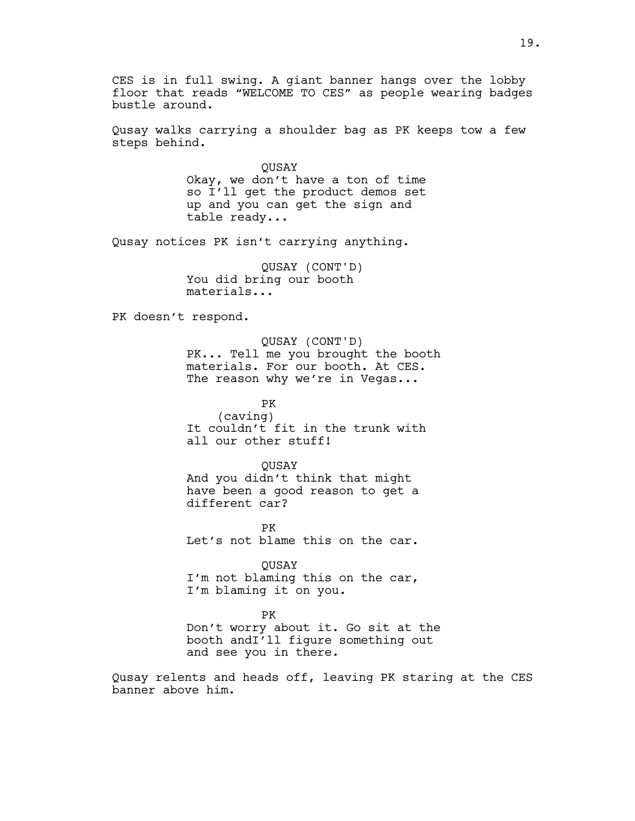CES is in full swing. A giant banner hangs over the lobby floor that reads "WELCOME TO CES" as people wearing badges bustle around.

Qusay walks carrying a shoulder bag as PK keeps tow a few steps behind.

> **OUSAY** Okay, we don't have a ton of time so I'll get the product demos set up and you can get the sign and table ready...

Qusay notices PK isn't carrying anything.

QUSAY (CONT'D) You did bring our booth materials...

PK doesn't respond.

QUSAY (CONT'D) PK... Tell me you brought the booth materials. For our booth. At CES. The reason why we're in Vegas...

PK (caving) It couldn't fit in the trunk with all our other stuff!

QUSAY And you didn't think that might have been a good reason to get a different car?

PK Let's not blame this on the car.

QUSAY I'm not blaming this on the car, I'm blaming it on you.

PK Don't worry about it. Go sit at the booth andI'll figure something out and see you in there.

Qusay relents and heads off, leaving PK staring at the CES banner above him.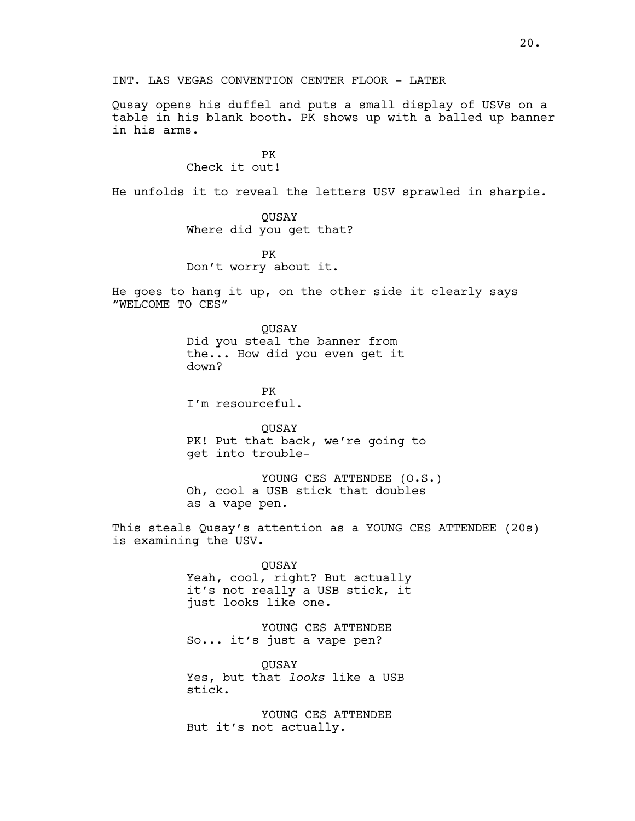INT. LAS VEGAS CONVENTION CENTER FLOOR - LATER

Qusay opens his duffel and puts a small display of USVs on a table in his blank booth. PK shows up with a balled up banner in his arms.

> PK Check it out!

He unfolds it to reveal the letters USV sprawled in sharpie.

QUSAY Where did you get that?

PK Don't worry about it.

He goes to hang it up, on the other side it clearly says "WELCOME TO CES"

> QUSAY Did you steal the banner from the... How did you even get it down?

PK I'm resourceful.

QUSAY PK! Put that back, we're going to get into trouble-

YOUNG CES ATTENDEE (O.S.) Oh, cool a USB stick that doubles as a vape pen.

This steals Qusay's attention as a YOUNG CES ATTENDEE (20s) is examining the USV.

> QUSAY Yeah, cool, right? But actually it's not really a USB stick, it just looks like one.

YOUNG CES ATTENDEE So... it's just a vape pen?

QUSAY Yes, but that *looks* like a USB stick.

YOUNG CES ATTENDEE But it's not actually.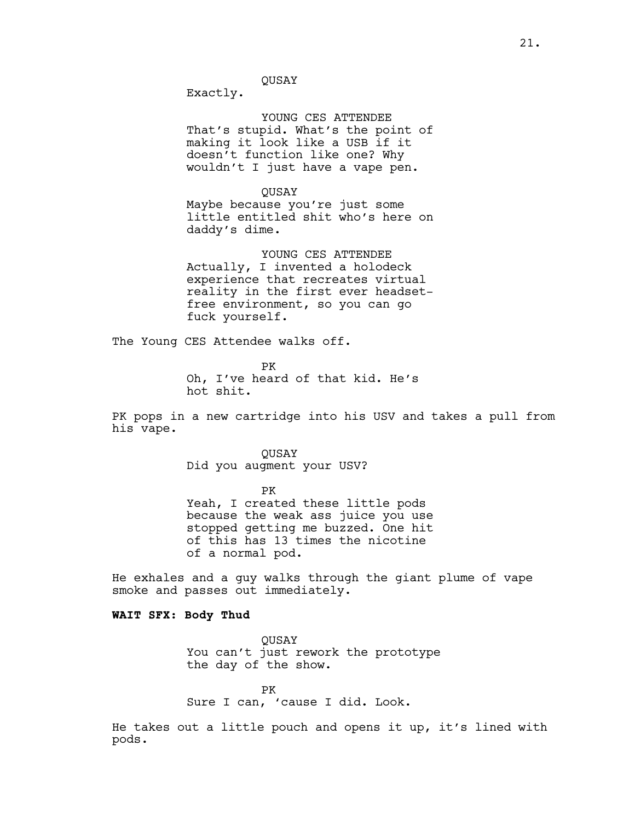QUSAY

Exactly.

YOUNG CES ATTENDEE That's stupid. What's the point of making it look like a USB if it doesn't function like one? Why wouldn't I just have a vape pen.

QUSAY Maybe because you're just some little entitled shit who's here on daddy's dime.

YOUNG CES ATTENDEE Actually, I invented a holodeck experience that recreates virtual reality in the first ever headsetfree environment, so you can go fuck yourself.

The Young CES Attendee walks off.

PK Oh, I've heard of that kid. He's hot shit.

PK pops in a new cartridge into his USV and takes a pull from his vape.

> **OUSAY** Did you augment your USV?

PK Yeah, I created these little pods because the weak ass juice you use stopped getting me buzzed. One hit of this has 13 times the nicotine of a normal pod.

He exhales and a guy walks through the giant plume of vape smoke and passes out immediately.

## **WAIT SFX: Body Thud**

QUSAY You can't just rework the prototype the day of the show.

PK Sure I can, 'cause I did. Look.

He takes out a little pouch and opens it up, it's lined with pods.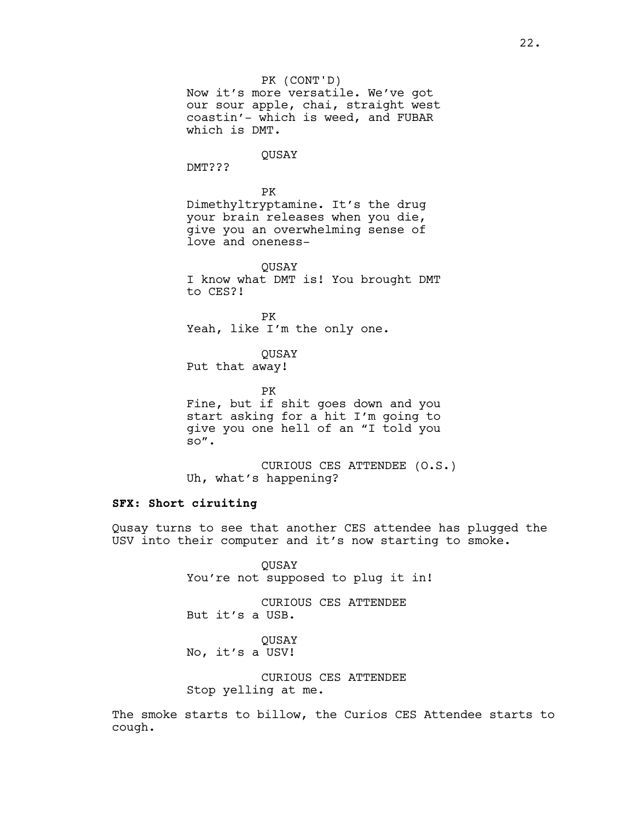PK (CONT'D) Now it's more versatile. We've got our sour apple, chai, straight west coastin'- which is weed, and FUBAR which is DMT. QUSAY DMT??? PK Dimethyltryptamine. It's the drug your brain releases when you die, give you an overwhelming sense of love and oneness-QUSAY I know what DMT is! You brought DMT to CES?! PK Yeah, like I'm the only one. QUSAY Put that away! PK Fine, but if shit goes down and you

start asking for a hit I'm going to give you one hell of an "I told you so".

CURIOUS CES ATTENDEE (O.S.) Uh, what's happening?

## **SFX: Short ciruiting**

Qusay turns to see that another CES attendee has plugged the USV into their computer and it's now starting to smoke.

> QUSAY You're not supposed to plug it in!

CURIOUS CES ATTENDEE But it's a USB.

**OUSAY** No, it's a USV!

CURIOUS CES ATTENDEE Stop yelling at me.

The smoke starts to billow, the Curios CES Attendee starts to cough.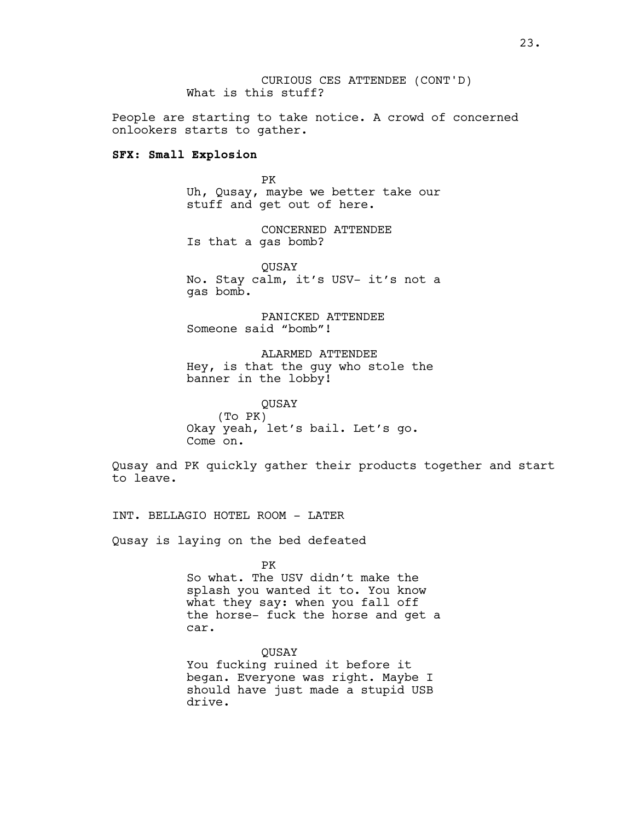CURIOUS CES ATTENDEE (CONT'D) What is this stuff?

People are starting to take notice. A crowd of concerned onlookers starts to gather.

### **SFX: Small Explosion**

PK Uh, Qusay, maybe we better take our stuff and get out of here.

CONCERNED ATTENDEE Is that a gas bomb?

QUSAY No. Stay calm, it's USV- it's not a gas bomb.

PANICKED ATTENDEE Someone said "bomb"!

ALARMED ATTENDEE Hey, is that the guy who stole the banner in the lobby!

QUSAY (To PK) Okay yeah, let's bail. Let's go. Come on.

Qusay and PK quickly gather their products together and start to leave.

INT. BELLAGIO HOTEL ROOM - LATER

Qusay is laying on the bed defeated

PK

So what. The USV didn't make the splash you wanted it to. You know what they say: when you fall off the horse- fuck the horse and get a car.

QUSAY You fucking ruined it before it began. Everyone was right. Maybe I should have just made a stupid USB drive.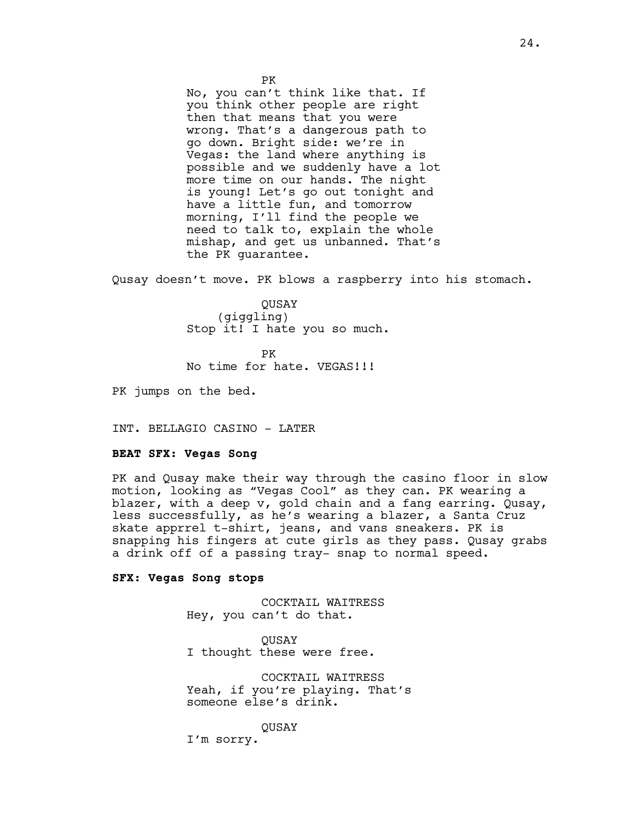No, you can't think like that. If you think other people are right then that means that you were wrong. That's a dangerous path to go down. Bright side: we're in Vegas: the land where anything is possible and we suddenly have a lot more time on our hands. The night is young! Let's go out tonight and have a little fun, and tomorrow morning, I'll find the people we need to talk to, explain the whole mishap, and get us unbanned. That's the PK guarantee.

Qusay doesn't move. PK blows a raspberry into his stomach.

QUSAY (giggling) Stop it! I hate you so much.

PK No time for hate. VEGAS!!!

PK jumps on the bed.

INT. BELLAGIO CASINO - LATER

#### **BEAT SFX: Vegas Song**

PK and Qusay make their way through the casino floor in slow motion, looking as "Vegas Cool" as they can. PK wearing a blazer, with a deep v, gold chain and a fang earring. Qusay, less successfully, as he's wearing a blazer, a Santa Cruz skate apprrel t-shirt, jeans, and vans sneakers. PK is snapping his fingers at cute girls as they pass. Qusay grabs a drink off of a passing tray- snap to normal speed.

#### **SFX: Vegas Song stops**

COCKTAIL WAITRESS Hey, you can't do that.

**OUSAY** I thought these were free.

COCKTAIL WAITRESS Yeah, if you're playing. That's someone else's drink.

**OUSAY** 

I'm sorry.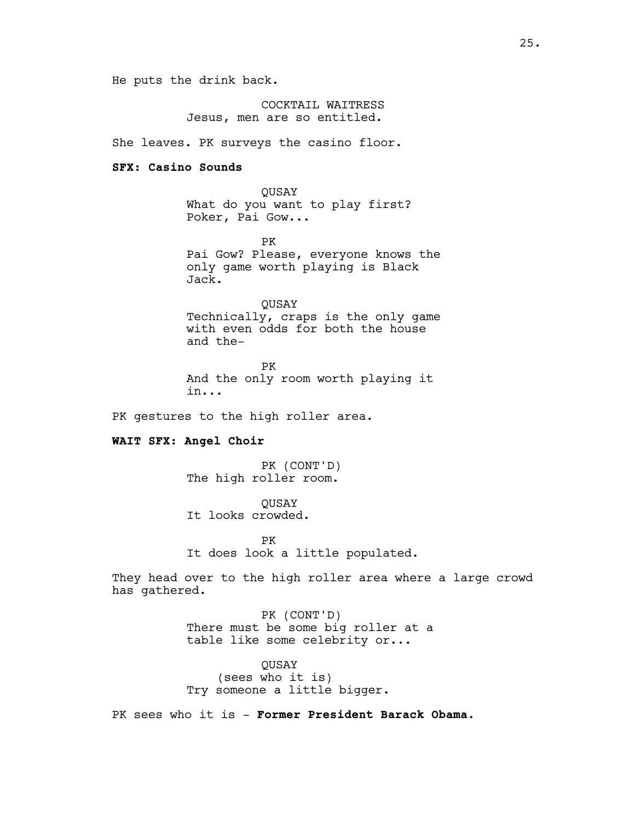He puts the drink back.

COCKTAIL WAITRESS Jesus, men are so entitled.

She leaves. PK surveys the casino floor.

### **SFX: Casino Sounds**

QUSAY What do you want to play first? Poker, Pai Gow...

PK Pai Gow? Please, everyone knows the only game worth playing is Black Jack.

**OUSAY** Technically, craps is the only game with even odds for both the house and the-

PK And the only room worth playing it in...

PK gestures to the high roller area.

### **WAIT SFX: Angel Choir**

PK (CONT'D) The high roller room.

**OUSAY** It looks crowded.

PK It does look a little populated.

They head over to the high roller area where a large crowd has gathered.

> PK (CONT'D) There must be some big roller at a table like some celebrity or...

QUSAY (sees who it is) Try someone a little bigger.

PK sees who it is - **Former President Barack Obama.**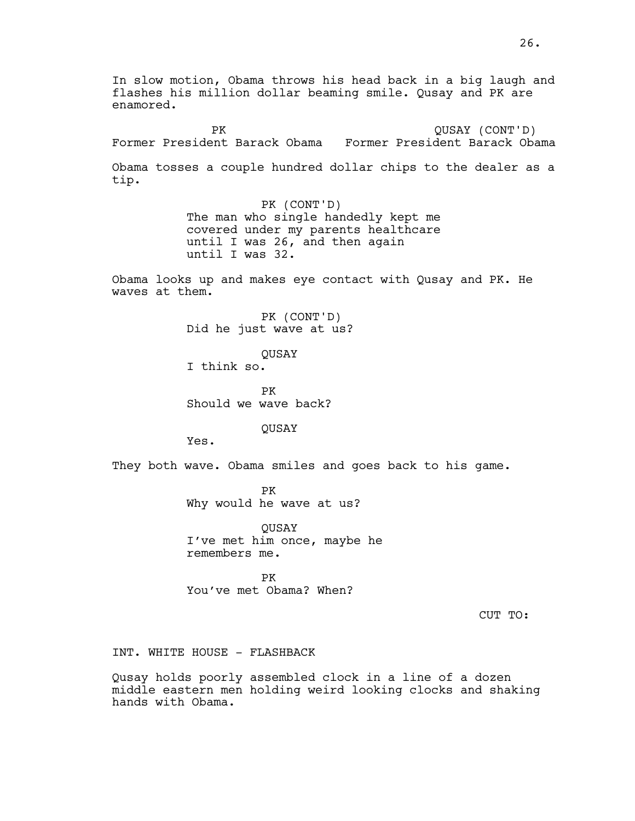In slow motion, Obama throws his head back in a big laugh and flashes his million dollar beaming smile. Qusay and PK are enamored. PK Former President Barack Obama Former President Barack Obama QUSAY (CONT'D) Obama tosses a couple hundred dollar chips to the dealer as a tip. PK (CONT'D) The man who single handedly kept me covered under my parents healthcare until I was 26, and then again until I was 32. Obama looks up and makes eye contact with Qusay and PK. He waves at them. PK (CONT'D) Did he just wave at us? QUSAY I think so. PK Should we wave back? QUSAY Yes. They both wave. Obama smiles and goes back to his game. PK Why would he wave at us? QUSAY I've met him once, maybe he remembers me. PK You've met Obama? When? CUT TO: INT. WHITE HOUSE - FLASHBACK

Qusay holds poorly assembled clock in a line of a dozen middle eastern men holding weird looking clocks and shaking hands with Obama.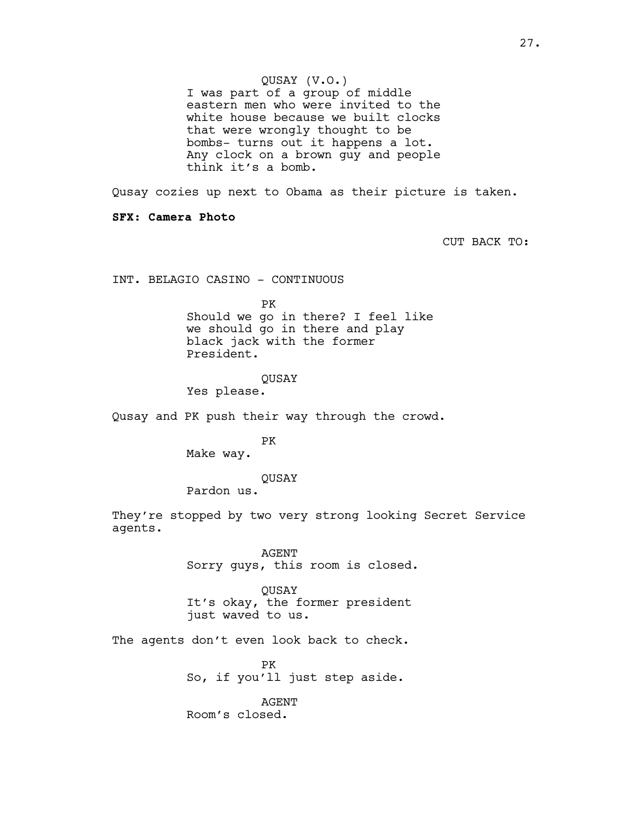I was part of a group of middle eastern men who were invited to the white house because we built clocks that were wrongly thought to be bombs- turns out it happens a lot. Any clock on a brown guy and people think it's a bomb.

Qusay cozies up next to Obama as their picture is taken.

**SFX: Camera Photo**

CUT BACK TO:

INT. BELAGIO CASINO - CONTINUOUS

PK

Should we go in there? I feel like we should go in there and play black jack with the former President.

### QUSAY

Yes please.

Qusay and PK push their way through the crowd.

PK

Make way.

QUSAY

Pardon us.

They're stopped by two very strong looking Secret Service agents.

> AGENT Sorry guys, this room is closed.

QUSAY It's okay, the former president just waved to us.

The agents don't even look back to check.

PK So, if you'll just step aside.

AGENT Room's closed.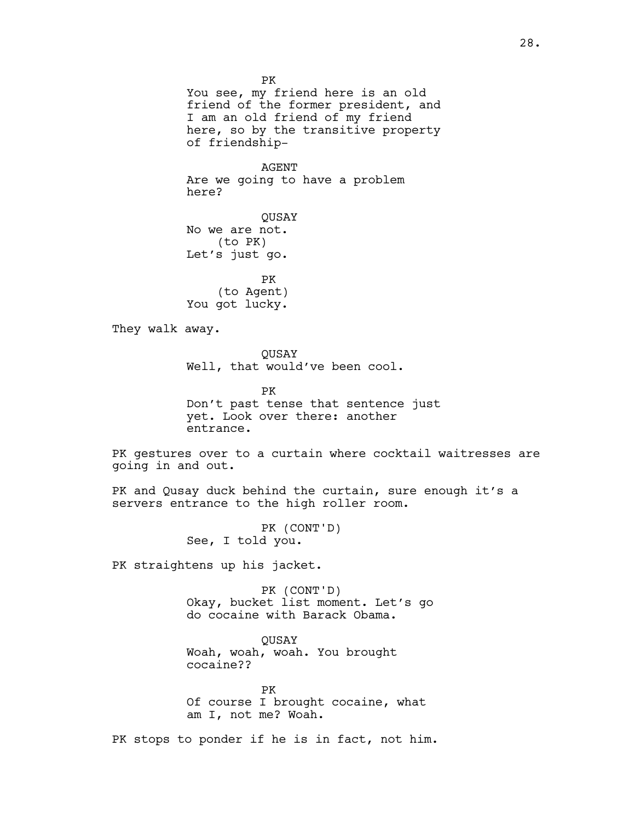PK You see, my friend here is an old friend of the former president, and I am an old friend of my friend here, so by the transitive property of friendship-

AGENT Are we going to have a problem here?

QUSAY No we are not. (to PK) Let's just go.

PK (to Agent) You got lucky.

They walk away.

QUSAY Well, that would've been cool.

PK Don't past tense that sentence just yet. Look over there: another entrance.

PK gestures over to a curtain where cocktail waitresses are going in and out.

PK and Qusay duck behind the curtain, sure enough it's a servers entrance to the high roller room.

> PK (CONT'D) See, I told you.

PK straightens up his jacket.

PK (CONT'D) Okay, bucket list moment. Let's go do cocaine with Barack Obama.

QUSAY Woah, woah, woah. You brought cocaine??

PK Of course I brought cocaine, what am I, not me? Woah.

PK stops to ponder if he is in fact, not him.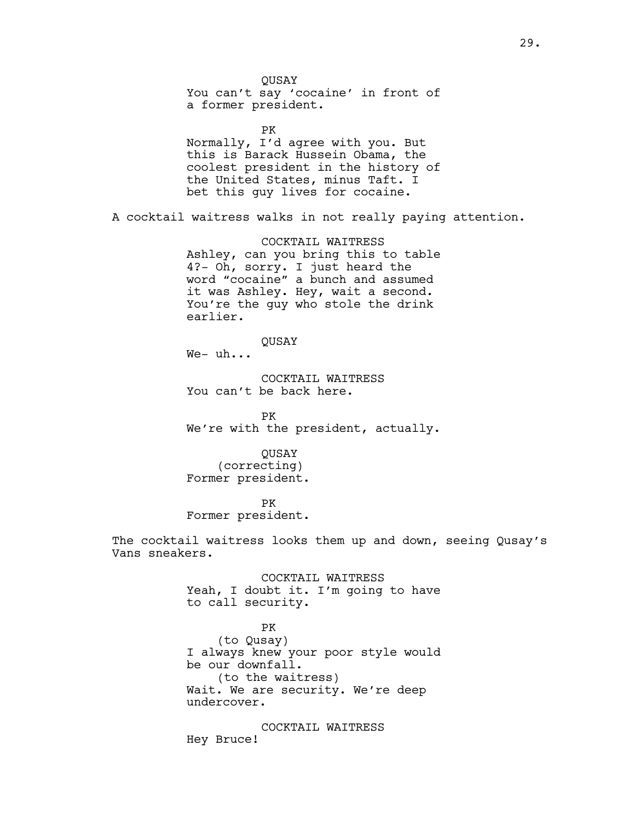QUSAY You can't say 'cocaine' in front of a former president. PK Normally, I'd agree with you. But this is Barack Hussein Obama, the coolest president in the history of the United States, minus Taft. I bet this guy lives for cocaine. A cocktail waitress walks in not really paying attention. COCKTAIL WAITRESS Ashley, can you bring this to table 4?- Oh, sorry. I just heard the word "cocaine" a bunch and assumed it was Ashley. Hey, wait a second. You're the guy who stole the drink earlier. QUSAY We- uh... COCKTAIL WAITRESS You can't be back here. PK We're with the president, actually. QUSAY (correcting) Former president. PK Former president. The cocktail waitress looks them up and down, seeing Qusay's Vans sneakers. COCKTAIL WAITRESS Yeah, I doubt it. I'm going to have to call security. PK (to Qusay) I always knew your poor style would be our downfall. (to the waitress) Wait. We are security. We're deep undercover. COCKTAIL WAITRESS Hey Bruce!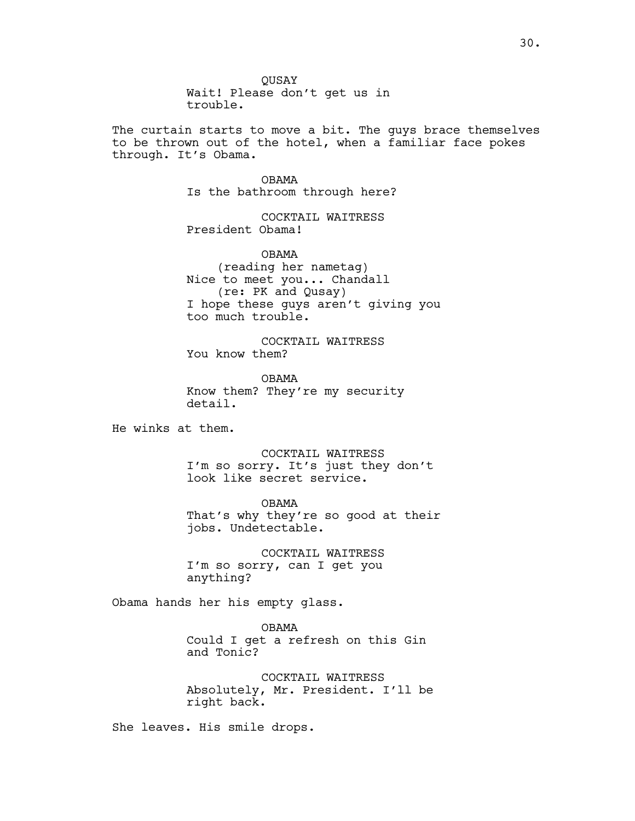The curtain starts to move a bit. The guys brace themselves to be thrown out of the hotel, when a familiar face pokes through. It's Obama.

> OBAMA Is the bathroom through here?

COCKTAIL WAITRESS President Obama!

OBAMA (reading her nametag) Nice to meet you... Chandall (re: PK and Qusay) I hope these guys aren't giving you too much trouble.

COCKTAIL WAITRESS You know them?

OBAMA Know them? They're my security detail.

He winks at them.

COCKTAIL WAITRESS I'm so sorry. It's just they don't look like secret service.

OBAMA That's why they're so good at their jobs. Undetectable.

COCKTAIL WAITRESS I'm so sorry, can I get you anything?

Obama hands her his empty glass.

OBAMA Could I get a refresh on this Gin and Tonic?

COCKTAIL WAITRESS Absolutely, Mr. President. I'll be right back.

She leaves. His smile drops.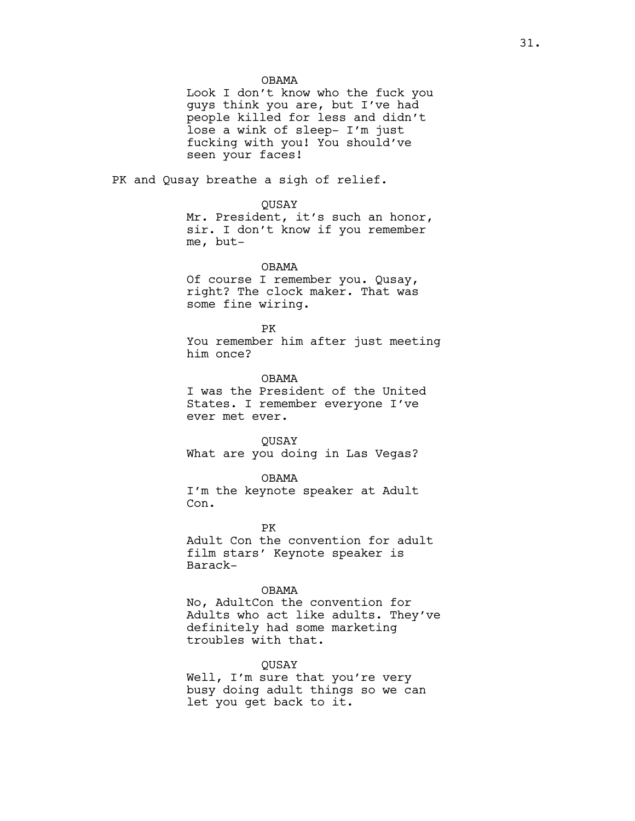OBAMA

Look I don't know who the fuck you guys think you are, but I've had people killed for less and didn't lose a wink of sleep- I'm just fucking with you! You should've seen your faces!

PK and Qusay breathe a sigh of relief.

#### QUSAY

Mr. President, it's such an honor, sir. I don't know if you remember me, but-

OBAMA

Of course I remember you. Qusay, right? The clock maker. That was some fine wiring.

PK

You remember him after just meeting him once?

OBAMA I was the President of the United States. I remember everyone I've ever met ever.

#### **OUSAY**

What are you doing in Las Vegas?

#### OBAMA

I'm the keynote speaker at Adult Con.

PK

Adult Con the convention for adult film stars' Keynote speaker is Barack-

#### OBAMA

No, AdultCon the convention for Adults who act like adults. They've definitely had some marketing troubles with that.

#### QUSAY

Well, I'm sure that you're very busy doing adult things so we can let you get back to it.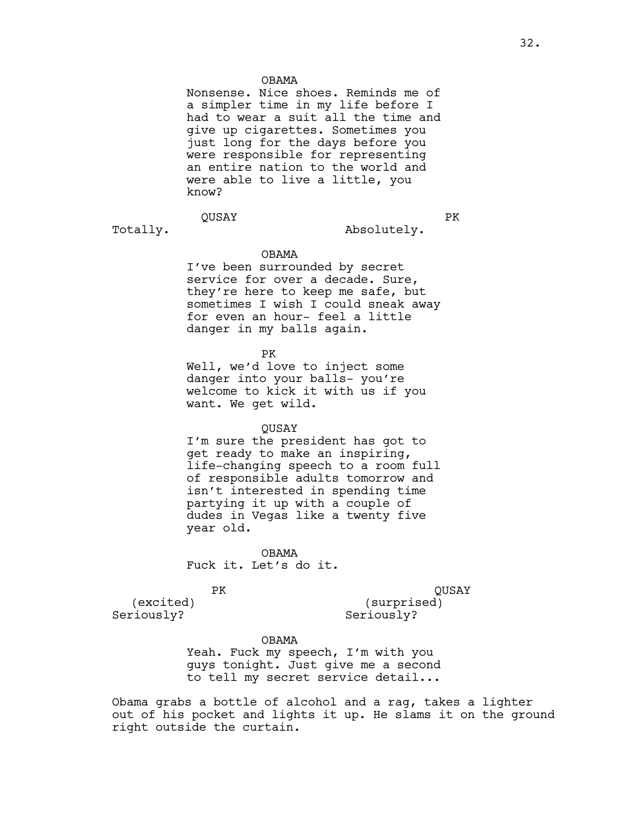#### OBAMA

Nonsense. Nice shoes. Reminds me of a simpler time in my life before I had to wear a suit all the time and give up cigarettes. Sometimes you just long for the days before you were responsible for representing an entire nation to the world and were able to live a little, you know?

# QUSAY

Totally.

PK

Absolutely.

#### OBAMA

I've been surrounded by secret service for over a decade. Sure, they're here to keep me safe, but sometimes I wish I could sneak away for even an hour- feel a little danger in my balls again.

PK

Well, we'd love to inject some danger into your balls- you're welcome to kick it with us if you want. We get wild.

#### QUSAY

I'm sure the president has got to get ready to make an inspiring, life-changing speech to a room full of responsible adults tomorrow and isn't interested in spending time partying it up with a couple of dudes in Vegas like a twenty five year old.

OBAMA Fuck it. Let's do it.

#### PK

QUSAY

(excited) Seriously?

(surprised) Seriously?

#### OBAMA

Yeah. Fuck my speech, I'm with you guys tonight. Just give me a second to tell my secret service detail...

Obama grabs a bottle of alcohol and a rag, takes a lighter out of his pocket and lights it up. He slams it on the ground right outside the curtain.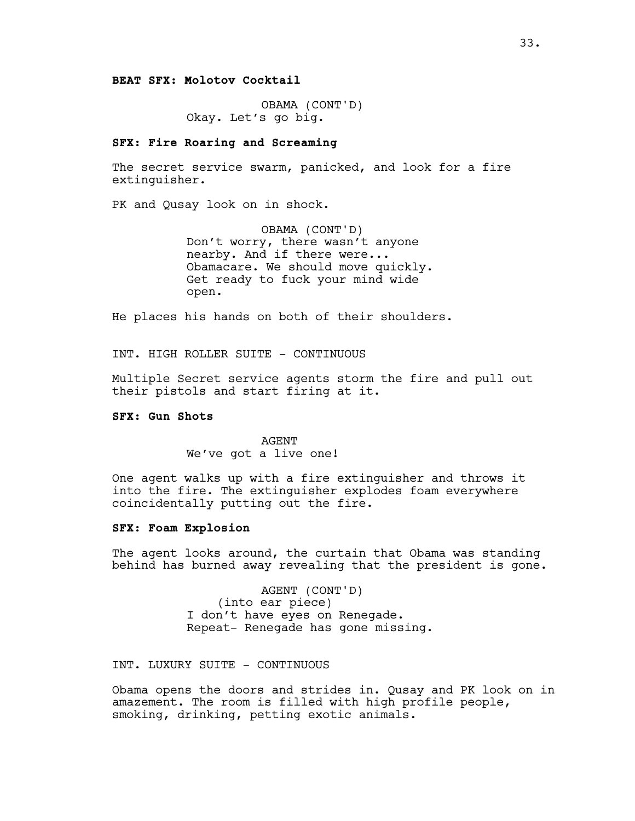**BEAT SFX: Molotov Cocktail**

OBAMA (CONT'D) Okay. Let's go big.

## **SFX: Fire Roaring and Screaming**

The secret service swarm, panicked, and look for a fire extinguisher.

PK and Qusay look on in shock.

OBAMA (CONT'D) Don't worry, there wasn't anyone nearby. And if there were... Obamacare. We should move quickly. Get ready to fuck your mind wide open.

He places his hands on both of their shoulders.

INT. HIGH ROLLER SUITE - CONTINUOUS

Multiple Secret service agents storm the fire and pull out their pistols and start firing at it.

### **SFX: Gun Shots**

AGENT We've got a live one!

One agent walks up with a fire extinguisher and throws it into the fire. The extinguisher explodes foam everywhere coincidentally putting out the fire.

### **SFX: Foam Explosion**

The agent looks around, the curtain that Obama was standing behind has burned away revealing that the president is gone.

> AGENT (CONT'D) (into ear piece) I don't have eyes on Renegade. Repeat- Renegade has gone missing.

INT. LUXURY SUITE - CONTINUOUS

Obama opens the doors and strides in. Qusay and PK look on in amazement. The room is filled with high profile people, smoking, drinking, petting exotic animals.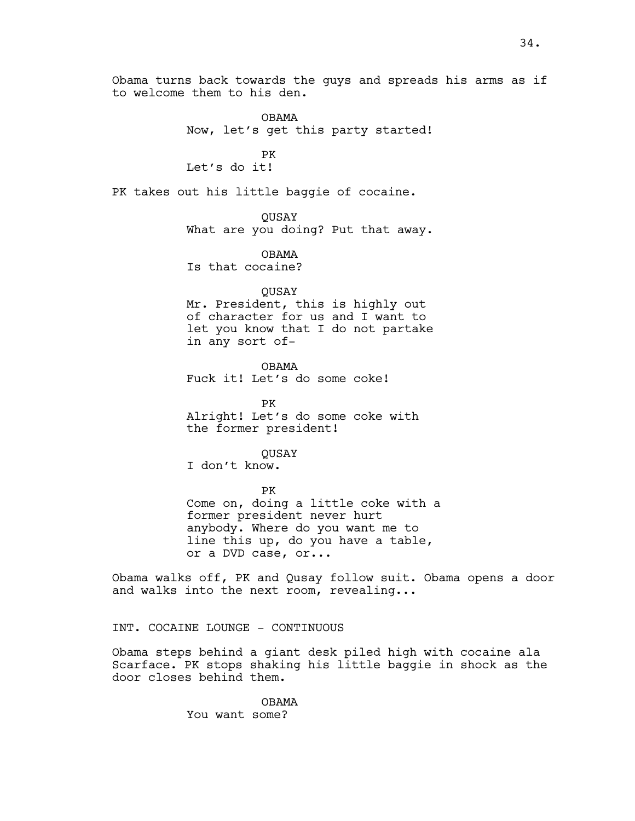Obama turns back towards the guys and spreads his arms as if to welcome them to his den.

> OBAMA Now, let's get this party started!

PK Let's do it!

PK takes out his little baggie of cocaine.

QUSAY What are you doing? Put that away.

OBAMA Is that cocaine?

QUSAY

Mr. President, this is highly out of character for us and I want to let you know that I do not partake in any sort of-

OBAMA Fuck it! Let's do some coke!

PK Alright! Let's do some coke with the former president!

**OUSAY** I don't know.

PK Come on, doing a little coke with a former president never hurt anybody. Where do you want me to line this up, do you have a table, or a DVD case, or...

Obama walks off, PK and Qusay follow suit. Obama opens a door and walks into the next room, revealing...

INT. COCAINE LOUNGE - CONTINUOUS

Obama steps behind a giant desk piled high with cocaine ala Scarface. PK stops shaking his little baggie in shock as the door closes behind them.

> OBAMA You want some?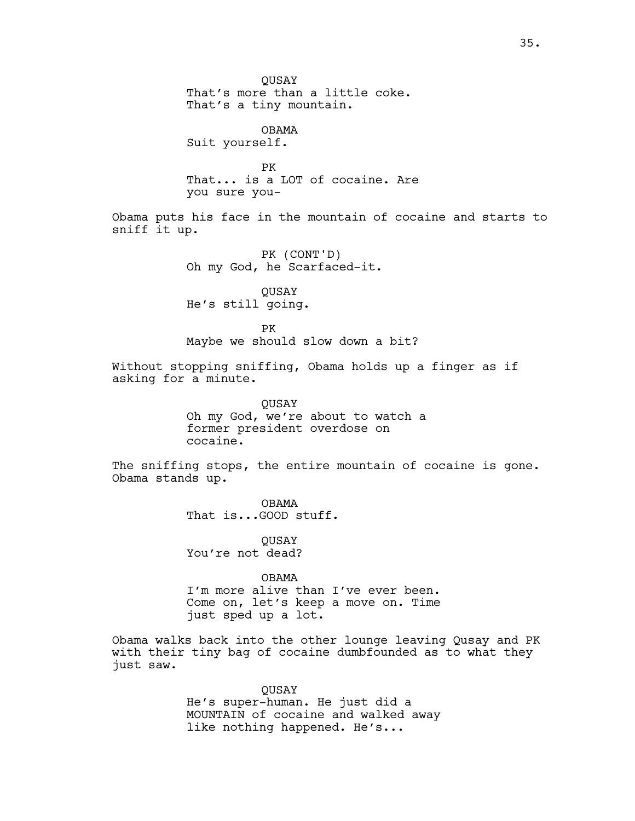QUSAY That's more than a little coke. That's a tiny mountain. OBAMA Suit yourself. PK That... is a LOT of cocaine. Are you sure you-Obama puts his face in the mountain of cocaine and starts to sniff it up. PK (CONT'D) Oh my God, he Scarfaced-it. QUSAY He's still going. PK Maybe we should slow down a bit? Without stopping sniffing, Obama holds up a finger as if asking for a minute. QUSAY Oh my God, we're about to watch a former president overdose on cocaine. The sniffing stops, the entire mountain of cocaine is gone. Obama stands up. OBAMA That is...GOOD stuff. **OUSAY** You're not dead? OBAMA I'm more alive than I've ever been. Come on, let's keep a move on. Time just sped up a lot. Obama walks back into the other lounge leaving Qusay and PK with their tiny bag of cocaine dumbfounded as to what they just saw.

> QUSAY He's super-human. He just did a MOUNTAIN of cocaine and walked away like nothing happened. He's...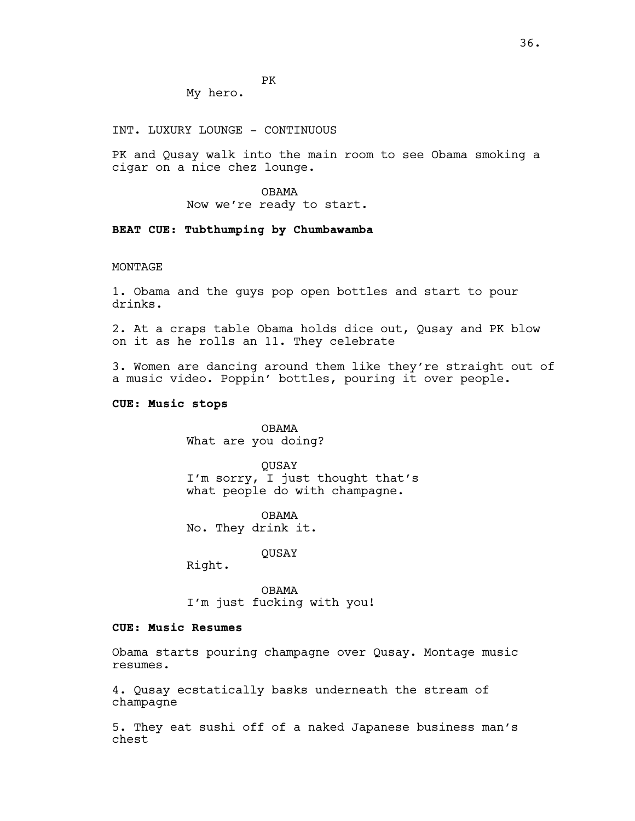PK

My hero.

INT. LUXURY LOUNGE - CONTINUOUS

PK and Qusay walk into the main room to see Obama smoking a cigar on a nice chez lounge.

> OBAMA Now we're ready to start.

### **BEAT CUE: Tubthumping by Chumbawamba**

#### MONTAGE

1. Obama and the guys pop open bottles and start to pour drinks.

2. At a craps table Obama holds dice out, Qusay and PK blow on it as he rolls an 11. They celebrate

3. Women are dancing around them like they're straight out of a music video. Poppin' bottles, pouring it over people.

### **CUE: Music stops**

OBAMA What are you doing?

QUSAY I'm sorry, I just thought that's what people do with champagne.

OBAMA No. They drink it.

QUSAY

Right.

OBAMA I'm just fucking with you!

# **CUE: Music Resumes**

Obama starts pouring champagne over Qusay. Montage music resumes.

4. Qusay ecstatically basks underneath the stream of champagne

5. They eat sushi off of a naked Japanese business man's chest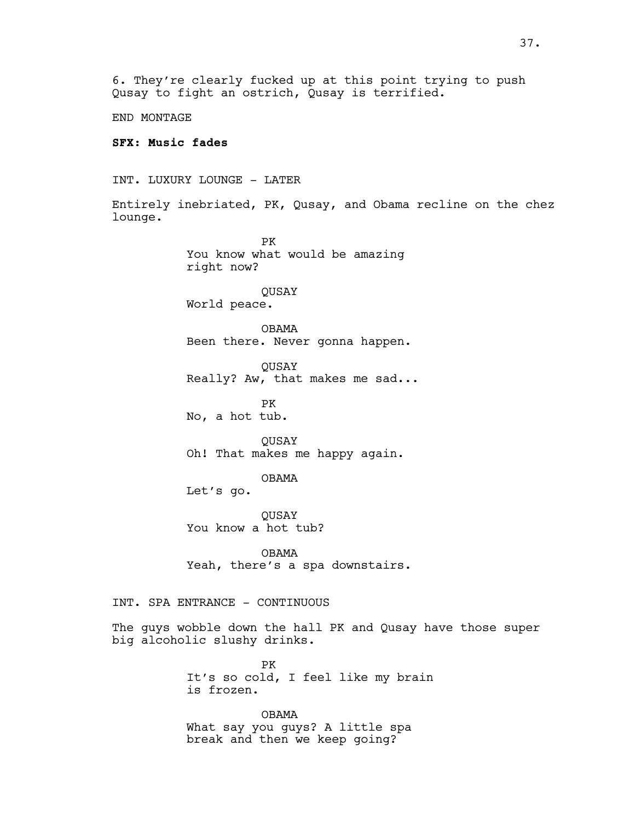6. They're clearly fucked up at this point trying to push Qusay to fight an ostrich, Qusay is terrified.

END MONTAGE

## **SFX: Music fades**

INT. LUXURY LOUNGE - LATER

Entirely inebriated, PK, Qusay, and Obama recline on the chez lounge.

> PK You know what would be amazing right now?

QUSAY World peace.

OBAMA Been there. Never gonna happen.

QUSAY Really? Aw, that makes me sad...

PK No, a hot tub.

**OUSAY** Oh! That makes me happy again.

OBAMA

Let's go.

QUSAY You know a hot tub?

OBAMA Yeah, there's a spa downstairs.

INT. SPA ENTRANCE - CONTINUOUS

The guys wobble down the hall PK and Qusay have those super big alcoholic slushy drinks.

> PK It's so cold, I feel like my brain is frozen.

OBAMA What say you guys? A little spa break and then we keep going?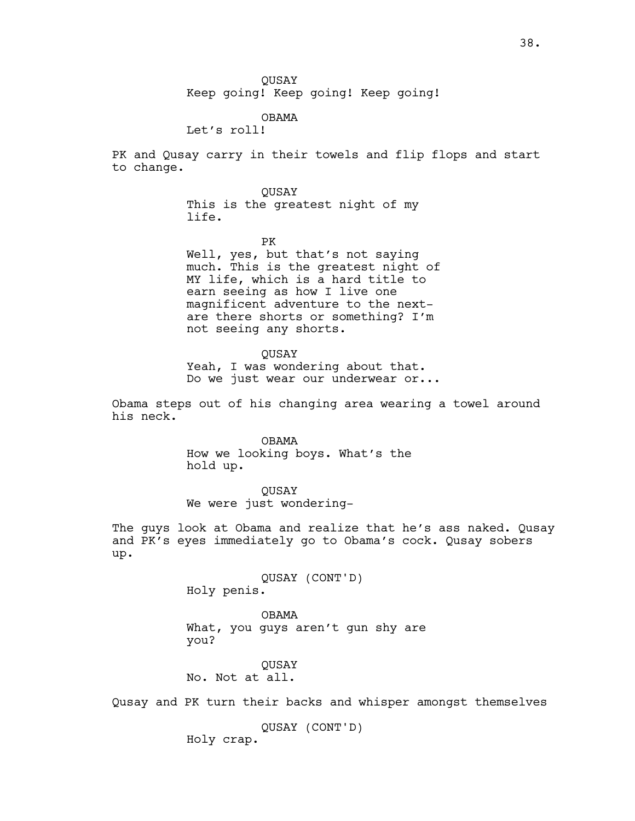Keep going! Keep going! Keep going!

### OBAMA

Let's roll!

PK and Qusay carry in their towels and flip flops and start to change.

> QUSAY This is the greatest night of my life.

PK Well, yes, but that's not saying much. This is the greatest night of MY life, which is a hard title to earn seeing as how I live one magnificent adventure to the nextare there shorts or something? I'm not seeing any shorts.

### QUSAY

Yeah, I was wondering about that. Do we just wear our underwear or...

Obama steps out of his changing area wearing a towel around his neck.

> OBAMA How we looking boys. What's the hold up.

> > QUSAY

We were just wondering-

The guys look at Obama and realize that he's ass naked. Qusay and PK's eyes immediately go to Obama's cock. Qusay sobers up.

> QUSAY (CONT'D) Holy penis.

OBAMA What, you guys aren't gun shy are you?

**OUSAY** No. Not at all.

Qusay and PK turn their backs and whisper amongst themselves

QUSAY (CONT'D) Holy crap.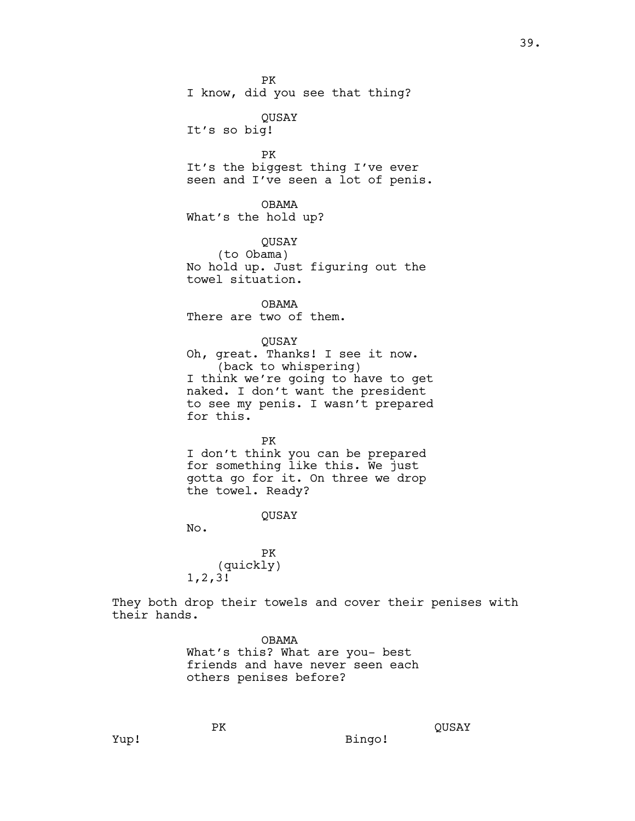PK

I know, did you see that thing?

QUSAY It's so big!

PK It's the biggest thing I've ever seen and I've seen a lot of penis.

OBAMA What's the hold up?

QUSAY (to Obama) No hold up. Just figuring out the towel situation.

OBAMA There are two of them.

QUSAY Oh, great. Thanks! I see it now. (back to whispering) I think we're going to have to get naked. I don't want the president

to see my penis. I wasn't prepared for this.

PK

I don't think you can be prepared for something like this. We just gotta go for it. On three we drop the towel. Ready?

QUSAY

No.

PK (quickly) 1,2,3!

PK

They both drop their towels and cover their penises with their hands.

> OBAMA What's this? What are you- best friends and have never seen each others penises before?

Bingo!

QUSAY

Yup!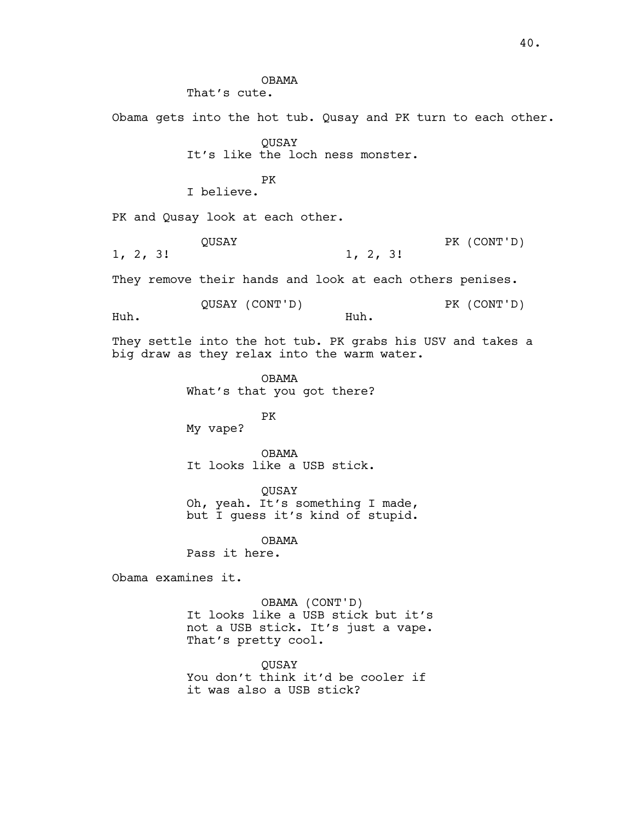That's cute. Obama gets into the hot tub. Qusay and PK turn to each other. QUSAY It's like the loch ness monster. PK I believe. PK and Qusay look at each other. QUSAY 1, 2, 3! PK (CONT'D) 1, 2, 3! They remove their hands and look at each others penises. QUSAY (CONT'D) Huh. PK (CONT'D) Huh. They settle into the hot tub. PK grabs his USV and takes a big draw as they relax into the warm water. OBAMA What's that you got there? PK My vape? OBAMA It looks like a USB stick. QUSAY Oh, yeah. It's something I made, but I guess it's kind of stupid. OBAMA Pass it here. Obama examines it. OBAMA (CONT'D) It looks like a USB stick but it's not a USB stick. It's just a vape. That's pretty cool. QUSAY You don't think it'd be cooler if it was also a USB stick?

OBAMA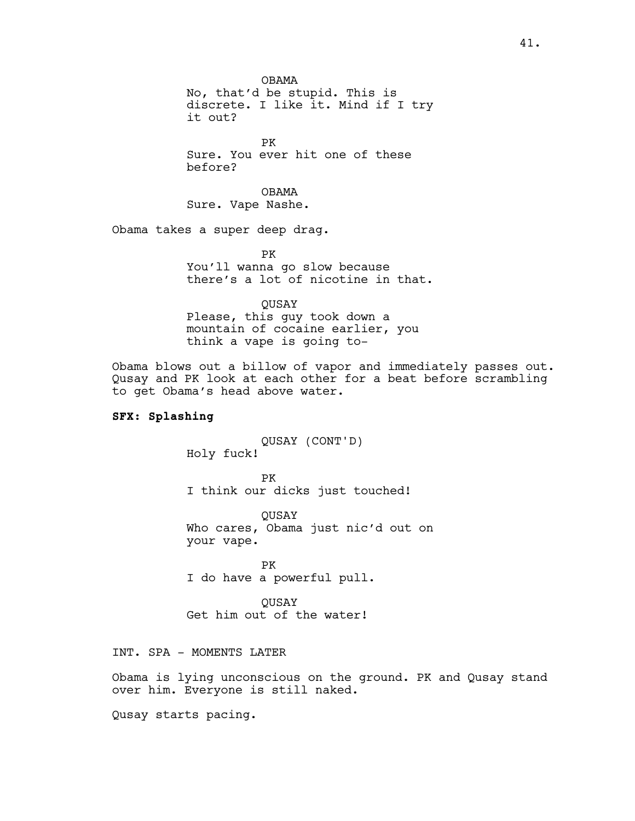OBAMA No, that'd be stupid. This is discrete. I like it. Mind if I try it out?

PK Sure. You ever hit one of these before?

OBAMA Sure. Vape Nashe.

Obama takes a super deep drag.

PK You'll wanna go slow because there's a lot of nicotine in that.

**OUSAY** 

Please, this guy took down a mountain of cocaine earlier, you think a vape is going to-

Obama blows out a billow of vapor and immediately passes out. Qusay and PK look at each other for a beat before scrambling to get Obama's head above water.

### **SFX: Splashing**

QUSAY (CONT'D) Holy fuck!

PK I think our dicks just touched!

QUSAY Who cares, Obama just nic'd out on your vape.

PK I do have a powerful pull.

QUSAY Get him out of the water!

INT. SPA - MOMENTS LATER

Obama is lying unconscious on the ground. PK and Qusay stand over him. Everyone is still naked.

Qusay starts pacing.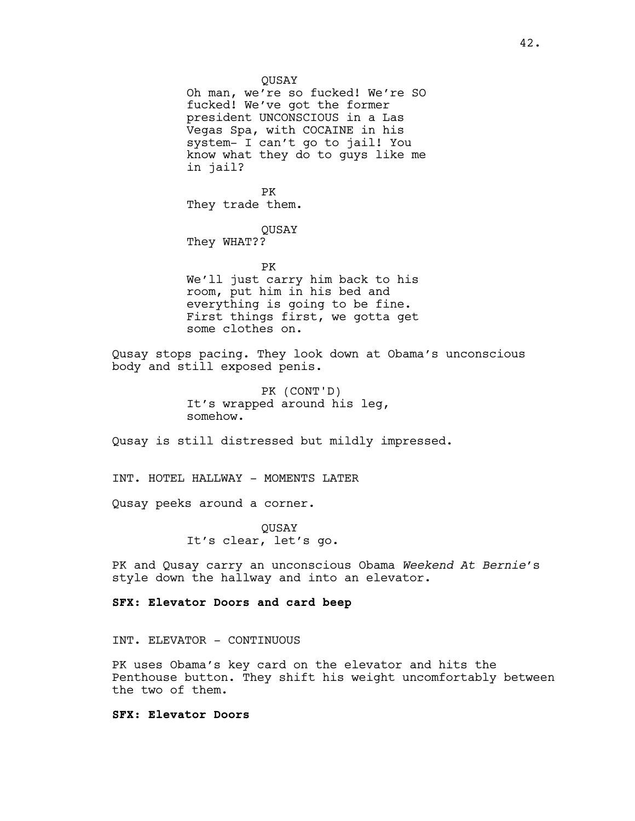Oh man, we're so fucked! We're SO fucked! We've got the former president UNCONSCIOUS in a Las Vegas Spa, with COCAINE in his system- I can't go to jail! You know what they do to guys like me in jail?

PK They trade them.

**OUSAY** They WHAT??

PK

We'll just carry him back to his room, put him in his bed and everything is going to be fine. First things first, we gotta get some clothes on.

Qusay stops pacing. They look down at Obama's unconscious body and still exposed penis.

> PK (CONT'D) It's wrapped around his leg, somehow.

Qusay is still distressed but mildly impressed.

INT. HOTEL HALLWAY - MOMENTS LATER

Qusay peeks around a corner.

**OUSAY** It's clear, let's go.

PK and Qusay carry an unconscious Obama *Weekend At Bernie*'s style down the hallway and into an elevator.

**SFX: Elevator Doors and card beep**

INT. ELEVATOR - CONTINUOUS

PK uses Obama's key card on the elevator and hits the Penthouse button. They shift his weight uncomfortably between the two of them.

**SFX: Elevator Doors**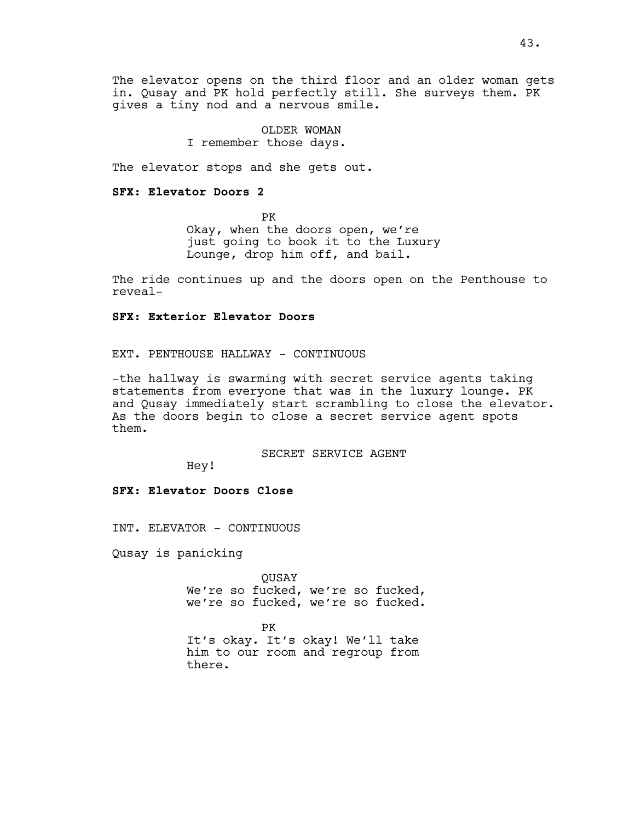The elevator opens on the third floor and an older woman gets in. Qusay and PK hold perfectly still. She surveys them. PK gives a tiny nod and a nervous smile.

> OLDER WOMAN I remember those days.

The elevator stops and she gets out.

### **SFX: Elevator Doors 2**

PK Okay, when the doors open, we're just going to book it to the Luxury Lounge, drop him off, and bail.

The ride continues up and the doors open on the Penthouse to reveal-

# **SFX: Exterior Elevator Doors**

EXT. PENTHOUSE HALLWAY - CONTINUOUS

-the hallway is swarming with secret service agents taking statements from everyone that was in the luxury lounge. PK and Qusay immediately start scrambling to close the elevator. As the doors begin to close a secret service agent spots them.

SECRET SERVICE AGENT

Hey!

### **SFX: Elevator Doors Close**

INT. ELEVATOR - CONTINUOUS

Qusay is panicking

**OUSAY** We're so fucked, we're so fucked, we're so fucked, we're so fucked.

PK

It's okay. It's okay! We'll take him to our room and regroup from there.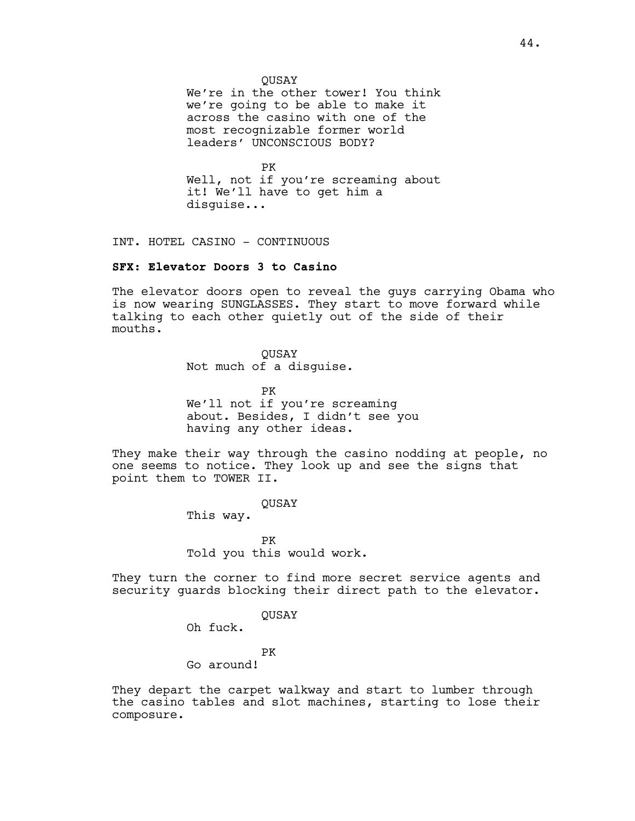**OUSAY** 

We're in the other tower! You think we're going to be able to make it across the casino with one of the most recognizable former world leaders' UNCONSCIOUS BODY?

PK Well, not if you're screaming about it! We'll have to get him a disguise...

INT. HOTEL CASINO - CONTINUOUS

### **SFX: Elevator Doors 3 to Casino**

The elevator doors open to reveal the guys carrying Obama who is now wearing SUNGLASSES. They start to move forward while talking to each other quietly out of the side of their mouths.

> QUSAY Not much of a disguise.

PK We'll not if you're screaming about. Besides, I didn't see you having any other ideas.

They make their way through the casino nodding at people, no one seems to notice. They look up and see the signs that point them to TOWER II.

QUSAY

This way.

PK Told you this would work.

They turn the corner to find more secret service agents and security guards blocking their direct path to the elevator.

QUSAY

Oh fuck.

PK

Go around!

They depart the carpet walkway and start to lumber through the casino tables and slot machines, starting to lose their composure.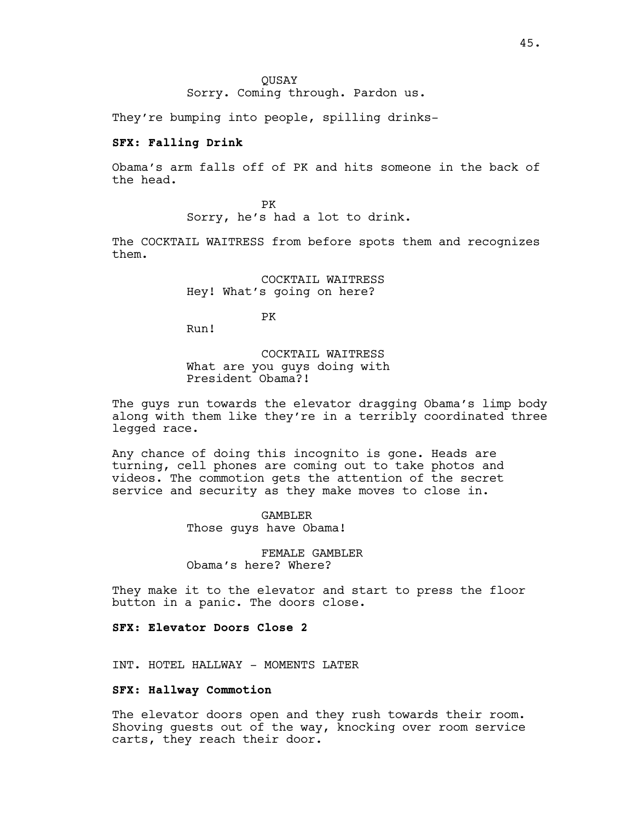**OUSAY** Sorry. Coming through. Pardon us.

They're bumping into people, spilling drinks-

### **SFX: Falling Drink**

Obama's arm falls off of PK and hits someone in the back of the head.

> PK Sorry, he's had a lot to drink.

The COCKTAIL WAITRESS from before spots them and recognizes them.

> COCKTAIL WAITRESS Hey! What's going on here?

> > PK

Run!

COCKTAIL WAITRESS What are you guys doing with President Obama?!

The guys run towards the elevator dragging Obama's limp body along with them like they're in a terribly coordinated three legged race.

Any chance of doing this incognito is gone. Heads are turning, cell phones are coming out to take photos and videos. The commotion gets the attention of the secret service and security as they make moves to close in.

> GAMBLER Those guys have Obama!

FEMALE GAMBLER Obama's here? Where?

They make it to the elevator and start to press the floor button in a panic. The doors close.

# **SFX: Elevator Doors Close 2**

INT. HOTEL HALLWAY - MOMENTS LATER

## **SFX: Hallway Commotion**

The elevator doors open and they rush towards their room. Shoving guests out of the way, knocking over room service carts, they reach their door.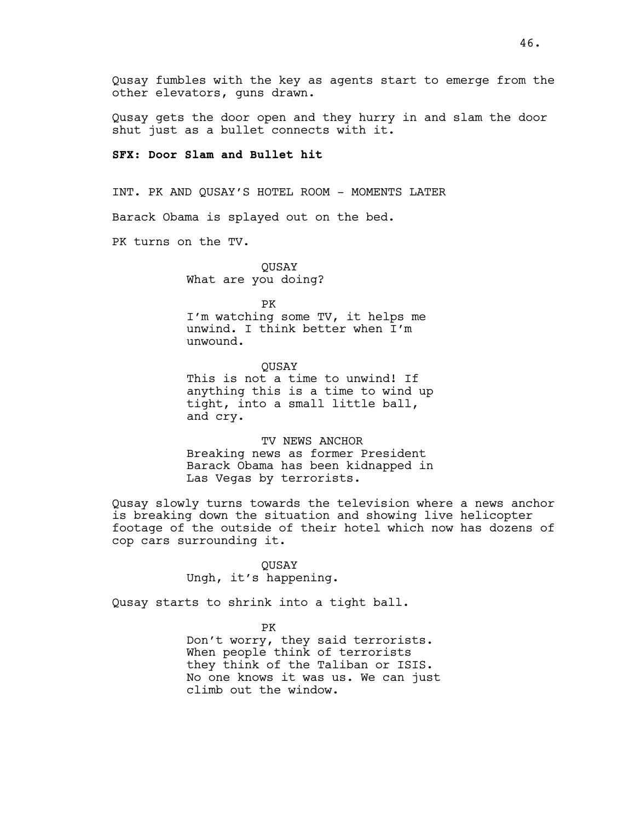Qusay fumbles with the key as agents start to emerge from the other elevators, guns drawn.

Qusay gets the door open and they hurry in and slam the door shut just as a bullet connects with it.

# **SFX: Door Slam and Bullet hit**

INT. PK AND QUSAY'S HOTEL ROOM - MOMENTS LATER

Barack Obama is splayed out on the bed.

PK turns on the TV.

QUSAY What are you doing?

PK

I'm watching some TV, it helps me unwind. I think better when I'm unwound.

**OUSAY** This is not a time to unwind! If anything this is a time to wind up tight, into a small little ball, and cry.

TV NEWS ANCHOR Breaking news as former President Barack Obama has been kidnapped in Las Vegas by terrorists.

Qusay slowly turns towards the television where a news anchor is breaking down the situation and showing live helicopter footage of the outside of their hotel which now has dozens of cop cars surrounding it.

> QUSAY Ungh, it's happening.

Qusay starts to shrink into a tight ball.

PK

Don't worry, they said terrorists. When people think of terrorists they think of the Taliban or ISIS. No one knows it was us. We can just climb out the window.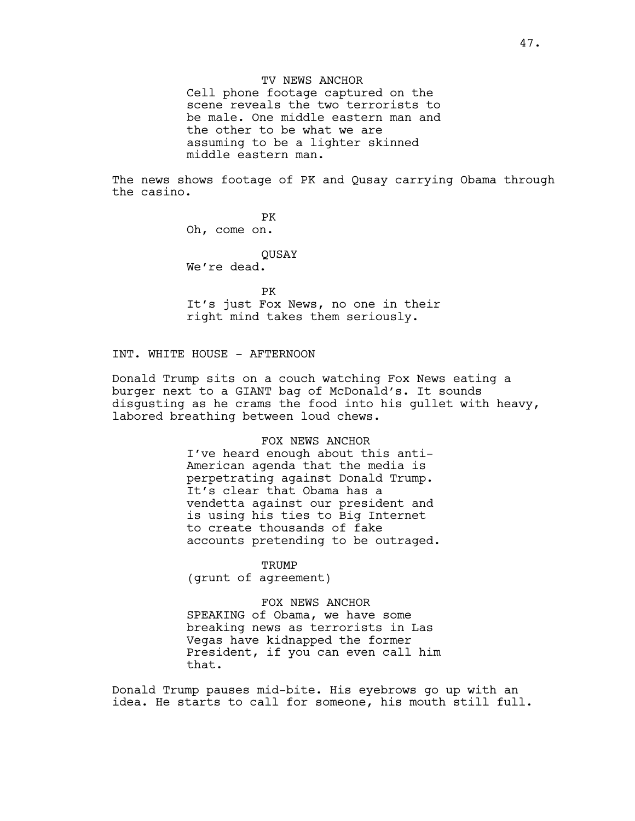TV NEWS ANCHOR Cell phone footage captured on the scene reveals the two terrorists to be male. One middle eastern man and the other to be what we are assuming to be a lighter skinned middle eastern man.

The news shows footage of PK and Qusay carrying Obama through the casino.

> PK Oh, come on.

**OUSAY** We're dead.

PK It's just Fox News, no one in their right mind takes them seriously.

## INT. WHITE HOUSE - AFTERNOON

Donald Trump sits on a couch watching Fox News eating a burger next to a GIANT bag of McDonald's. It sounds disgusting as he crams the food into his gullet with heavy, labored breathing between loud chews.

#### FOX NEWS ANCHOR

I've heard enough about this anti-American agenda that the media is perpetrating against Donald Trump. It's clear that Obama has a vendetta against our president and is using his ties to Big Internet to create thousands of fake accounts pretending to be outraged.

TRUMP (grunt of agreement)

FOX NEWS ANCHOR SPEAKING of Obama, we have some breaking news as terrorists in Las Vegas have kidnapped the former President, if you can even call him that.

Donald Trump pauses mid-bite. His eyebrows go up with an idea. He starts to call for someone, his mouth still full.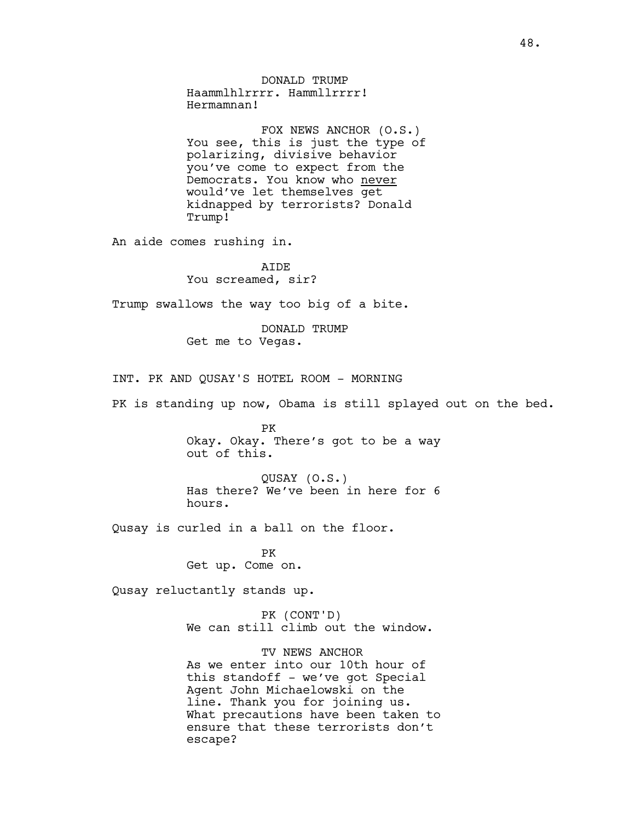DONALD TRUMP Haammlhlrrrr. Hammllrrrr! Hermamnan! FOX NEWS ANCHOR (O.S.) You see, this is just the type of polarizing, divisive behavior you've come to expect from the Democrats. You know who never would've let themselves get kidnapped by terrorists? Donald Trump! An aide comes rushing in. AIDE You screamed, sir? Trump swallows the way too big of a bite. DONALD TRUMP Get me to Vegas. INT. PK AND QUSAY'S HOTEL ROOM - MORNING PK is standing up now, Obama is still splayed out on the bed. PK Okay. Okay. There's got to be a way out of this. QUSAY (O.S.) Has there? We've been in here for 6 hours. Qusay is curled in a ball on the floor. PK Get up. Come on. Qusay reluctantly stands up. PK (CONT'D) We can still climb out the window. TV NEWS ANCHOR As we enter into our 10th hour of this standoff - we've got Special

Agent John Michaelowski on the line. Thank you for joining us. What precautions have been taken to ensure that these terrorists don't escape?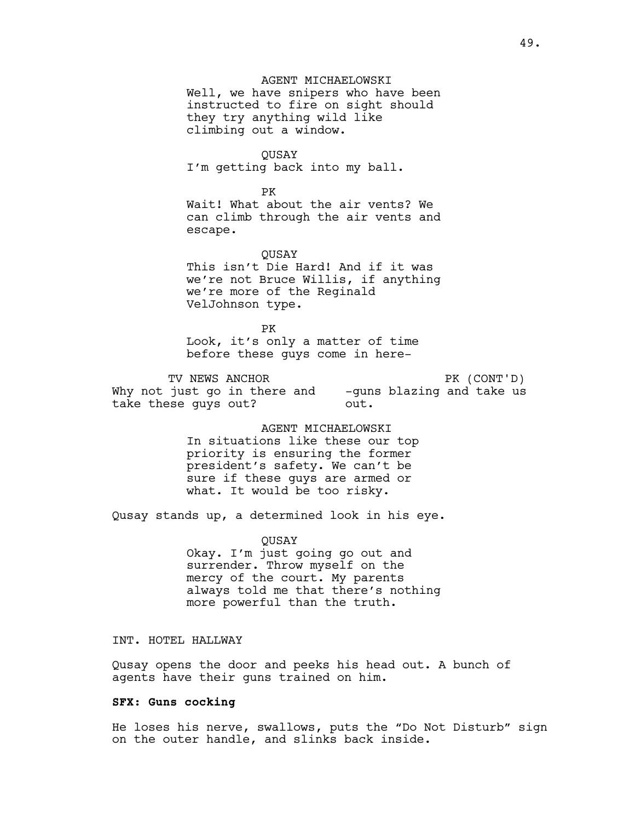### AGENT MICHAELOWSKI

Well, we have snipers who have been instructed to fire on sight should they try anything wild like climbing out a window.

QUSAY I'm getting back into my ball.

PK Wait! What about the air vents? We can climb through the air vents and escape.

**OUSAY** This isn't Die Hard! And if it was we're not Bruce Willis, if anything we're more of the Reginald VelJohnson type.

PK Look, it's only a matter of time before these guys come in here-

TV NEWS ANCHOR Why not just go in there and -guns blazing and take us take these guys out? PK (CONT'D) out.

> AGENT MICHAELOWSKI In situations like these our top priority is ensuring the former president's safety. We can't be sure if these guys are armed or what. It would be too risky.

Qusay stands up, a determined look in his eye.

QUSAY Okay. I'm just going go out and surrender. Throw myself on the mercy of the court. My parents always told me that there's nothing more powerful than the truth.

INT. HOTEL HALLWAY

Qusay opens the door and peeks his head out. A bunch of agents have their guns trained on him.

#### **SFX: Guns cocking**

He loses his nerve, swallows, puts the "Do Not Disturb" sign on the outer handle, and slinks back inside.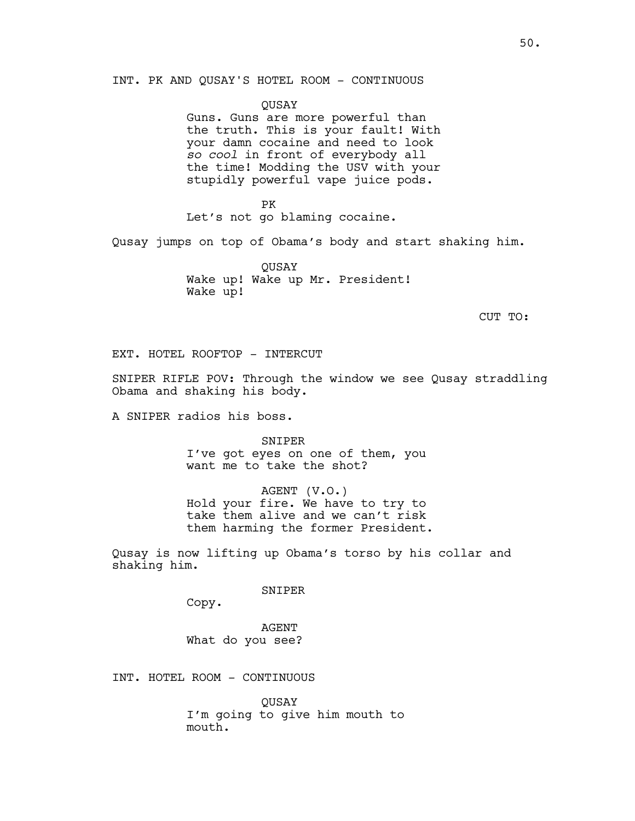INT. PK AND QUSAY'S HOTEL ROOM - CONTINUOUS

QUSAY Guns. Guns are more powerful than the truth. This is your fault! With your damn cocaine and need to look

*so cool* in front of everybody all the time! Modding the USV with your stupidly powerful vape juice pods.

PK Let's not go blaming cocaine.

Qusay jumps on top of Obama's body and start shaking him.

QUSAY Wake up! Wake up Mr. President! Wake up!

CUT TO:

EXT. HOTEL ROOFTOP - INTERCUT

SNIPER RIFLE POV: Through the window we see Qusay straddling Obama and shaking his body.

A SNIPER radios his boss.

SNIPER I've got eyes on one of them, you want me to take the shot?

AGENT (V.O.) Hold your fire. We have to try to take them alive and we can't risk them harming the former President.

Qusay is now lifting up Obama's torso by his collar and shaking him.

SNIPER

Copy.

AGENT What do you see?

INT. HOTEL ROOM - CONTINUOUS

QUSAY I'm going to give him mouth to mouth.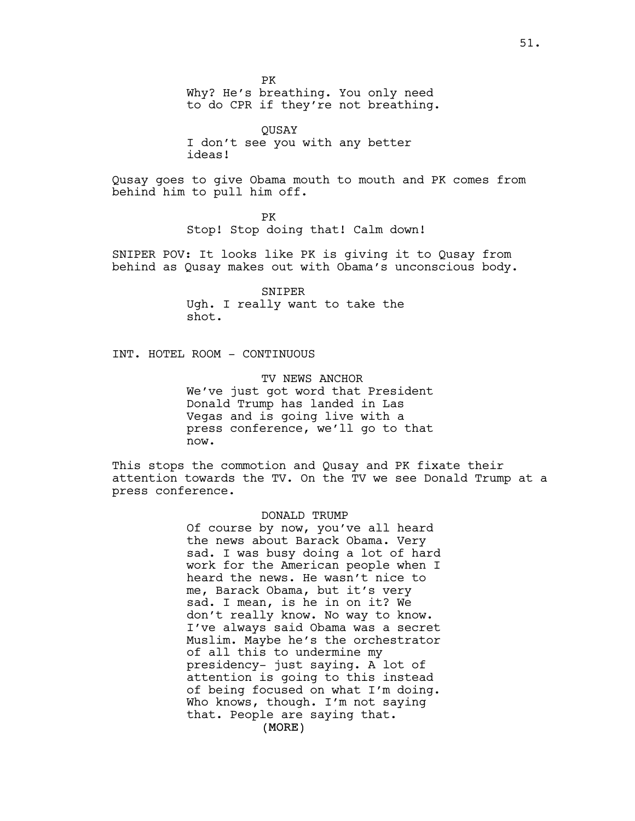PK Why? He's breathing. You only need to do CPR if they're not breathing.

QUSAY I don't see you with any better ideas!

Qusay goes to give Obama mouth to mouth and PK comes from behind him to pull him off.

> PK Stop! Stop doing that! Calm down!

SNIPER POV: It looks like PK is giving it to Qusay from behind as Qusay makes out with Obama's unconscious body.

> SNIPER Ugh. I really want to take the shot.

INT. HOTEL ROOM - CONTINUOUS

TV NEWS ANCHOR We've just got word that President Donald Trump has landed in Las Vegas and is going live with a press conference, we'll go to that now.

This stops the commotion and Qusay and PK fixate their attention towards the TV. On the TV we see Donald Trump at a press conference.

#### DONALD TRUMP

(MORE) Of course by now, you've all heard the news about Barack Obama. Very sad. I was busy doing a lot of hard work for the American people when I heard the news. He wasn't nice to me, Barack Obama, but it's very sad. I mean, is he in on it? We don't really know. No way to know. I've always said Obama was a secret Muslim. Maybe he's the orchestrator of all this to undermine my presidency- just saying. A lot of attention is going to this instead of being focused on what I'm doing. Who knows, though. I'm not saying that. People are saying that.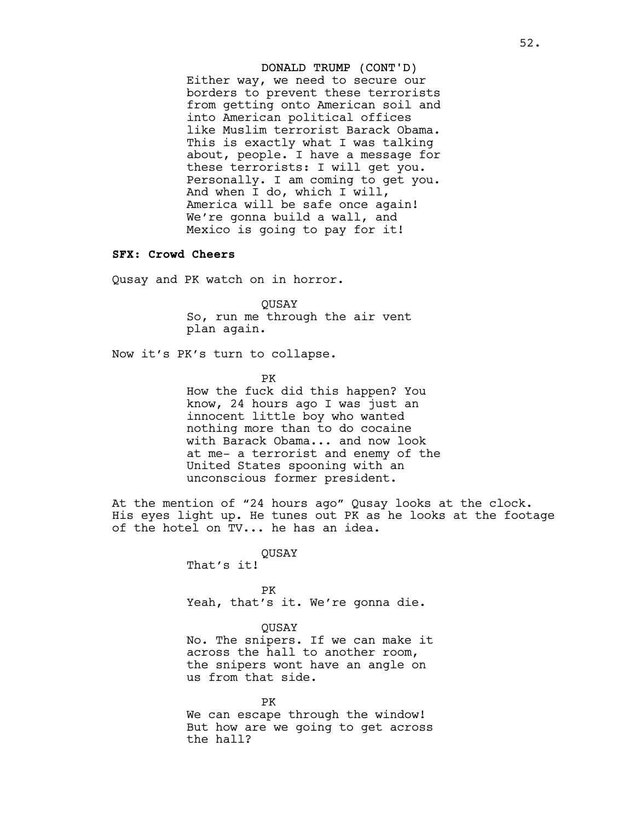# DONALD TRUMP (CONT'D) Either way, we need to secure our borders to prevent these terrorists from getting onto American soil and into American political offices like Muslim terrorist Barack Obama. This is exactly what I was talking about, people. I have a message for these terrorists: I will get you. Personally. I am coming to get you. And when I do, which I will, America will be safe once again! We're gonna build a wall, and Mexico is going to pay for it!

#### **SFX: Crowd Cheers**

Qusay and PK watch on in horror.

QUSAY So, run me through the air vent plan again.

Now it's PK's turn to collapse.

PK

How the fuck did this happen? You know, 24 hours ago I was just an innocent little boy who wanted nothing more than to do cocaine with Barack Obama... and now look at me- a terrorist and enemy of the United States spooning with an unconscious former president.

At the mention of "24 hours ago" Qusay looks at the clock. His eyes light up. He tunes out PK as he looks at the footage of the hotel on TV... he has an idea.

> QUSAY That's it!

PK Yeah, that's it. We're gonna die.

QUSAY No. The snipers. If we can make it across the hall to another room, the snipers wont have an angle on us from that side.

PK We can escape through the window! But how are we going to get across the hall?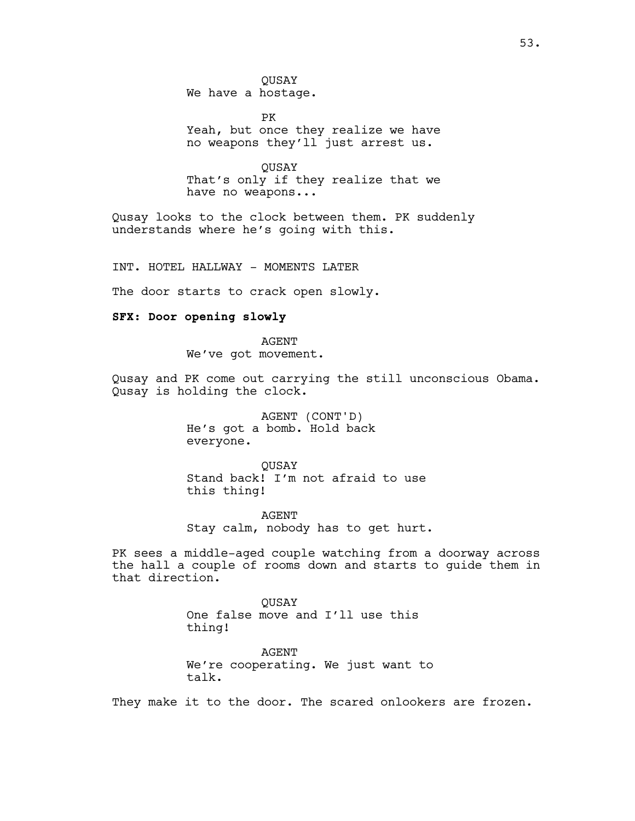PK Yeah, but once they realize we have no weapons they'll just arrest us.

**OUSAY** That's only if they realize that we have no weapons...

Qusay looks to the clock between them. PK suddenly understands where he's going with this.

INT. HOTEL HALLWAY - MOMENTS LATER

The door starts to crack open slowly.

### **SFX: Door opening slowly**

AGENT We've got movement.

Qusay and PK come out carrying the still unconscious Obama. Qusay is holding the clock.

> AGENT (CONT'D) He's got a bomb. Hold back everyone.

QUSAY Stand back! I'm not afraid to use this thing!

AGENT Stay calm, nobody has to get hurt.

PK sees a middle-aged couple watching from a doorway across the hall a couple of rooms down and starts to guide them in that direction.

> **OUSAY** One false move and I'll use this thing!

AGENT We're cooperating. We just want to talk.

They make it to the door. The scared onlookers are frozen.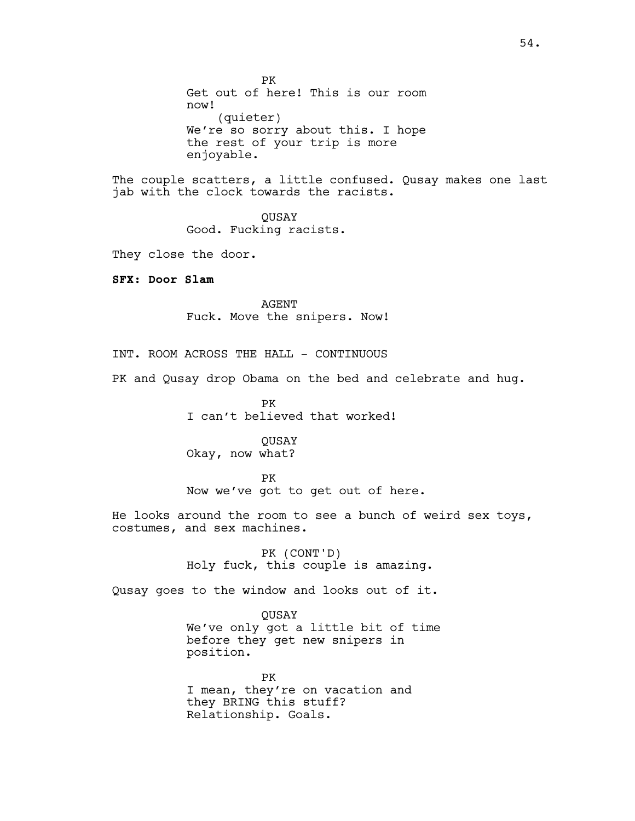PK Get out of here! This is our room now! (quieter) We're so sorry about this. I hope the rest of your trip is more enjoyable.

The couple scatters, a little confused. Qusay makes one last jab with the clock towards the racists.

> QUSAY Good. Fucking racists.

They close the door.

**SFX: Door Slam**

AGENT Fuck. Move the snipers. Now!

INT. ROOM ACROSS THE HALL - CONTINUOUS

PK and Qusay drop Obama on the bed and celebrate and hug.

PK I can't believed that worked!

**OUSAY** Okay, now what?

PK Now we've got to get out of here.

He looks around the room to see a bunch of weird sex toys, costumes, and sex machines.

> PK (CONT'D) Holy fuck, this couple is amazing.

Qusay goes to the window and looks out of it.

QUSAY

We've only got a little bit of time before they get new snipers in position.

PK I mean, they're on vacation and they BRING this stuff? Relationship. Goals.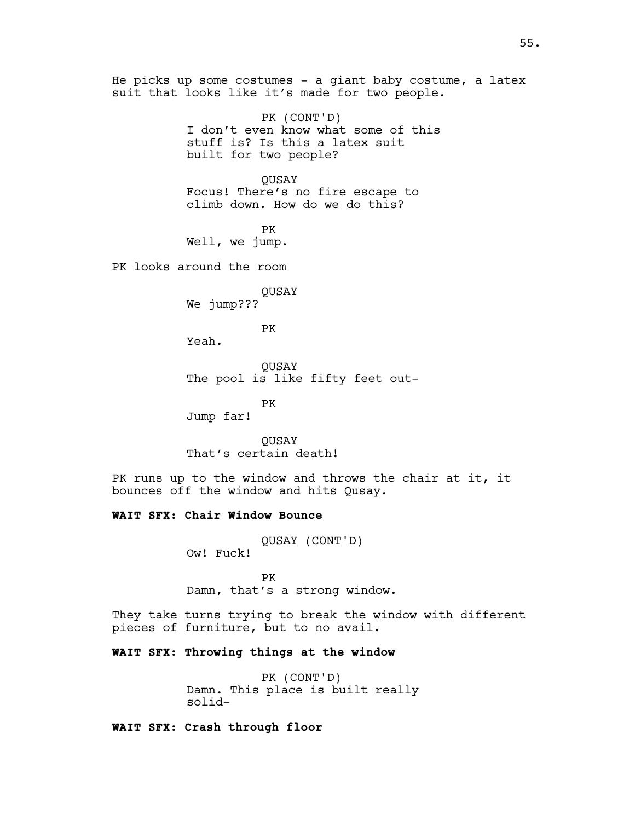He picks up some costumes - a giant baby costume, a latex suit that looks like it's made for two people. PK (CONT'D) I don't even know what some of this stuff is? Is this a latex suit built for two people? QUSAY Focus! There's no fire escape to climb down. How do we do this? PK Well, we jump. PK looks around the room QUSAY We jump??? PK Yeah. QUSAY The pool is like fifty feet out-PK Jump far! **OUSAY** That's certain death! PK runs up to the window and throws the chair at it, it bounces off the window and hits Qusay. **WAIT SFX: Chair Window Bounce** QUSAY (CONT'D) Ow! Fuck! PK Damn, that's a strong window. They take turns trying to break the window with different pieces of furniture, but to no avail.

**WAIT SFX: Throwing things at the window**

PK (CONT'D) Damn. This place is built really solid-

**WAIT SFX: Crash through floor**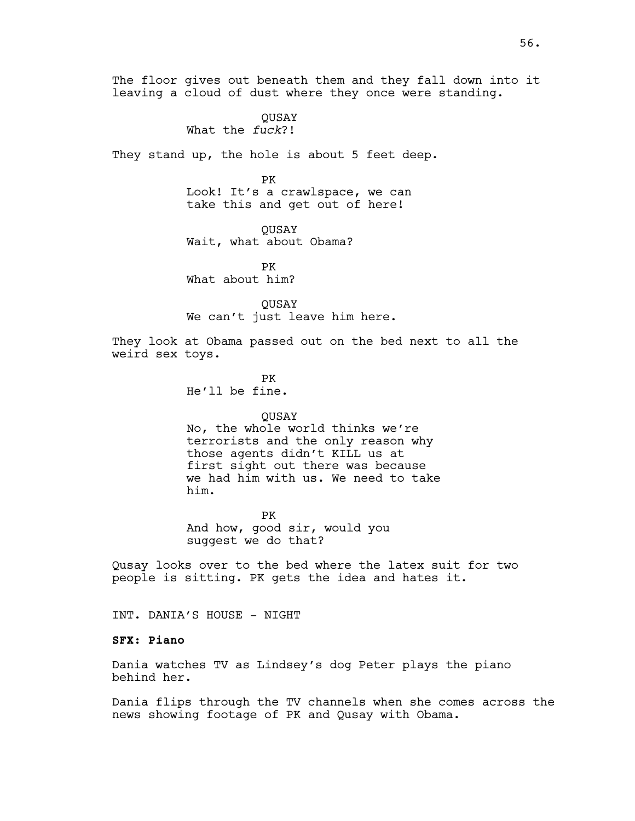The floor gives out beneath them and they fall down into it leaving a cloud of dust where they once were standing.

> **OUSAY** What the *fuck*?!

They stand up, the hole is about 5 feet deep.

PK Look! It's a crawlspace, we can take this and get out of here!

QUSAY Wait, what about Obama?

PK What about him?

**OUSAY** We can't just leave him here.

They look at Obama passed out on the bed next to all the weird sex toys.

> PK He'll be fine.

### **OUSAY**

No, the whole world thinks we're terrorists and the only reason why those agents didn't KILL us at first sight out there was because we had him with us. We need to take him.

PK And how, good sir, would you suggest we do that?

Qusay looks over to the bed where the latex suit for two people is sitting. PK gets the idea and hates it.

INT. DANIA'S HOUSE - NIGHT

### **SFX: Piano**

Dania watches TV as Lindsey's dog Peter plays the piano behind her.

Dania flips through the TV channels when she comes across the news showing footage of PK and Qusay with Obama.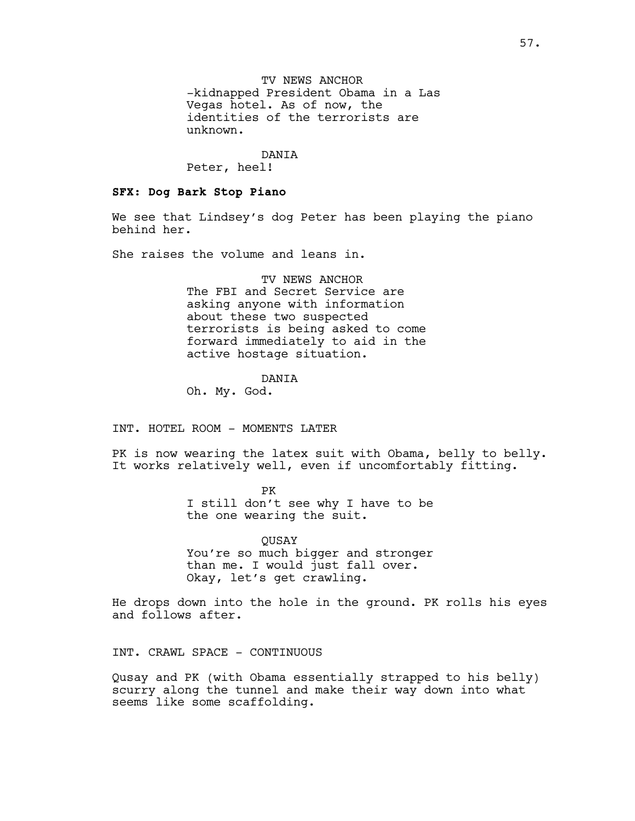TV NEWS ANCHOR -kidnapped President Obama in a Las Vegas hotel. As of now, the identities of the terrorists are unknown.

DANIA

Peter, heel!

## **SFX: Dog Bark Stop Piano**

We see that Lindsey's dog Peter has been playing the piano behind her.

She raises the volume and leans in.

TV NEWS ANCHOR The FBI and Secret Service are asking anyone with information about these two suspected terrorists is being asked to come forward immediately to aid in the active hostage situation.

# DANIA

Oh. My. God.

INT. HOTEL ROOM - MOMENTS LATER

PK is now wearing the latex suit with Obama, belly to belly. It works relatively well, even if uncomfortably fitting.

> PK I still don't see why I have to be the one wearing the suit.

> QUSAY You're so much bigger and stronger than me. I would just fall over. Okay, let's get crawling.

He drops down into the hole in the ground. PK rolls his eyes and follows after.

INT. CRAWL SPACE - CONTINUOUS

Qusay and PK (with Obama essentially strapped to his belly) scurry along the tunnel and make their way down into what seems like some scaffolding.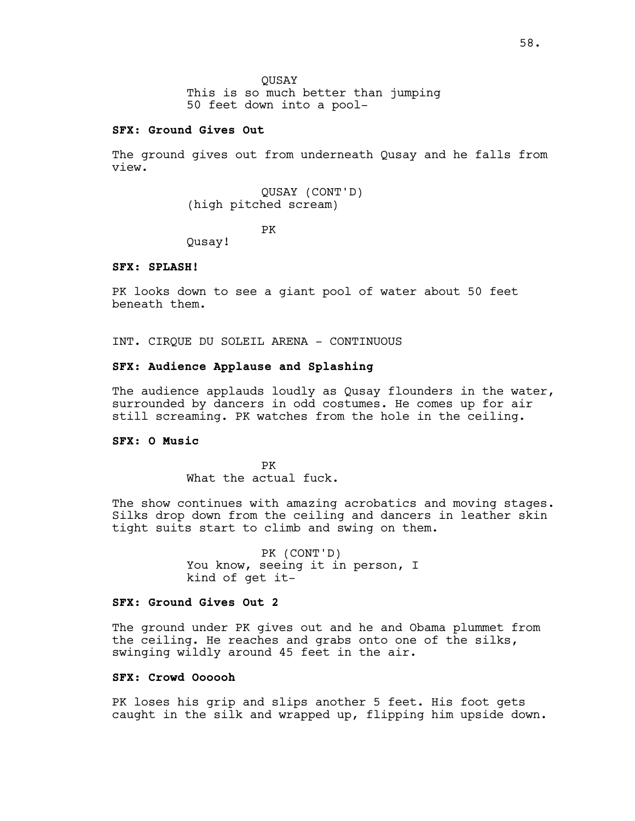### **SFX: Ground Gives Out**

The ground gives out from underneath Qusay and he falls from view.

> QUSAY (CONT'D) (high pitched scream)

> > PK

Qusay!

### **SFX: SPLASH!**

PK looks down to see a giant pool of water about 50 feet beneath them.

INT. CIRQUE DU SOLEIL ARENA - CONTINUOUS

## **SFX: Audience Applause and Splashing**

The audience applauds loudly as Qusay flounders in the water, surrounded by dancers in odd costumes. He comes up for air still screaming. PK watches from the hole in the ceiling.

### **SFX: O Music**

PK What the actual fuck.

The show continues with amazing acrobatics and moving stages. Silks drop down from the ceiling and dancers in leather skin tight suits start to climb and swing on them.

> PK (CONT'D) You know, seeing it in person, I kind of get it-

### **SFX: Ground Gives Out 2**

The ground under PK gives out and he and Obama plummet from the ceiling. He reaches and grabs onto one of the silks, swinging wildly around 45 feet in the air.

### **SFX: Crowd Oooooh**

PK loses his grip and slips another 5 feet. His foot gets caught in the silk and wrapped up, flipping him upside down.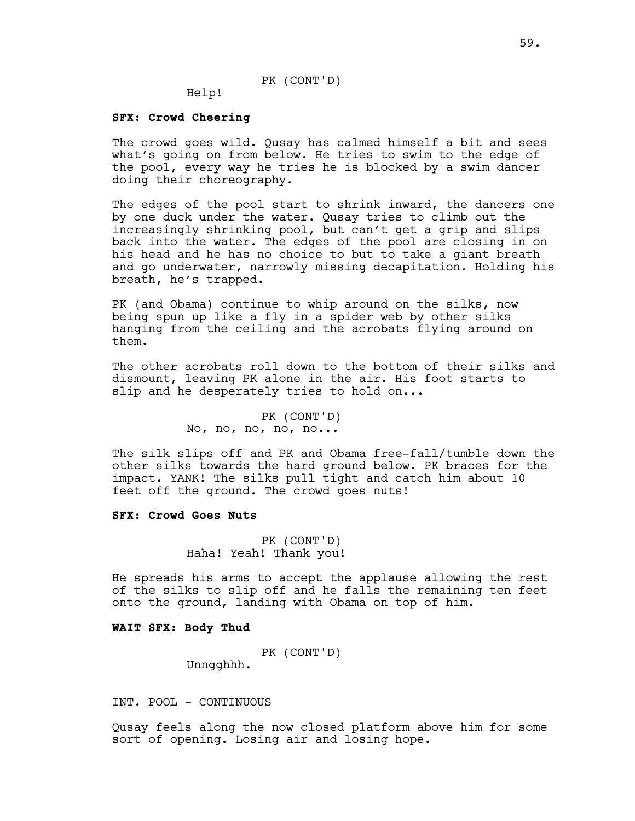## PK (CONT'D)

Help!

#### **SFX: Crowd Cheering**

The crowd goes wild. Qusay has calmed himself a bit and sees what's going on from below. He tries to swim to the edge of the pool, every way he tries he is blocked by a swim dancer doing their choreography.

The edges of the pool start to shrink inward, the dancers one by one duck under the water. Qusay tries to climb out the increasingly shrinking pool, but can't get a grip and slips back into the water. The edges of the pool are closing in on his head and he has no choice to but to take a giant breath and go underwater, narrowly missing decapitation. Holding his breath, he's trapped.

PK (and Obama) continue to whip around on the silks, now being spun up like a fly in a spider web by other silks hanging from the ceiling and the acrobats flying around on them.

The other acrobats roll down to the bottom of their silks and dismount, leaving PK alone in the air. His foot starts to slip and he desperately tries to hold on...

> PK (CONT'D) No, no, no, no, no...

The silk slips off and PK and Obama free-fall/tumble down the other silks towards the hard ground below. PK braces for the impact. YANK! The silks pull tight and catch him about 10 feet off the ground. The crowd goes nuts!

### **SFX: Crowd Goes Nuts**

PK (CONT'D) Haha! Yeah! Thank you!

He spreads his arms to accept the applause allowing the rest of the silks to slip off and he falls the remaining ten feet onto the ground, landing with Obama on top of him.

### **WAIT SFX: Body Thud**

PK (CONT'D)

Unngghhh.

INT. POOL - CONTINUOUS

Qusay feels along the now closed platform above him for some sort of opening. Losing air and losing hope.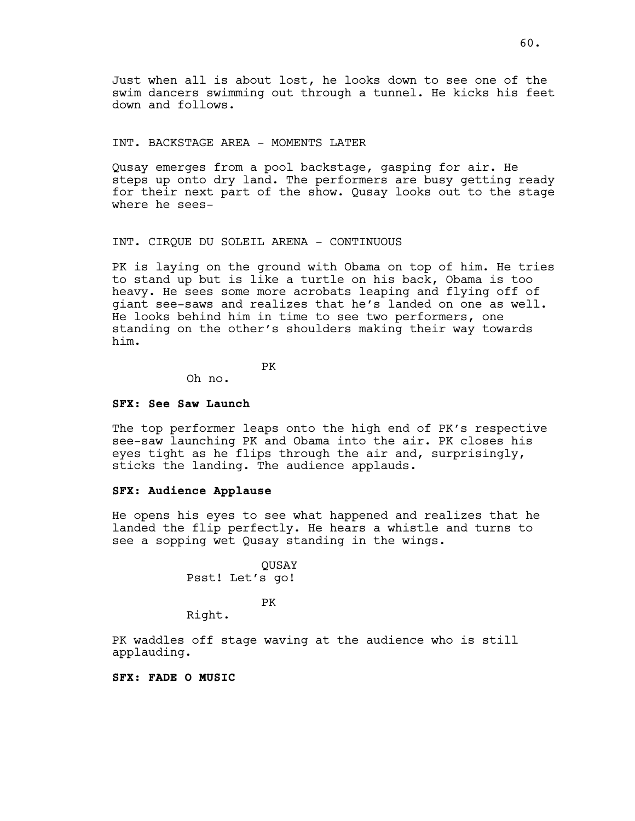Just when all is about lost, he looks down to see one of the swim dancers swimming out through a tunnel. He kicks his feet down and follows.

### INT. BACKSTAGE AREA - MOMENTS LATER

Qusay emerges from a pool backstage, gasping for air. He steps up onto dry land. The performers are busy getting ready for their next part of the show. Qusay looks out to the stage where he sees-

### INT. CIRQUE DU SOLEIL ARENA - CONTINUOUS

PK is laying on the ground with Obama on top of him. He tries to stand up but is like a turtle on his back, Obama is too heavy. He sees some more acrobats leaping and flying off of giant see-saws and realizes that he's landed on one as well. He looks behind him in time to see two performers, one standing on the other's shoulders making their way towards him.

PK

Oh no.

#### **SFX: See Saw Launch**

The top performer leaps onto the high end of PK's respective see-saw launching PK and Obama into the air. PK closes his eyes tight as he flips through the air and, surprisingly, sticks the landing. The audience applauds.

# **SFX: Audience Applause**

He opens his eyes to see what happened and realizes that he landed the flip perfectly. He hears a whistle and turns to see a sopping wet Qusay standing in the wings.

> QUSAY Psst! Let's go!

> > PK

Right.

PK waddles off stage waving at the audience who is still applauding.

### **SFX: FADE O MUSIC**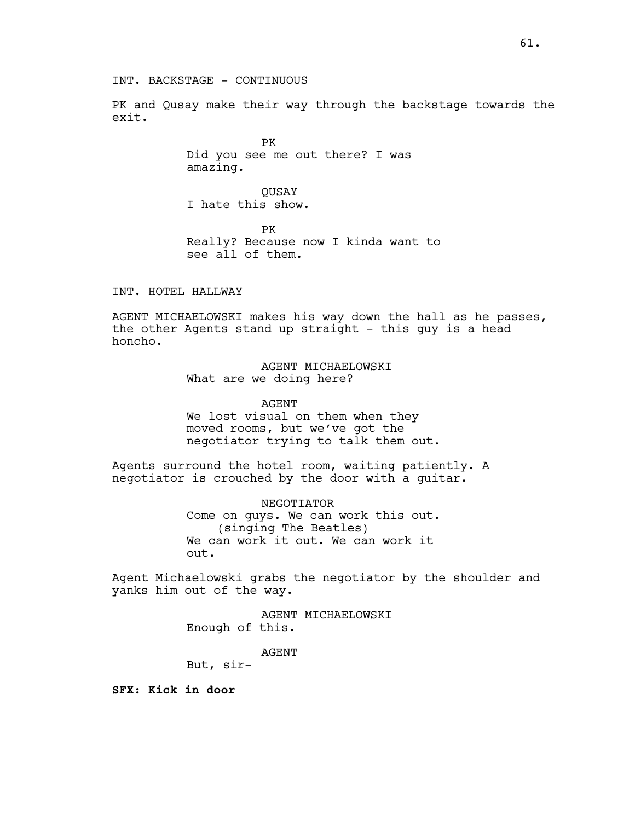PK and Qusay make their way through the backstage towards the exit.

> PK Did you see me out there? I was amazing.

QUSAY I hate this show.

PK Really? Because now I kinda want to see all of them.

INT. HOTEL HALLWAY

AGENT MICHAELOWSKI makes his way down the hall as he passes, the other Agents stand up straight - this guy is a head honcho.

> AGENT MICHAELOWSKI What are we doing here?

AGENT We lost visual on them when they

moved rooms, but we've got the negotiator trying to talk them out.

Agents surround the hotel room, waiting patiently. A negotiator is crouched by the door with a guitar.

> NEGOTIATOR Come on guys. We can work this out. (singing The Beatles) We can work it out. We can work it out.

Agent Michaelowski grabs the negotiator by the shoulder and yanks him out of the way.

> AGENT MICHAELOWSKI Enough of this.

> > AGENT

But, sir-

**SFX: Kick in door**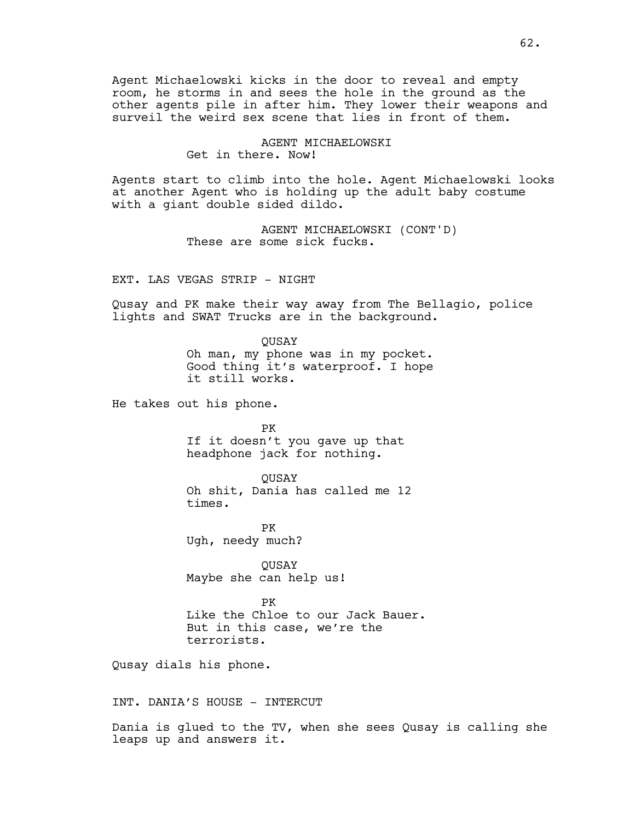Agent Michaelowski kicks in the door to reveal and empty room, he storms in and sees the hole in the ground as the other agents pile in after him. They lower their weapons and surveil the weird sex scene that lies in front of them.

> AGENT MICHAELOWSKI Get in there. Now!

Agents start to climb into the hole. Agent Michaelowski looks at another Agent who is holding up the adult baby costume with a giant double sided dildo.

> AGENT MICHAELOWSKI (CONT'D) These are some sick fucks.

EXT. LAS VEGAS STRIP - NIGHT

Qusay and PK make their way away from The Bellagio, police lights and SWAT Trucks are in the background.

> QUSAY Oh man, my phone was in my pocket. Good thing it's waterproof. I hope it still works.

He takes out his phone.

PK If it doesn't you gave up that headphone jack for nothing.

QUSAY Oh shit, Dania has called me 12 times.

PK Ugh, needy much?

QUSAY Maybe she can help us!

PK Like the Chloe to our Jack Bauer. But in this case, we're the terrorists.

Qusay dials his phone.

INT. DANIA'S HOUSE - INTERCUT

Dania is glued to the TV, when she sees Qusay is calling she leaps up and answers it.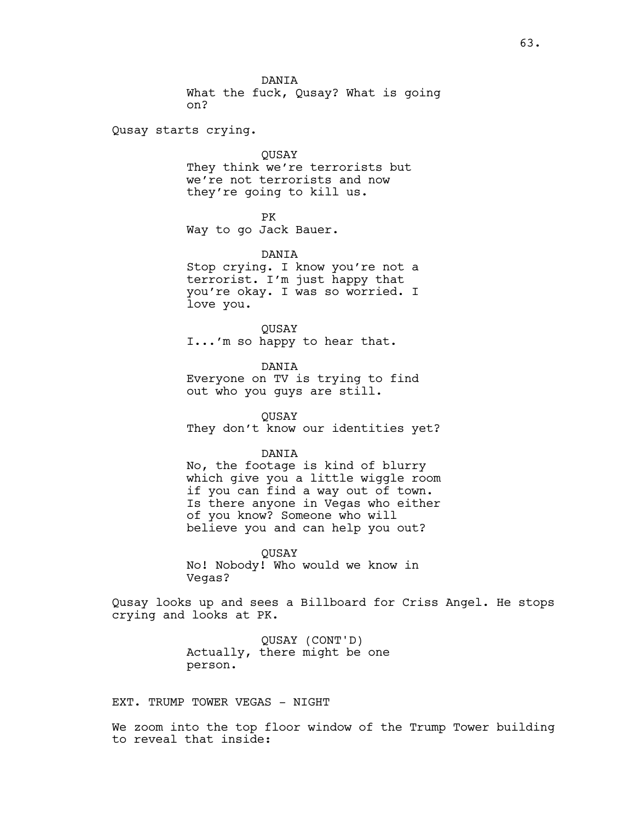DANIA What the fuck, Qusay? What is going on?

Qusay starts crying.

#### QUSAY

They think we're terrorists but we're not terrorists and now they're going to kill us.

PK

Way to go Jack Bauer.

DANIA

Stop crying. I know you're not a terrorist. I'm just happy that you're okay. I was so worried. I love you.

QUSAY I...'m so happy to hear that.

DANIA Everyone on TV is trying to find out who you guys are still.

**OUSAY** They don't know our identities yet?

#### DANIA

No, the footage is kind of blurry which give you a little wiggle room if you can find a way out of town. Is there anyone in Vegas who either of you know? Someone who will believe you and can help you out?

QUSAY No! Nobody! Who would we know in Vegas?

Qusay looks up and sees a Billboard for Criss Angel. He stops crying and looks at PK.

> QUSAY (CONT'D) Actually, there might be one person.

EXT. TRUMP TOWER VEGAS - NIGHT

We zoom into the top floor window of the Trump Tower building to reveal that inside: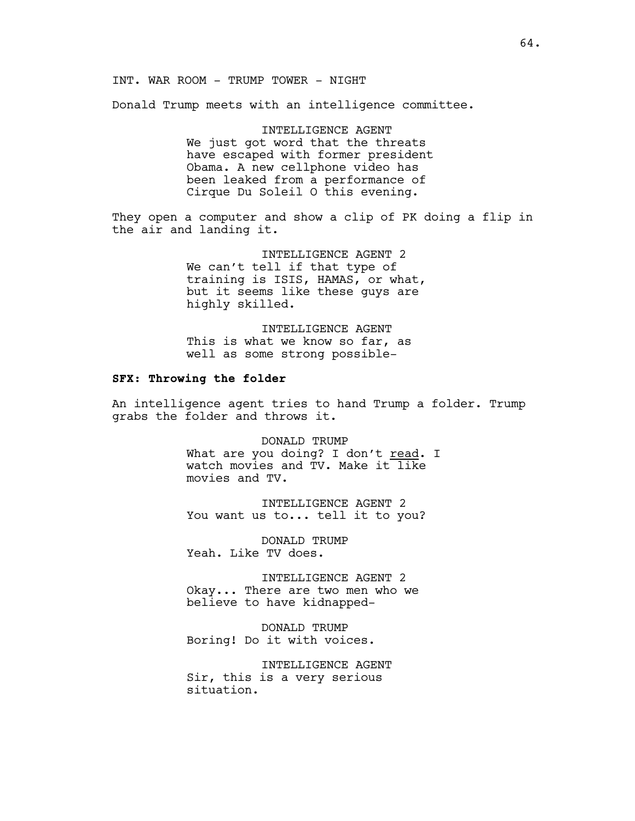INT. WAR ROOM - TRUMP TOWER - NIGHT

Donald Trump meets with an intelligence committee.

INTELLIGENCE AGENT We just got word that the threats have escaped with former president Obama. A new cellphone video has been leaked from a performance of Cirque Du Soleil O this evening.

They open a computer and show a clip of PK doing a flip in the air and landing it.

> INTELLIGENCE AGENT 2 We can't tell if that type of training is ISIS, HAMAS, or what, but it seems like these guys are highly skilled.

INTELLIGENCE AGENT This is what we know so far, as well as some strong possible-

## **SFX: Throwing the folder**

An intelligence agent tries to hand Trump a folder. Trump grabs the folder and throws it.

> DONALD TRUMP What are you doing? I don't read. I watch movies and TV. Make it like movies and TV.

INTELLIGENCE AGENT 2 You want us to... tell it to you?

DONALD TRUMP Yeah. Like TV does.

INTELLIGENCE AGENT 2 Okay... There are two men who we believe to have kidnapped-

DONALD TRUMP Boring! Do it with voices.

INTELLIGENCE AGENT Sir, this is a very serious situation.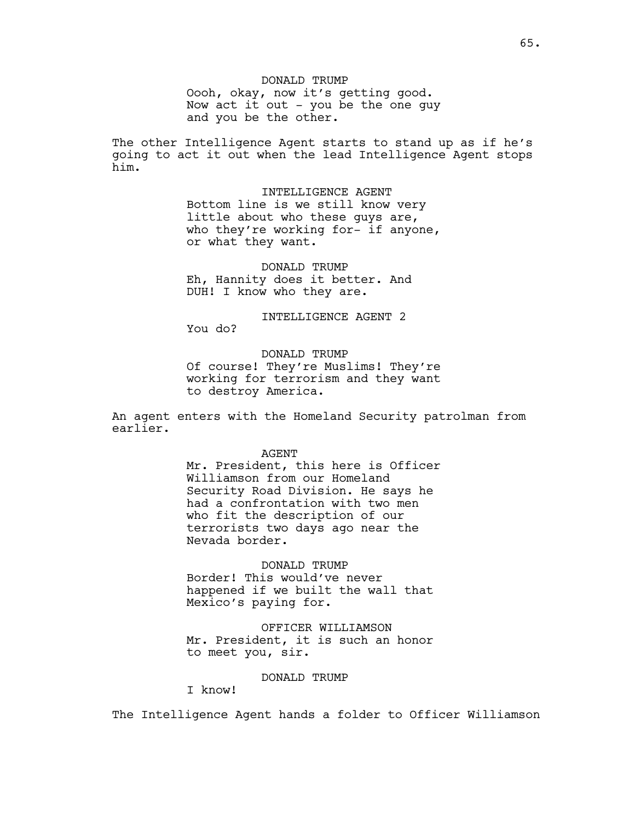The other Intelligence Agent starts to stand up as if he's going to act it out when the lead Intelligence Agent stops him.

> INTELLIGENCE AGENT Bottom line is we still know very little about who these guys are, who they're working for- if anyone, or what they want.

DONALD TRUMP Eh, Hannity does it better. And DUH! I know who they are.

INTELLIGENCE AGENT 2 You do?

DONALD TRUMP Of course! They're Muslims! They're working for terrorism and they want to destroy America.

An agent enters with the Homeland Security patrolman from earlier.

#### AGENT

Mr. President, this here is Officer Williamson from our Homeland Security Road Division. He says he had a confrontation with two men who fit the description of our terrorists two days ago near the Nevada border.

## DONALD TRUMP

Border! This would've never happened if we built the wall that Mexico's paying for.

OFFICER WILLIAMSON Mr. President, it is such an honor to meet you, sir.

### DONALD TRUMP

I know!

The Intelligence Agent hands a folder to Officer Williamson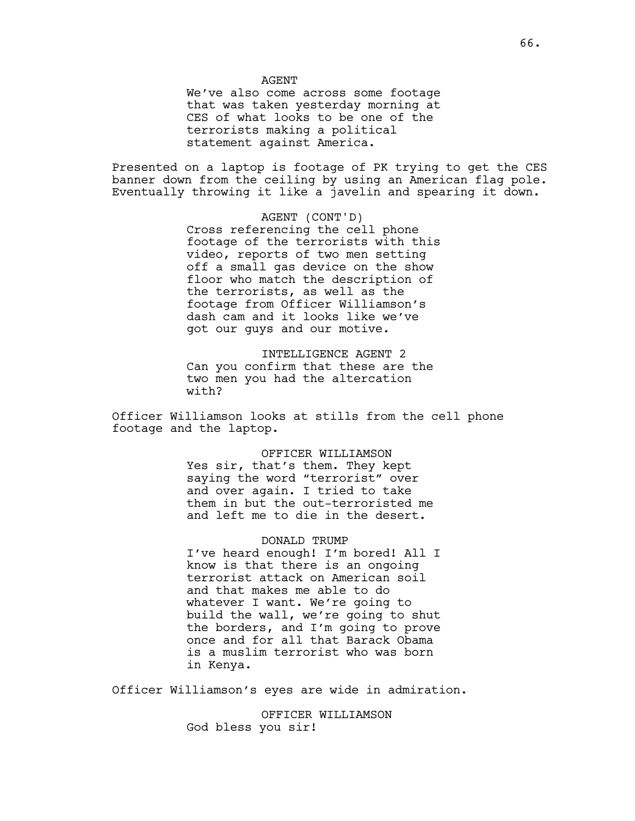AGENT

We've also come across some footage that was taken yesterday morning at CES of what looks to be one of the terrorists making a political statement against America.

Presented on a laptop is footage of PK trying to get the CES banner down from the ceiling by using an American flag pole. Eventually throwing it like a javelin and spearing it down.

> AGENT (CONT'D) Cross referencing the cell phone footage of the terrorists with this video, reports of two men setting off a small gas device on the show floor who match the description of the terrorists, as well as the footage from Officer Williamson's dash cam and it looks like we've got our guys and our motive.

INTELLIGENCE AGENT 2 Can you confirm that these are the two men you had the altercation with?

Officer Williamson looks at stills from the cell phone footage and the laptop.

> OFFICER WILLIAMSON Yes sir, that's them. They kept saying the word "terrorist" over and over again. I tried to take them in but the out-terroristed me and left me to die in the desert.

DONALD TRUMP I've heard enough! I'm bored! All I know is that there is an ongoing terrorist attack on American soil and that makes me able to do whatever I want. We're going to build the wall, we're going to shut the borders, and I'm going to prove once and for all that Barack Obama is a muslim terrorist who was born in Kenya.

Officer Williamson's eyes are wide in admiration.

OFFICER WILLIAMSON God bless you sir!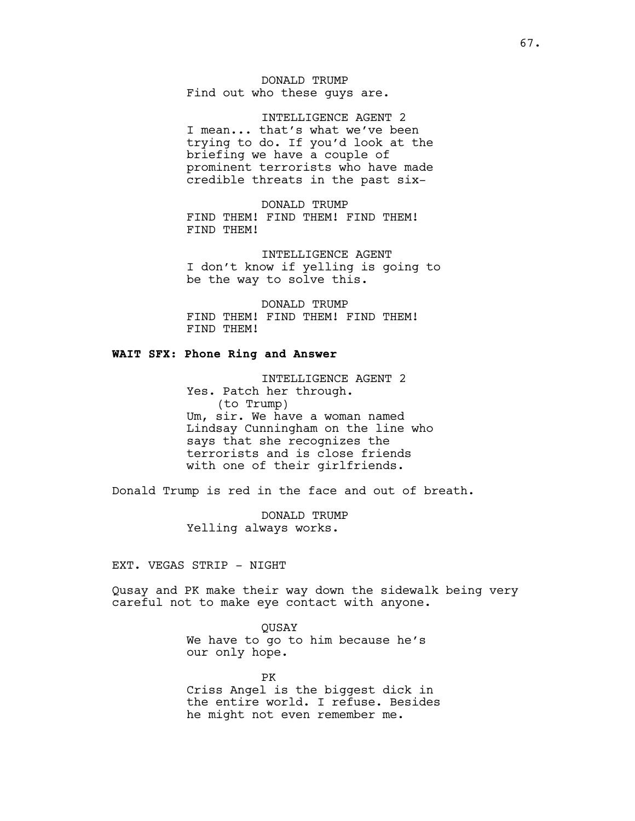DONALD TRUMP Find out who these guys are.

INTELLIGENCE AGENT 2 I mean... that's what we've been trying to do. If you'd look at the briefing we have a couple of prominent terrorists who have made credible threats in the past six-

DONALD TRUMP FIND THEM! FIND THEM! FIND THEM! FIND THEM!

INTELLIGENCE AGENT I don't know if yelling is going to be the way to solve this.

DONALD TRUMP FIND THEM! FIND THEM! FIND THEM! FIND THEM!

## **WAIT SFX: Phone Ring and Answer**

INTELLIGENCE AGENT 2 Yes. Patch her through. (to Trump) Um, sir. We have a woman named Lindsay Cunningham on the line who says that she recognizes the terrorists and is close friends with one of their girlfriends.

Donald Trump is red in the face and out of breath.

DONALD TRUMP Yelling always works.

EXT. VEGAS STRIP - NIGHT

Qusay and PK make their way down the sidewalk being very careful not to make eye contact with anyone.

> QUSAY We have to go to him because he's our only hope.

PK Criss Angel is the biggest dick in the entire world. I refuse. Besides he might not even remember me.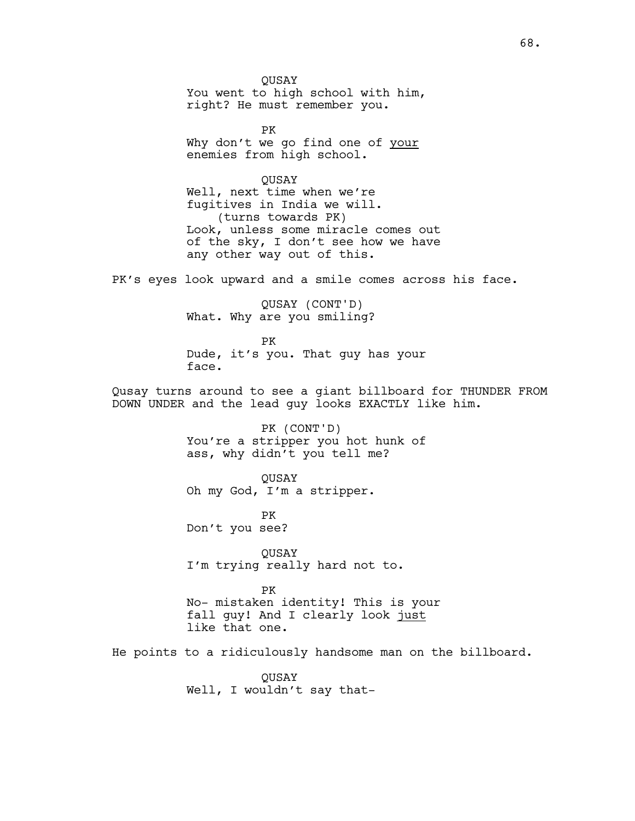QUSAY You went to high school with him, right? He must remember you.

PK Why don't we go find one of your enemies from high school.

QUSAY Well, next time when we're fugitives in India we will. (turns towards PK) Look, unless some miracle comes out of the sky, I don't see how we have any other way out of this.

PK's eyes look upward and a smile comes across his face.

QUSAY (CONT'D) What. Why are you smiling?

PK Dude, it's you. That guy has your face.

Qusay turns around to see a giant billboard for THUNDER FROM DOWN UNDER and the lead guy looks EXACTLY like him.

> PK (CONT'D) You're a stripper you hot hunk of ass, why didn't you tell me?

QUSAY Oh my God, I'm a stripper.

PK Don't you see?

QUSAY I'm trying really hard not to.

PK No- mistaken identity! This is your fall guy! And I clearly look just like that one.

He points to a ridiculously handsome man on the billboard.

QUSAY Well, I wouldn't say that-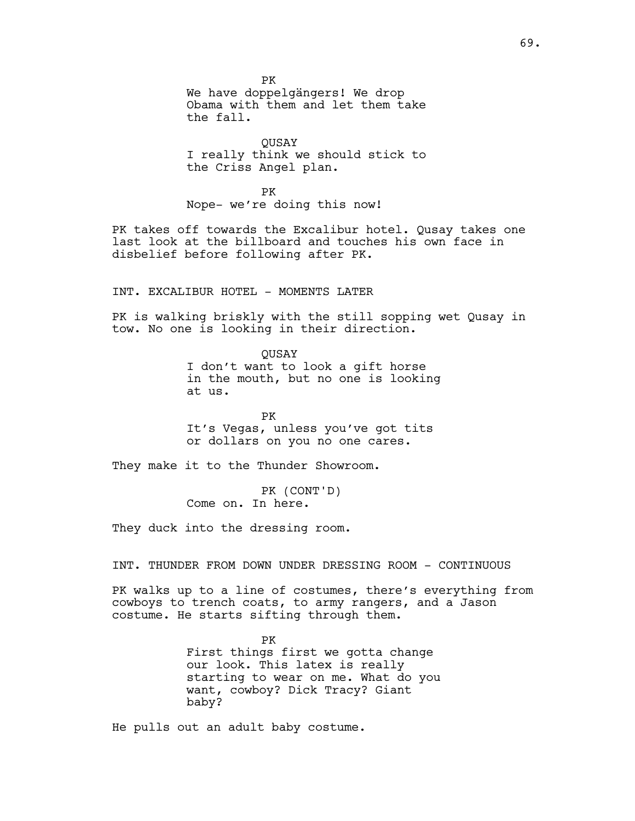PK We have doppelgängers! We drop Obama with them and let them take the fall.

**OUSAY** I really think we should stick to the Criss Angel plan.

PK Nope- we're doing this now!

PK takes off towards the Excalibur hotel. Qusay takes one last look at the billboard and touches his own face in disbelief before following after PK.

INT. EXCALIBUR HOTEL - MOMENTS LATER

PK is walking briskly with the still sopping wet Qusay in tow. No one is looking in their direction.

> QUSAY I don't want to look a gift horse in the mouth, but no one is looking at us.

PK It's Vegas, unless you've got tits or dollars on you no one cares.

They make it to the Thunder Showroom.

PK (CONT'D) Come on. In here.

They duck into the dressing room.

INT. THUNDER FROM DOWN UNDER DRESSING ROOM - CONTINUOUS

PK walks up to a line of costumes, there's everything from cowboys to trench coats, to army rangers, and a Jason costume. He starts sifting through them.

> PK First things first we gotta change our look. This latex is really starting to wear on me. What do you want, cowboy? Dick Tracy? Giant baby?

He pulls out an adult baby costume.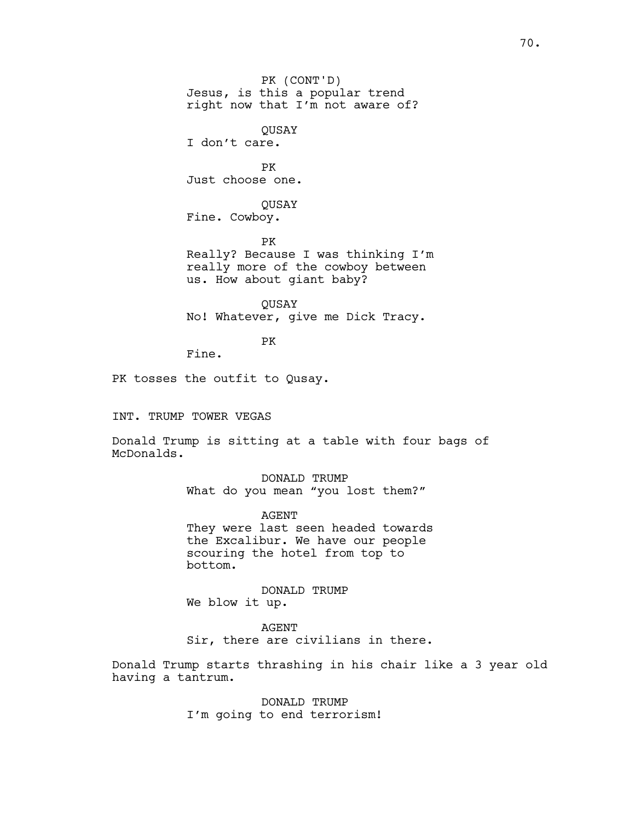PK (CONT'D) Jesus, is this a popular trend right now that I'm not aware of? QUSAY I don't care. PK Just choose one. QUSAY Fine. Cowboy. PK Really? Because I was thinking I'm really more of the cowboy between us. How about giant baby?

**OUSAY** No! Whatever, give me Dick Tracy.

PK

Fine.

PK tosses the outfit to Qusay.

INT. TRUMP TOWER VEGAS

Donald Trump is sitting at a table with four bags of McDonalds.

> DONALD TRUMP What do you mean "you lost them?"

AGENT They were last seen headed towards the Excalibur. We have our people scouring the hotel from top to bottom.

DONALD TRUMP We blow it up.

AGENT Sir, there are civilians in there.

Donald Trump starts thrashing in his chair like a 3 year old having a tantrum.

> DONALD TRUMP I'm going to end terrorism!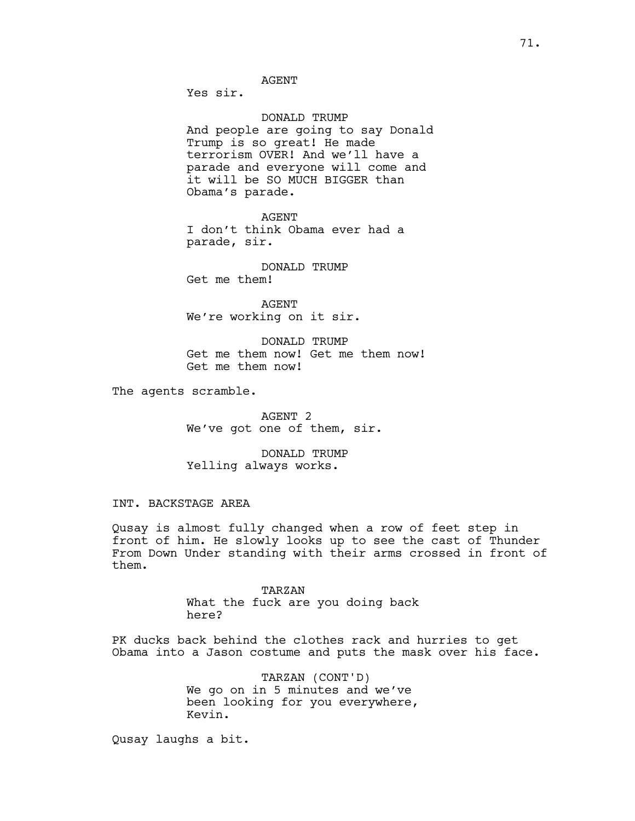Yes sir.

### DONALD TRUMP

And people are going to say Donald Trump is so great! He made terrorism OVER! And we'll have a parade and everyone will come and it will be SO MUCH BIGGER than Obama's parade.

AGENT

I don't think Obama ever had a parade, sir.

DONALD TRUMP Get me them!

AGENT We're working on it sir.

DONALD TRUMP Get me them now! Get me them now! Get me them now!

The agents scramble.

AGENT 2 We've got one of them, sir.

DONALD TRUMP Yelling always works.

#### INT. BACKSTAGE AREA

Qusay is almost fully changed when a row of feet step in front of him. He slowly looks up to see the cast of Thunder From Down Under standing with their arms crossed in front of them.

> TARZAN What the fuck are you doing back here?

PK ducks back behind the clothes rack and hurries to get Obama into a Jason costume and puts the mask over his face.

> TARZAN (CONT'D) We go on in 5 minutes and we've been looking for you everywhere, Kevin.

Qusay laughs a bit.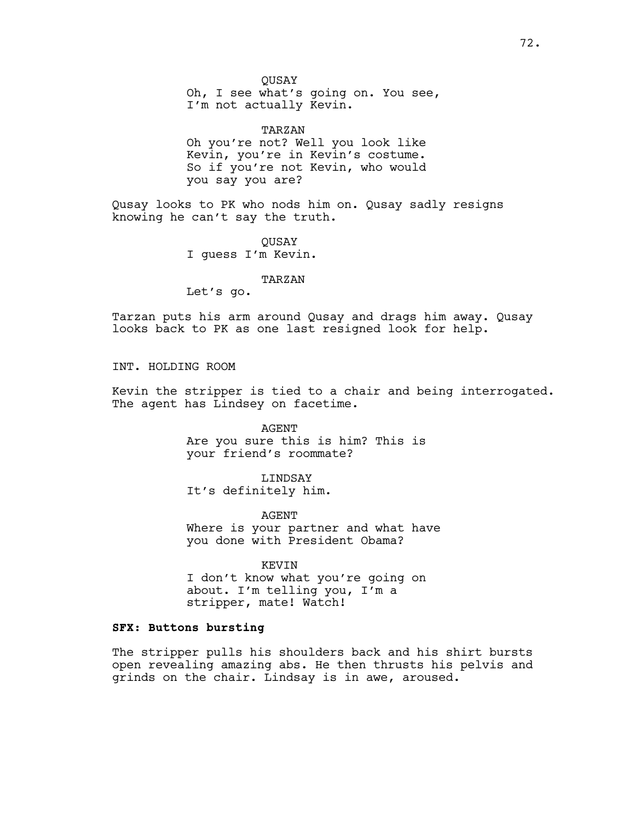QUSAY

Oh, I see what's going on. You see, I'm not actually Kevin.

TARZAN Oh you're not? Well you look like Kevin, you're in Kevin's costume. So if you're not Kevin, who would you say you are?

Qusay looks to PK who nods him on. Qusay sadly resigns knowing he can't say the truth.

> QUSAY I guess I'm Kevin.

#### TARZAN

Let's go.

Tarzan puts his arm around Qusay and drags him away. Qusay looks back to PK as one last resigned look for help.

INT. HOLDING ROOM

Kevin the stripper is tied to a chair and being interrogated. The agent has Lindsey on facetime.

> AGENT Are you sure this is him? This is your friend's roommate?

LINDSAY It's definitely him.

AGENT Where is your partner and what have you done with President Obama?

KEVIN I don't know what you're going on about. I'm telling you, I'm a stripper, mate! Watch!

# **SFX: Buttons bursting**

The stripper pulls his shoulders back and his shirt bursts open revealing amazing abs. He then thrusts his pelvis and grinds on the chair. Lindsay is in awe, aroused.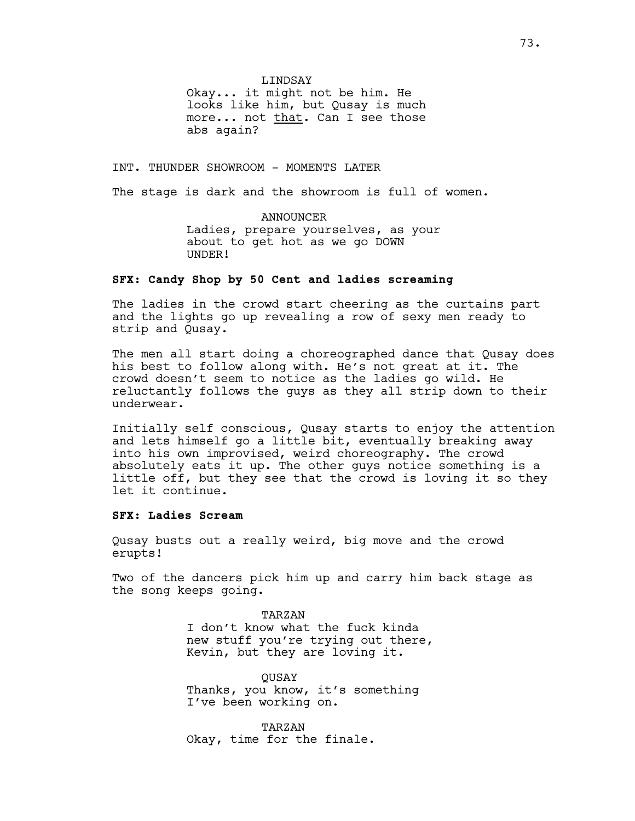LINDSAY

Okay... it might not be him. He looks like him, but Qusay is much more... not that. Can I see those abs again?

INT. THUNDER SHOWROOM - MOMENTS LATER

The stage is dark and the showroom is full of women.

ANNOUNCER Ladies, prepare yourselves, as your about to get hot as we go DOWN UNDER!

# **SFX: Candy Shop by 50 Cent and ladies screaming**

The ladies in the crowd start cheering as the curtains part and the lights go up revealing a row of sexy men ready to strip and Qusay.

The men all start doing a choreographed dance that Qusay does his best to follow along with. He's not great at it. The crowd doesn't seem to notice as the ladies go wild. He reluctantly follows the guys as they all strip down to their underwear.

Initially self conscious, Qusay starts to enjoy the attention and lets himself go a little bit, eventually breaking away into his own improvised, weird choreography. The crowd absolutely eats it up. The other guys notice something is a little off, but they see that the crowd is loving it so they let it continue.

### **SFX: Ladies Scream**

Qusay busts out a really weird, big move and the crowd erupts!

Two of the dancers pick him up and carry him back stage as the song keeps going.

> TARZAN I don't know what the fuck kinda new stuff you're trying out there, Kevin, but they are loving it.

QUSAY Thanks, you know, it's something I've been working on.

TARZAN Okay, time for the finale.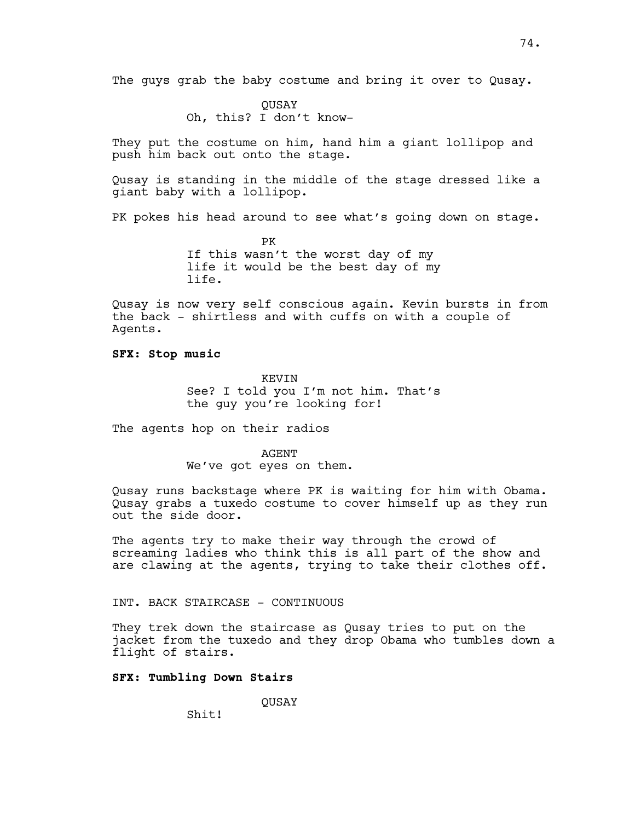The guys grab the baby costume and bring it over to Qusay.

QUSAY Oh, this? I don't know-

They put the costume on him, hand him a giant lollipop and push him back out onto the stage.

Qusay is standing in the middle of the stage dressed like a giant baby with a lollipop.

PK pokes his head around to see what's going down on stage.

PK If this wasn't the worst day of my life it would be the best day of my life.

Qusay is now very self conscious again. Kevin bursts in from the back - shirtless and with cuffs on with a couple of Agents.

**SFX: Stop music**

**KEVIN** See? I told you I'm not him. That's the guy you're looking for!

The agents hop on their radios

AGENT We've got eyes on them.

Qusay runs backstage where PK is waiting for him with Obama. Qusay grabs a tuxedo costume to cover himself up as they run out the side door.

The agents try to make their way through the crowd of screaming ladies who think this is all part of the show and are clawing at the agents, trying to take their clothes off.

INT. BACK STAIRCASE - CONTINUOUS

They trek down the staircase as Qusay tries to put on the jacket from the tuxedo and they drop Obama who tumbles down a flight of stairs.

## **SFX: Tumbling Down Stairs**

QUSAY

Shit!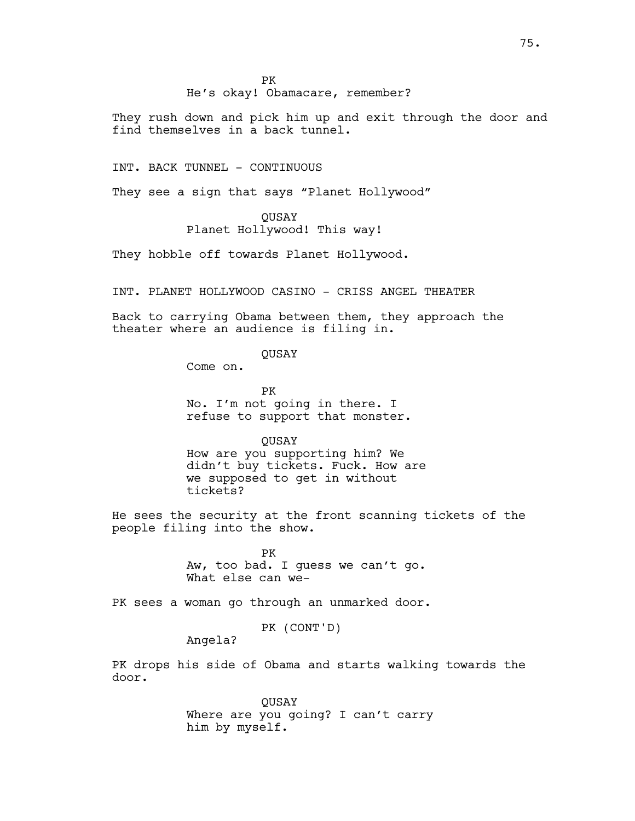# He's okay! Obamacare, remember?

They rush down and pick him up and exit through the door and find themselves in a back tunnel.

INT. BACK TUNNEL - CONTINUOUS

They see a sign that says "Planet Hollywood"

# QUSAY

Planet Hollywood! This way!

They hobble off towards Planet Hollywood.

INT. PLANET HOLLYWOOD CASINO - CRISS ANGEL THEATER

Back to carrying Obama between them, they approach the theater where an audience is filing in.

# QUSAY

Come on.

PK No. I'm not going in there. I refuse to support that monster.

**OUSAY** 

How are you supporting him? We didn't buy tickets. Fuck. How are we supposed to get in without tickets?

He sees the security at the front scanning tickets of the people filing into the show.

> PK Aw, too bad. I guess we can't go. What else can we-

PK sees a woman go through an unmarked door.

PK (CONT'D)

Angela?

PK drops his side of Obama and starts walking towards the door.

> QUSAY Where are you going? I can't carry him by myself.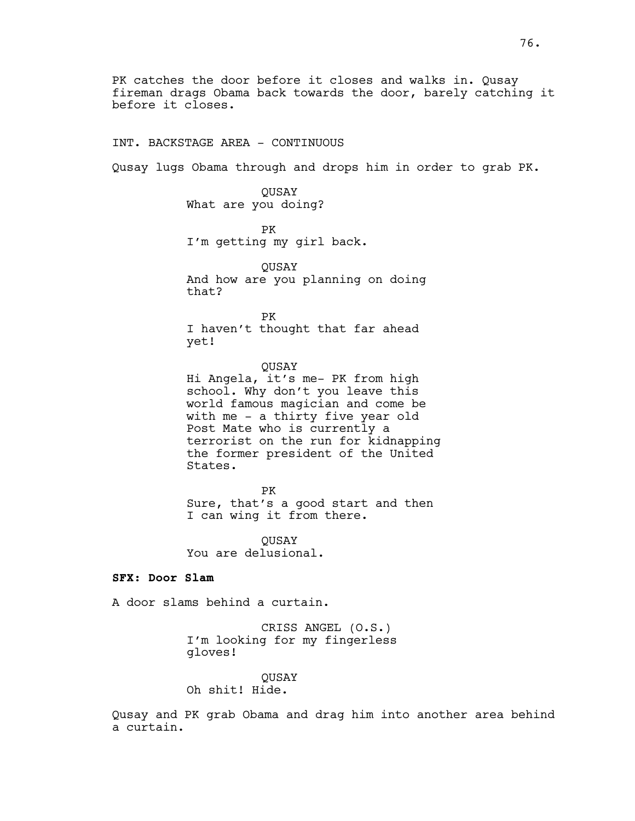INT. BACKSTAGE AREA - CONTINUOUS

Qusay lugs Obama through and drops him in order to grab PK.

QUSAY What are you doing?

PK I'm getting my girl back.

QUSAY And how are you planning on doing that?

PK I haven't thought that far ahead yet!

**OUSAY** Hi Angela, it's me- PK from high school. Why don't you leave this world famous magician and come be with me - a thirty five year old Post Mate who is currently a terrorist on the run for kidnapping the former president of the United States.

PK Sure, that's a good start and then I can wing it from there.

QUSAY You are delusional.

**SFX: Door Slam**

A door slams behind a curtain.

CRISS ANGEL (O.S.) I'm looking for my fingerless gloves!

QUSAY Oh shit! Hide.

Qusay and PK grab Obama and drag him into another area behind a curtain.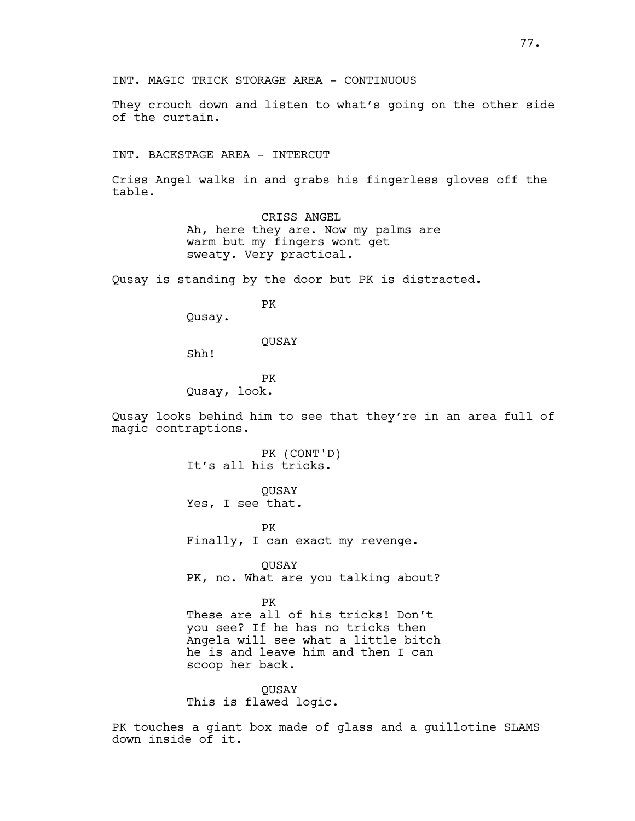INT. MAGIC TRICK STORAGE AREA - CONTINUOUS

They crouch down and listen to what's going on the other side of the curtain.

INT. BACKSTAGE AREA - INTERCUT

Criss Angel walks in and grabs his fingerless gloves off the table.

> CRISS ANGEL Ah, here they are. Now my palms are warm but my fingers wont get sweaty. Very practical.

Qusay is standing by the door but PK is distracted.

PK

Qusay.

QUSAY

Shh!

PK Qusay, look.

Qusay looks behind him to see that they're in an area full of magic contraptions.

> PK (CONT'D) It's all his tricks.

QUSAY Yes, I see that.

PK Finally, I can exact my revenge.

QUSAY PK, no. What are you talking about?

PK

These are all of his tricks! Don't you see? If he has no tricks then Angela will see what a little bitch he is and leave him and then I can scoop her back.

QUSAY This is flawed logic.

PK touches a giant box made of glass and a guillotine SLAMS down inside of it.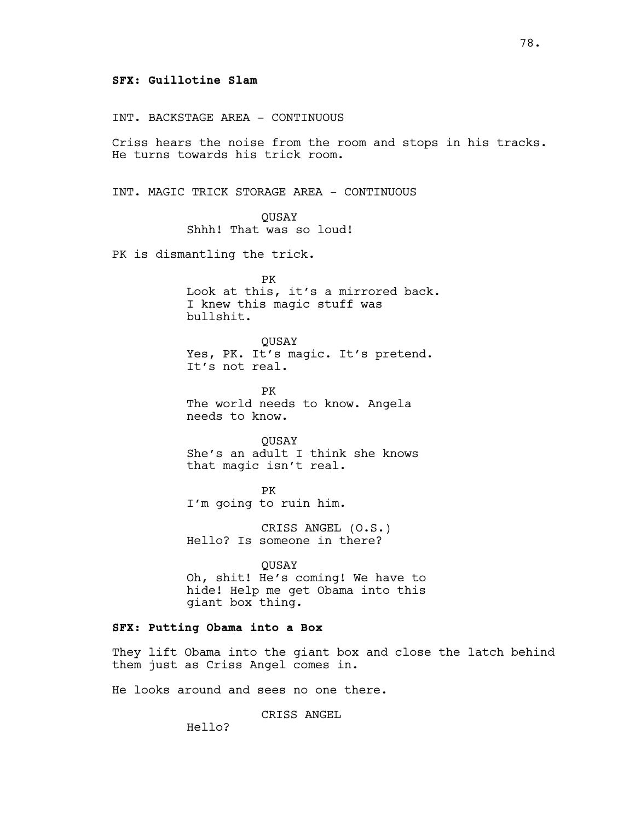# **SFX: Guillotine Slam**

INT. BACKSTAGE AREA - CONTINUOUS

Criss hears the noise from the room and stops in his tracks. He turns towards his trick room.

INT. MAGIC TRICK STORAGE AREA - CONTINUOUS

QUSAY Shhh! That was so loud!

PK is dismantling the trick.

PK Look at this, it's a mirrored back. I knew this magic stuff was bullshit.

QUSAY Yes, PK. It's magic. It's pretend. It's not real.

PK The world needs to know. Angela needs to know.

**OUSAY** She's an adult I think she knows that magic isn't real.

PK I'm going to ruin him.

CRISS ANGEL (O.S.) Hello? Is someone in there?

QUSAY Oh, shit! He's coming! We have to hide! Help me get Obama into this giant box thing.

# **SFX: Putting Obama into a Box**

They lift Obama into the giant box and close the latch behind them just as Criss Angel comes in.

He looks around and sees no one there.

CRISS ANGEL

Hello?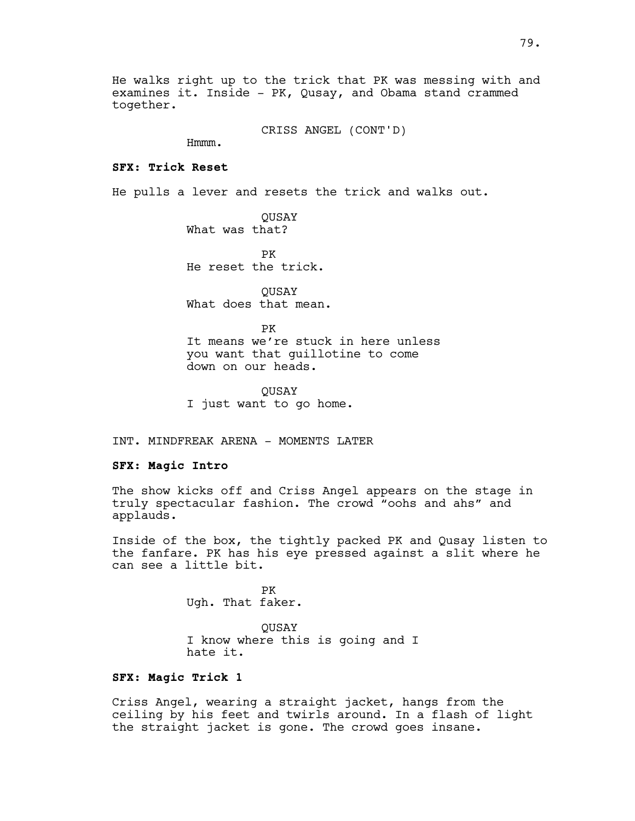He walks right up to the trick that PK was messing with and examines it. Inside - PK, Qusay, and Obama stand crammed together.

CRISS ANGEL (CONT'D)

Hmmm.

### **SFX: Trick Reset**

He pulls a lever and resets the trick and walks out.

QUSAY What was that?

PK He reset the trick.

QUSAY What does that mean.

PK It means we're stuck in here unless you want that guillotine to come down on our heads.

QUSAY I just want to go home.

INT. MINDFREAK ARENA - MOMENTS LATER

### **SFX: Magic Intro**

The show kicks off and Criss Angel appears on the stage in truly spectacular fashion. The crowd "oohs and ahs" and applauds.

Inside of the box, the tightly packed PK and Qusay listen to the fanfare. PK has his eye pressed against a slit where he can see a little bit.

> PK Ugh. That faker.

QUSAY I know where this is going and I hate it.

#### **SFX: Magic Trick 1**

Criss Angel, wearing a straight jacket, hangs from the ceiling by his feet and twirls around. In a flash of light the straight jacket is gone. The crowd goes insane.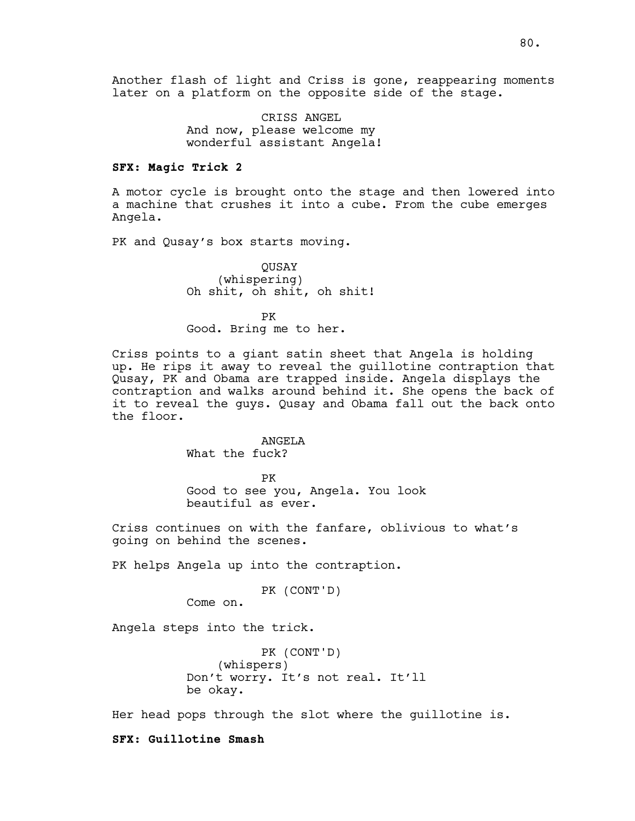CRISS ANGEL And now, please welcome my wonderful assistant Angela!

# **SFX: Magic Trick 2**

A motor cycle is brought onto the stage and then lowered into a machine that crushes it into a cube. From the cube emerges Angela.

PK and Qusay's box starts moving.

QUSAY (whispering) Oh shit, oh shit, oh shit!

PK Good. Bring me to her.

Criss points to a giant satin sheet that Angela is holding up. He rips it away to reveal the guillotine contraption that Qusay, PK and Obama are trapped inside. Angela displays the contraption and walks around behind it. She opens the back of it to reveal the guys. Qusay and Obama fall out the back onto the floor.

### ANGELA

What the fuck?

PK

Good to see you, Angela. You look beautiful as ever.

Criss continues on with the fanfare, oblivious to what's going on behind the scenes.

PK helps Angela up into the contraption.

```
PK (CONT'D)
```
Come on.

Angela steps into the trick.

PK (CONT'D) (whispers) Don't worry. It's not real. It'll be okay.

Her head pops through the slot where the guillotine is.

**SFX: Guillotine Smash**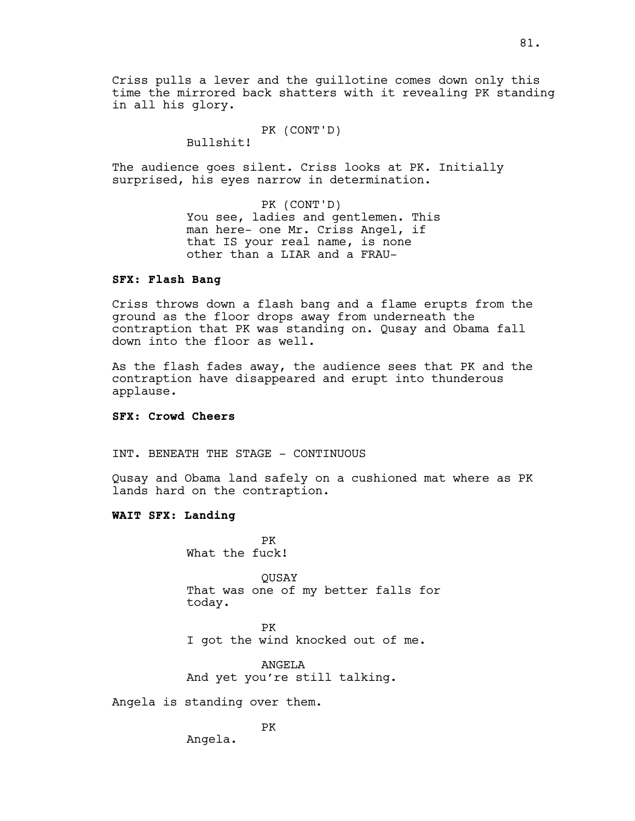Criss pulls a lever and the guillotine comes down only this time the mirrored back shatters with it revealing PK standing in all his glory.

PK (CONT'D)

Bullshit!

The audience goes silent. Criss looks at PK. Initially surprised, his eyes narrow in determination.

> PK (CONT'D) You see, ladies and gentlemen. This man here- one Mr. Criss Angel, if that IS your real name, is none other than a LIAR and a FRAU-

# **SFX: Flash Bang**

Criss throws down a flash bang and a flame erupts from the ground as the floor drops away from underneath the contraption that PK was standing on. Qusay and Obama fall down into the floor as well.

As the flash fades away, the audience sees that PK and the contraption have disappeared and erupt into thunderous applause.

### **SFX: Crowd Cheers**

INT. BENEATH THE STAGE - CONTINUOUS

Qusay and Obama land safely on a cushioned mat where as PK lands hard on the contraption.

# **WAIT SFX: Landing**

PK What the fuck!

**OUSAY** That was one of my better falls for today.

PK

I got the wind knocked out of me.

ANGELA And yet you're still talking.

Angela is standing over them.

PK

Angela.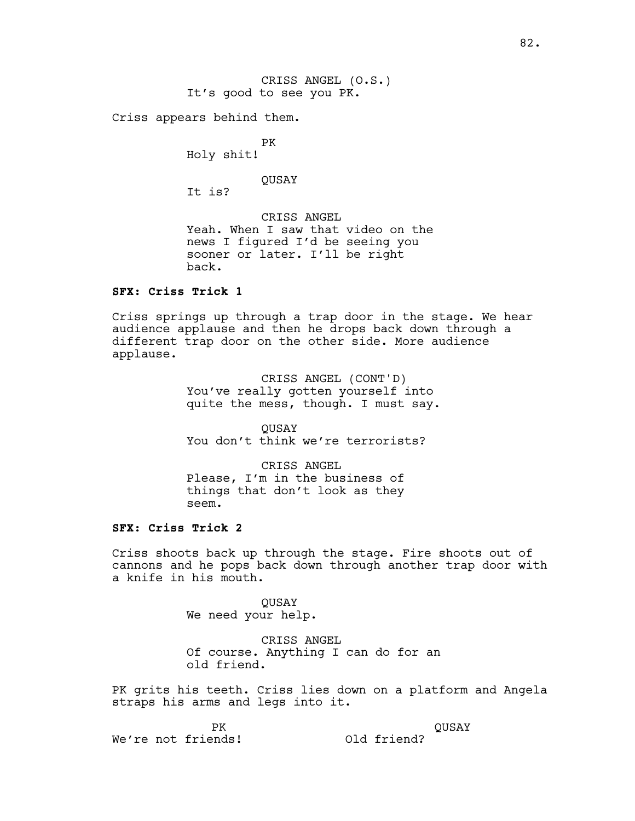Criss appears behind them.

PK Holy shit!

QUSAY

It is?

CRISS ANGEL Yeah. When I saw that video on the news I figured I'd be seeing you sooner or later. I'll be right back.

# **SFX: Criss Trick 1**

Criss springs up through a trap door in the stage. We hear audience applause and then he drops back down through a different trap door on the other side. More audience applause.

> CRISS ANGEL (CONT'D) You've really gotten yourself into quite the mess, though. I must say.

QUSAY You don't think we're terrorists?

CRISS ANGEL Please, I'm in the business of things that don't look as they seem.

# **SFX: Criss Trick 2**

Criss shoots back up through the stage. Fire shoots out of cannons and he pops back down through another trap door with a knife in his mouth.

> **OUSAY** We need your help.

CRISS ANGEL Of course. Anything I can do for an old friend.

PK grits his teeth. Criss lies down on a platform and Angela straps his arms and legs into it.

PK

QUSAY

We're not friends!

Old friend?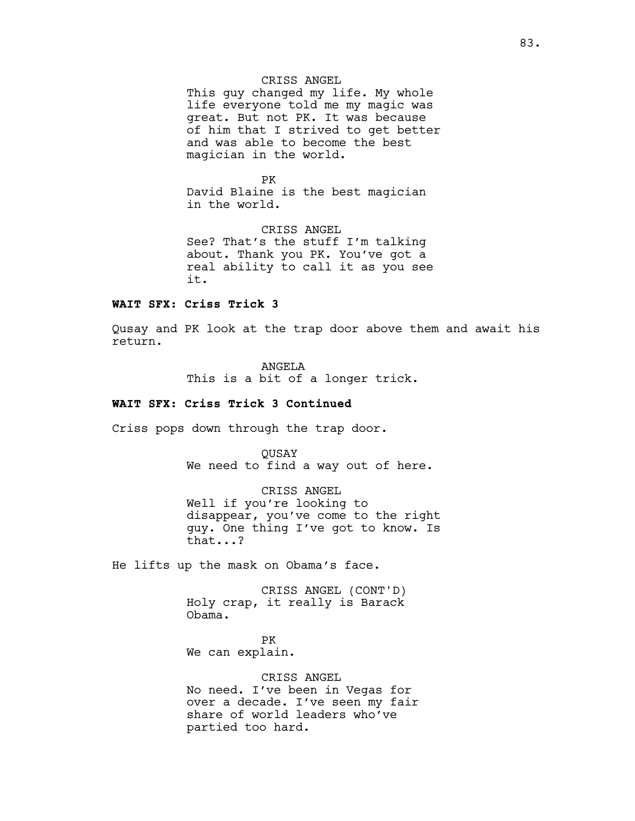# CRISS ANGEL

This guy changed my life. My whole life everyone told me my magic was great. But not PK. It was because of him that I strived to get better and was able to become the best magician in the world.

PK David Blaine is the best magician in the world.

CRISS ANGEL See? That's the stuff I'm talking about. Thank you PK. You've got a real ability to call it as you see it.

#### **WAIT SFX: Criss Trick 3**

Qusay and PK look at the trap door above them and await his return.

> ANGELA This is a bit of a longer trick.

# **WAIT SFX: Criss Trick 3 Continued**

Criss pops down through the trap door.

**OUSAY** We need to find a way out of here.

CRISS ANGEL Well if you're looking to disappear, you've come to the right guy. One thing I've got to know. Is that...?

He lifts up the mask on Obama's face.

CRISS ANGEL (CONT'D) Holy crap, it really is Barack Obama.

PK We can explain.

CRISS ANGEL No need. I've been in Vegas for over a decade. I've seen my fair share of world leaders who've partied too hard.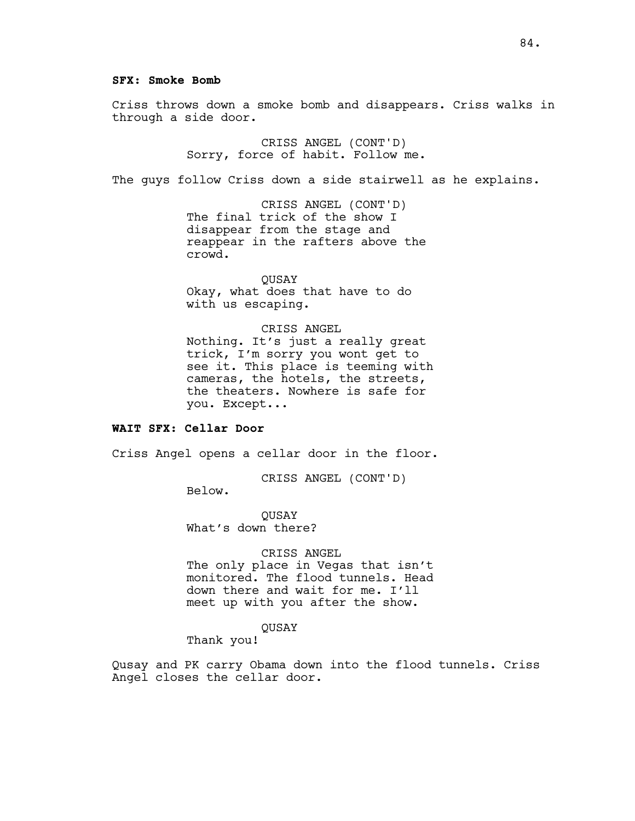#### **SFX: Smoke Bomb**

Criss throws down a smoke bomb and disappears. Criss walks in through a side door.

> CRISS ANGEL (CONT'D) Sorry, force of habit. Follow me.

The guys follow Criss down a side stairwell as he explains.

CRISS ANGEL (CONT'D) The final trick of the show I disappear from the stage and reappear in the rafters above the crowd.

QUSAY Okay, what does that have to do with us escaping.

CRISS ANGEL Nothing. It's just a really great

trick, I'm sorry you wont get to see it. This place is teeming with cameras, the hotels, the streets, the theaters. Nowhere is safe for you. Except...

### **WAIT SFX: Cellar Door**

Criss Angel opens a cellar door in the floor.

CRISS ANGEL (CONT'D)

Below.

QUSAY What's down there?

# CRISS ANGEL

The only place in Vegas that isn't monitored. The flood tunnels. Head down there and wait for me. I'll meet up with you after the show.

# QUSAY

Thank you!

Qusay and PK carry Obama down into the flood tunnels. Criss Angel closes the cellar door.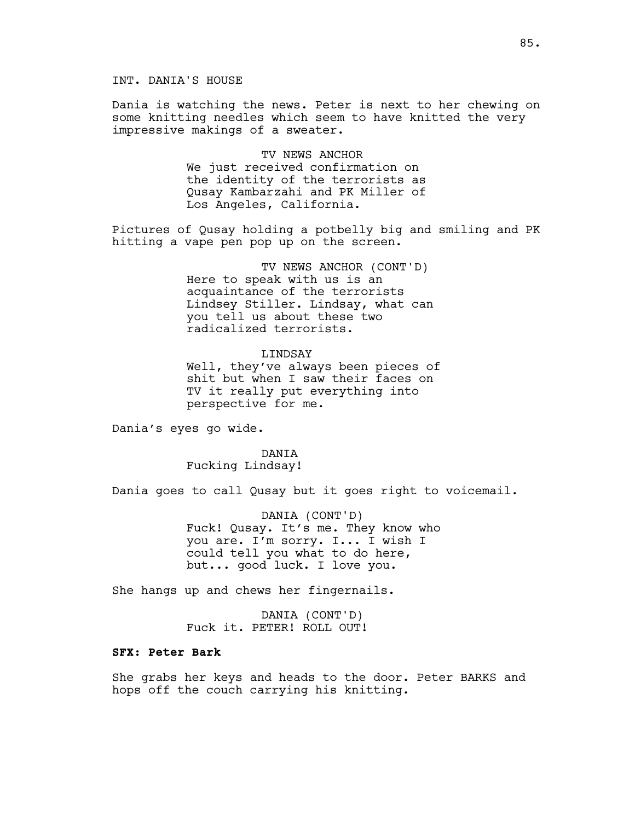# INT. DANIA'S HOUSE

Dania is watching the news. Peter is next to her chewing on some knitting needles which seem to have knitted the very impressive makings of a sweater.

> TV NEWS ANCHOR We just received confirmation on the identity of the terrorists as Qusay Kambarzahi and PK Miller of Los Angeles, California.

Pictures of Qusay holding a potbelly big and smiling and PK hitting a vape pen pop up on the screen.

> TV NEWS ANCHOR (CONT'D) Here to speak with us is an acquaintance of the terrorists Lindsey Stiller. Lindsay, what can you tell us about these two radicalized terrorists.

> > LINDSAY

Well, they've always been pieces of shit but when I saw their faces on TV it really put everything into perspective for me.

Dania's eyes go wide.

DANIA Fucking Lindsay!

Dania goes to call Qusay but it goes right to voicemail.

DANIA (CONT'D) Fuck! Qusay. It's me. They know who you are. I'm sorry. I... I wish I could tell you what to do here, but... good luck. I love you.

She hangs up and chews her fingernails.

DANIA (CONT'D) Fuck it. PETER! ROLL OUT!

## **SFX: Peter Bark**

She grabs her keys and heads to the door. Peter BARKS and hops off the couch carrying his knitting.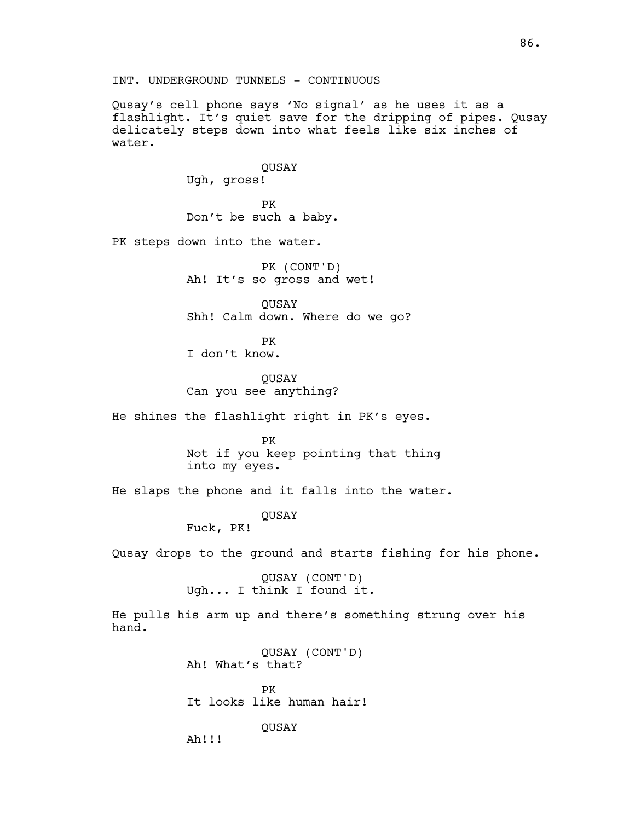Qusay's cell phone says 'No signal' as he uses it as a flashlight. It's quiet save for the dripping of pipes. Qusay delicately steps down into what feels like six inches of water.

> **OUSAY** Ugh, gross! PK

Don't be such a baby.

PK steps down into the water.

PK (CONT'D) Ah! It's so gross and wet!

**OUSAY** Shh! Calm down. Where do we go?

PK I don't know.

QUSAY Can you see anything?

He shines the flashlight right in PK's eyes.

PK Not if you keep pointing that thing into my eyes.

He slaps the phone and it falls into the water.

QUSAY

Fuck, PK!

Qusay drops to the ground and starts fishing for his phone.

QUSAY (CONT'D) Ugh... I think I found it.

He pulls his arm up and there's something strung over his hand.

> QUSAY (CONT'D) Ah! What's that? PK It looks like human hair! QUSAY

Ah!!!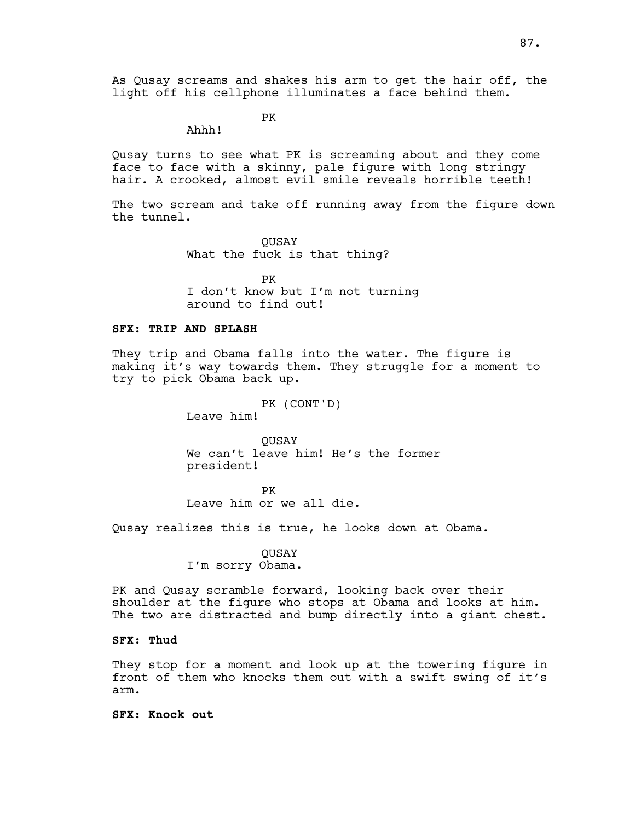As Qusay screams and shakes his arm to get the hair off, the light off his cellphone illuminates a face behind them.

PK

Ahhh!

Qusay turns to see what PK is screaming about and they come face to face with a skinny, pale figure with long stringy hair. A crooked, almost evil smile reveals horrible teeth!

The two scream and take off running away from the figure down the tunnel.

> **OUSAY** What the fuck is that thing?

PK I don't know but I'm not turning around to find out!

# **SFX: TRIP AND SPLASH**

They trip and Obama falls into the water. The figure is making it's way towards them. They struggle for a moment to try to pick Obama back up.

PK (CONT'D)

Leave him!

**OUSAY** We can't leave him! He's the former president!

PK Leave him or we all die.

Qusay realizes this is true, he looks down at Obama.

**OUSAY** I'm sorry Obama.

PK and Qusay scramble forward, looking back over their shoulder at the figure who stops at Obama and looks at him. The two are distracted and bump directly into a giant chest.

# **SFX: Thud**

They stop for a moment and look up at the towering figure in front of them who knocks them out with a swift swing of it's arm.

**SFX: Knock out**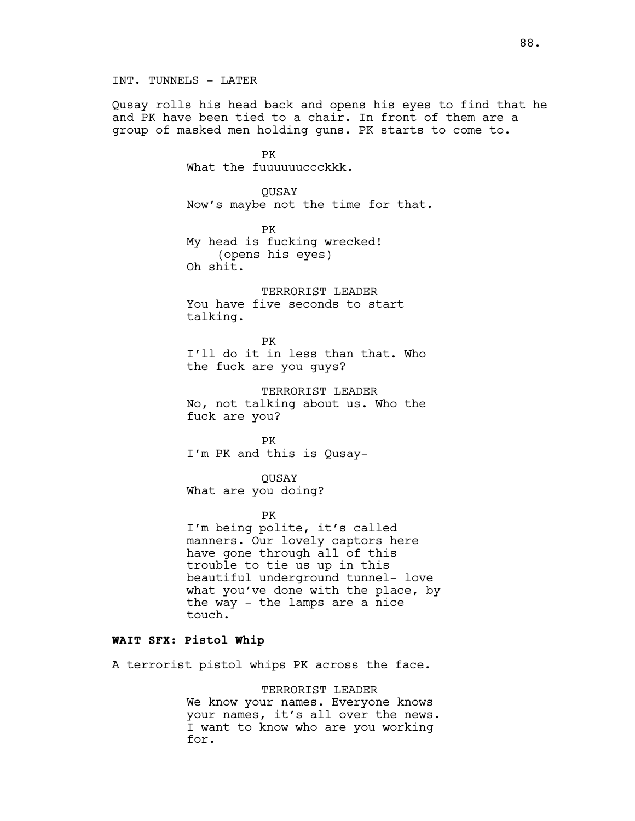Qusay rolls his head back and opens his eyes to find that he and PK have been tied to a chair. In front of them are a group of masked men holding guns. PK starts to come to.

> PK What the fuuuuuuccckkk.

QUSAY Now's maybe not the time for that.

PK My head is fucking wrecked! (opens his eyes) Oh shit.

TERRORIST LEADER You have five seconds to start talking.

## PK

I'll do it in less than that. Who the fuck are you guys?

TERRORIST LEADER No, not talking about us. Who the fuck are you?

PK I'm PK and this is Qusay-

QUSAY What are you doing?

#### PK

I'm being polite, it's called manners. Our lovely captors here have gone through all of this trouble to tie us up in this beautiful underground tunnel- love what you've done with the place, by the way - the lamps are a nice touch.

# **WAIT SFX: Pistol Whip**

A terrorist pistol whips PK across the face.

TERRORIST LEADER We know your names. Everyone knows your names, it's all over the news. I want to know who are you working for.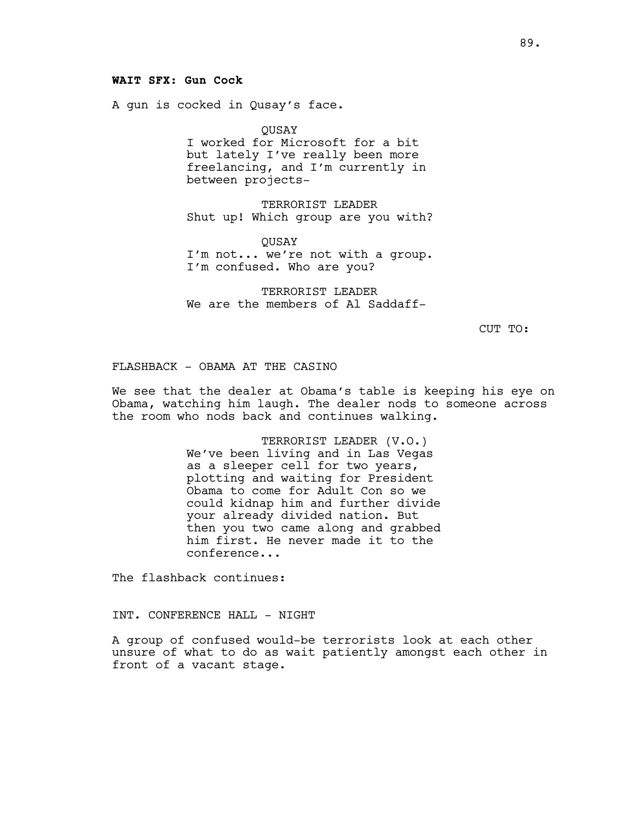# **WAIT SFX: Gun Cock**

A gun is cocked in Qusay's face.

QUSAY I worked for Microsoft for a bit but lately I've really been more freelancing, and I'm currently in between projects-

TERRORIST LEADER Shut up! Which group are you with?

QUSAY I'm not... we're not with a group. I'm confused. Who are you?

TERRORIST LEADER We are the members of Al Saddaff-

CUT TO:

# FLASHBACK - OBAMA AT THE CASINO

We see that the dealer at Obama's table is keeping his eye on Obama, watching him laugh. The dealer nods to someone across the room who nods back and continues walking.

> TERRORIST LEADER (V.O.) We've been living and in Las Vegas as a sleeper cell for two years, plotting and waiting for President Obama to come for Adult Con so we could kidnap him and further divide your already divided nation. But then you two came along and grabbed him first. He never made it to the conference...

The flashback continues:

# INT. CONFERENCE HALL - NIGHT

A group of confused would-be terrorists look at each other unsure of what to do as wait patiently amongst each other in front of a vacant stage.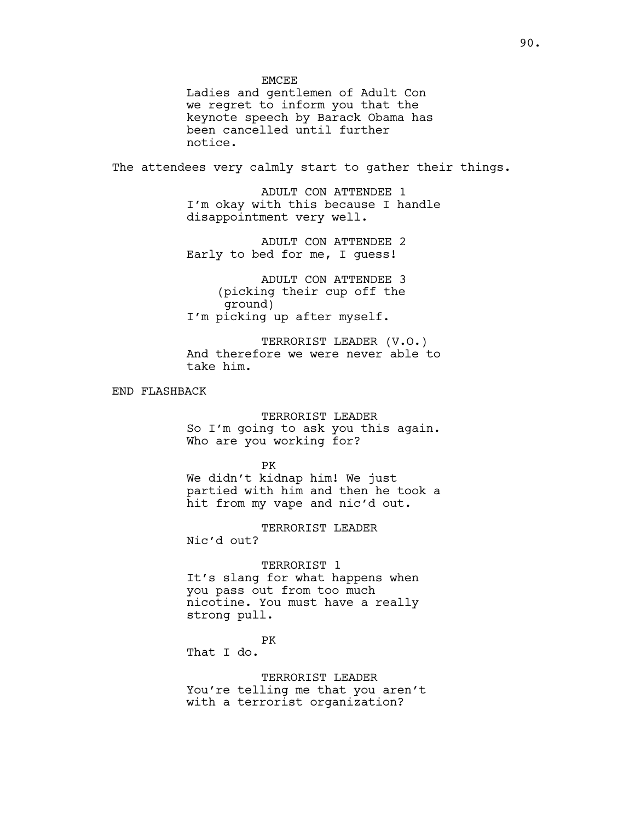**EMCEE** 

Ladies and gentlemen of Adult Con we regret to inform you that the keynote speech by Barack Obama has been cancelled until further notice.

The attendees very calmly start to gather their things.

ADULT CON ATTENDEE 1 I'm okay with this because I handle disappointment very well.

ADULT CON ATTENDEE 2 Early to bed for me, I guess!

ADULT CON ATTENDEE 3 (picking their cup off the ground) I'm picking up after myself.

TERRORIST LEADER (V.O.) And therefore we were never able to take him.

END FLASHBACK

TERRORIST LEADER So I'm going to ask you this again. Who are you working for?

PK We didn't kidnap him! We just partied with him and then he took a hit from my vape and nic'd out.

TERRORIST LEADER Nic'd out?

TERRORIST 1 It's slang for what happens when you pass out from too much nicotine. You must have a really strong pull.

PK

That I do.

TERRORIST LEADER You're telling me that you aren't with a terrorist organization?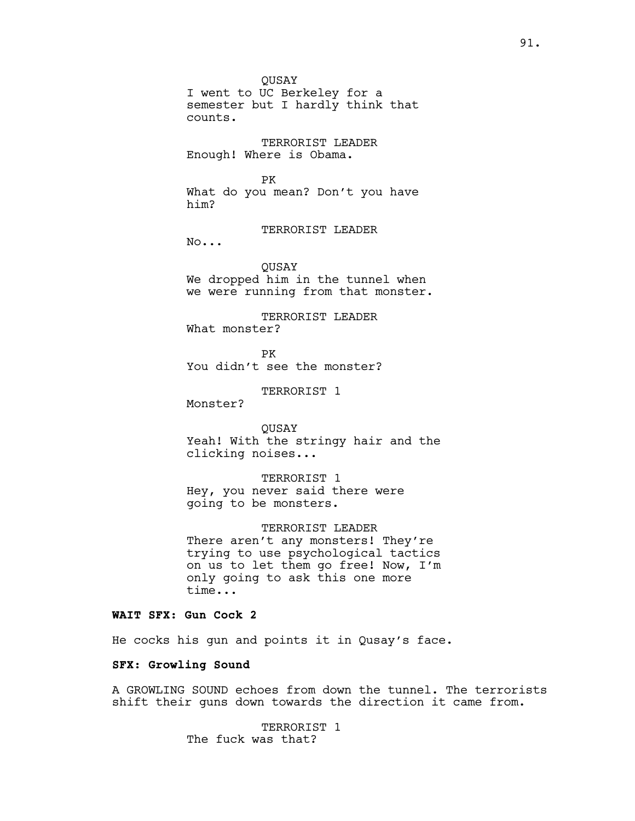QUSAY I went to UC Berkeley for a semester but I hardly think that counts.

TERRORIST LEADER Enough! Where is Obama.

#### PK

What do you mean? Don't you have him?

TERRORIST LEADER

No...

QUSAY We dropped him in the tunnel when we were running from that monster.

TERRORIST LEADER What monster?

PK You didn't see the monster?

TERRORIST 1

Monster?

QUSAY Yeah! With the stringy hair and the clicking noises...

TERRORIST 1 Hey, you never said there were going to be monsters.

TERRORIST LEADER There aren't any monsters! They're trying to use psychological tactics on us to let them go free! Now, I'm only going to ask this one more time...

# **WAIT SFX: Gun Cock 2**

He cocks his gun and points it in Qusay's face.

## **SFX: Growling Sound**

A GROWLING SOUND echoes from down the tunnel. The terrorists shift their guns down towards the direction it came from.

> TERRORIST 1 The fuck was that?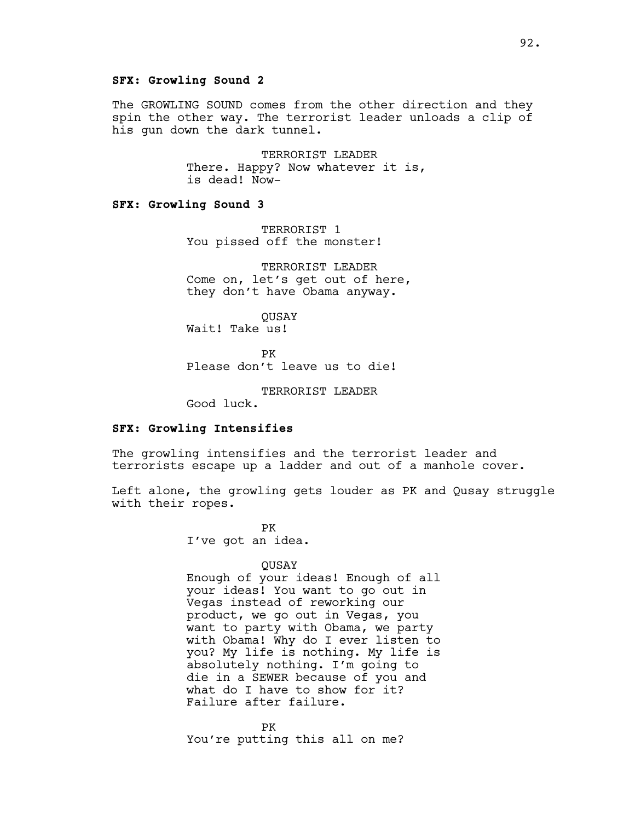# **SFX: Growling Sound 2**

The GROWLING SOUND comes from the other direction and they spin the other way. The terrorist leader unloads a clip of his gun down the dark tunnel.

> TERRORIST LEADER There. Happy? Now whatever it is, is dead! Now-

# **SFX: Growling Sound 3**

TERRORIST 1 You pissed off the monster!

TERRORIST LEADER Come on, let's get out of here, they don't have Obama anyway.

QUSAY Wait! Take us!

PK Please don't leave us to die!

TERRORIST LEADER

Good luck.

### **SFX: Growling Intensifies**

The growling intensifies and the terrorist leader and terrorists escape up a ladder and out of a manhole cover.

Left alone, the growling gets louder as PK and Qusay struggle with their ropes.

> PK I've got an idea.

#### QUSAY

Enough of your ideas! Enough of all your ideas! You want to go out in Vegas instead of reworking our product, we go out in Vegas, you want to party with Obama, we party with Obama! Why do I ever listen to you? My life is nothing. My life is absolutely nothing. I'm going to die in a SEWER because of you and what do I have to show for it? Failure after failure.

PK You're putting this all on me?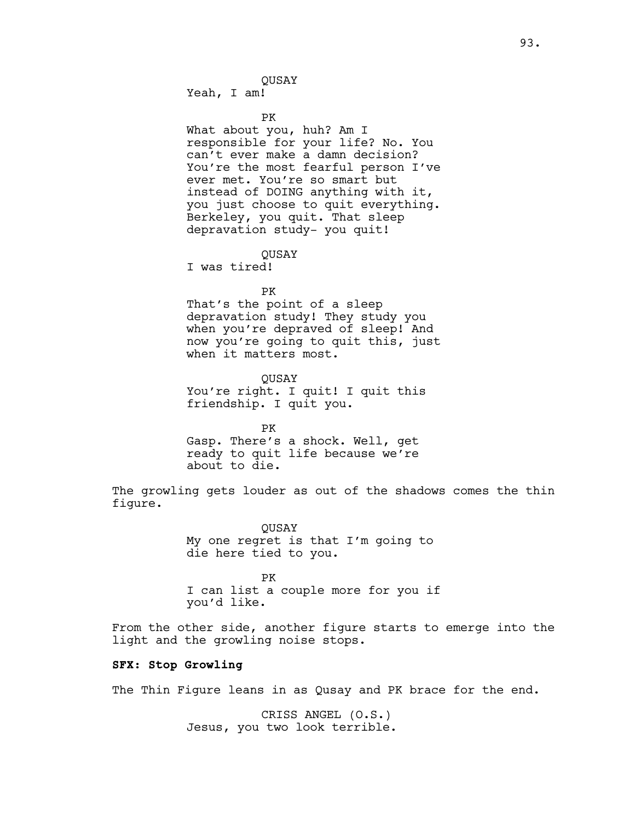Yeah, I am!

PK

What about you, huh? Am I responsible for your life? No. You can't ever make a damn decision? You're the most fearful person I've ever met. You're so smart but instead of DOING anything with it, you just choose to quit everything. Berkeley, you quit. That sleep depravation study- you quit!

**OUSAY** 

I was tired!

PK

That's the point of a sleep depravation study! They study you when you're depraved of sleep! And now you're going to quit this, just when it matters most.

QUSAY You're right. I quit! I quit this friendship. I quit you.

PK Gasp. There's a shock. Well, get ready to quit life because we're about to die.

The growling gets louder as out of the shadows comes the thin figure.

> QUSAY My one regret is that I'm going to die here tied to you.

PK I can list a couple more for you if you'd like.

From the other side, another figure starts to emerge into the light and the growling noise stops.

# **SFX: Stop Growling**

The Thin Figure leans in as Qusay and PK brace for the end.

CRISS ANGEL (O.S.) Jesus, you two look terrible.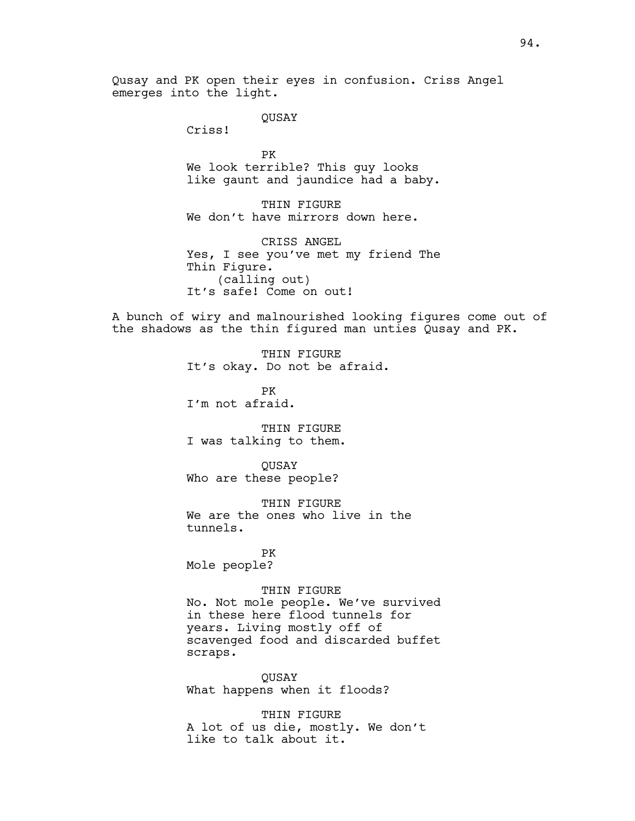Qusay and PK open their eyes in confusion. Criss Angel emerges into the light.

QUSAY

Criss!

PK We look terrible? This guy looks like gaunt and jaundice had a baby.

THIN FIGURE We don't have mirrors down here.

CRISS ANGEL Yes, I see you've met my friend The Thin Figure. (calling out) It's safe! Come on out!

A bunch of wiry and malnourished looking figures come out of the shadows as the thin figured man unties Qusay and PK.

> THIN FIGURE It's okay. Do not be afraid.

PK I'm not afraid.

THIN FIGURE I was talking to them.

QUSAY Who are these people?

THIN FIGURE We are the ones who live in the tunnels.

PK Mole people?

#### THIN FIGURE

No. Not mole people. We've survived in these here flood tunnels for years. Living mostly off of scavenged food and discarded buffet scraps.

QUSAY What happens when it floods?

THIN FIGURE A lot of us die, mostly. We don't like to talk about it.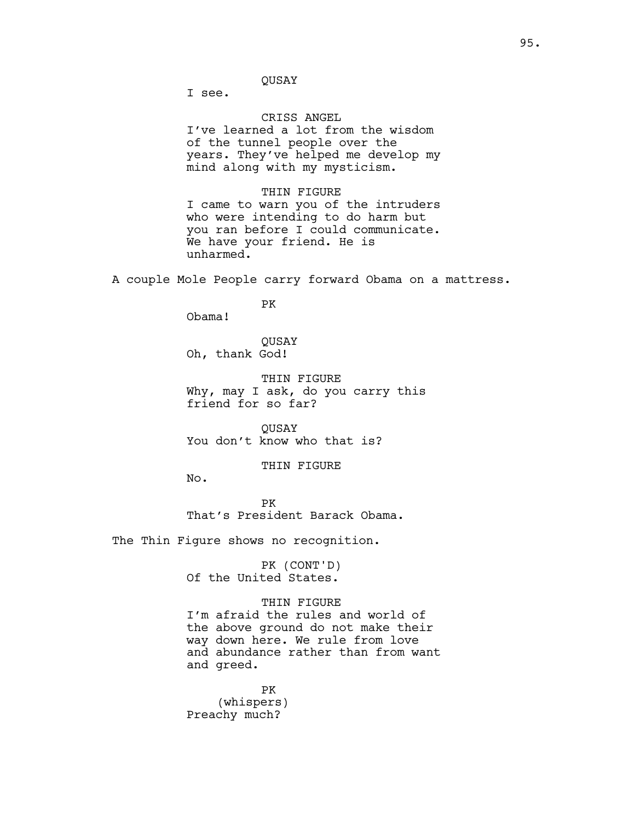I see.

### CRISS ANGEL

I've learned a lot from the wisdom of the tunnel people over the years. They've helped me develop my mind along with my mysticism.

#### THIN FIGURE

I came to warn you of the intruders who were intending to do harm but you ran before I could communicate. We have your friend. He is unharmed.

A couple Mole People carry forward Obama on a mattress.

### PK

Obama!

# QUSAY Oh, thank God!

THIN FIGURE Why, may I ask, do you carry this friend for so far?

QUSAY You don't know who that is?

### THIN FIGURE

No.

PK That's President Barack Obama.

The Thin Figure shows no recognition.

PK (CONT'D) Of the United States.

THIN FIGURE I'm afraid the rules and world of the above ground do not make their way down here. We rule from love and abundance rather than from want and greed.

PK (whispers) Preachy much?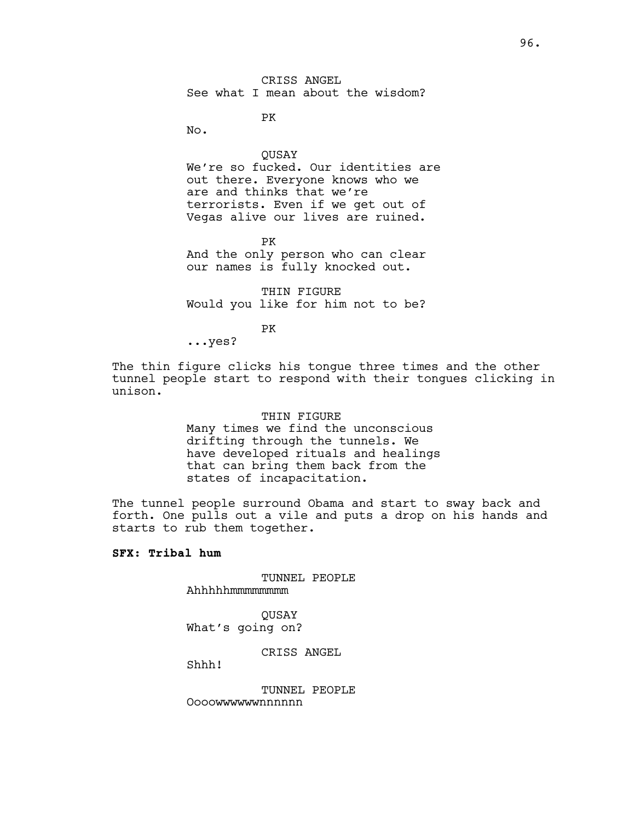PK

No.

QUSAY We're so fucked. Our identities are out there. Everyone knows who we are and thinks that we're terrorists. Even if we get out of Vegas alive our lives are ruined.

PK And the only person who can clear our names is fully knocked out.

THIN FIGURE Would you like for him not to be?

PK

...yes?

The thin figure clicks his tongue three times and the other tunnel people start to respond with their tongues clicking in unison.

# THIN FIGURE Many times we find the unconscious drifting through the tunnels. We have developed rituals and healings that can bring them back from the states of incapacitation.

The tunnel people surround Obama and start to sway back and forth. One pulls out a vile and puts a drop on his hands and starts to rub them together.

# **SFX: Tribal hum**

TUNNEL PEOPLE Ahhhhhmmmmmmmm

QUSAY What's going on?

CRISS ANGEL

Shhh!

TUNNEL PEOPLE Oooowwwwwwnnnnnn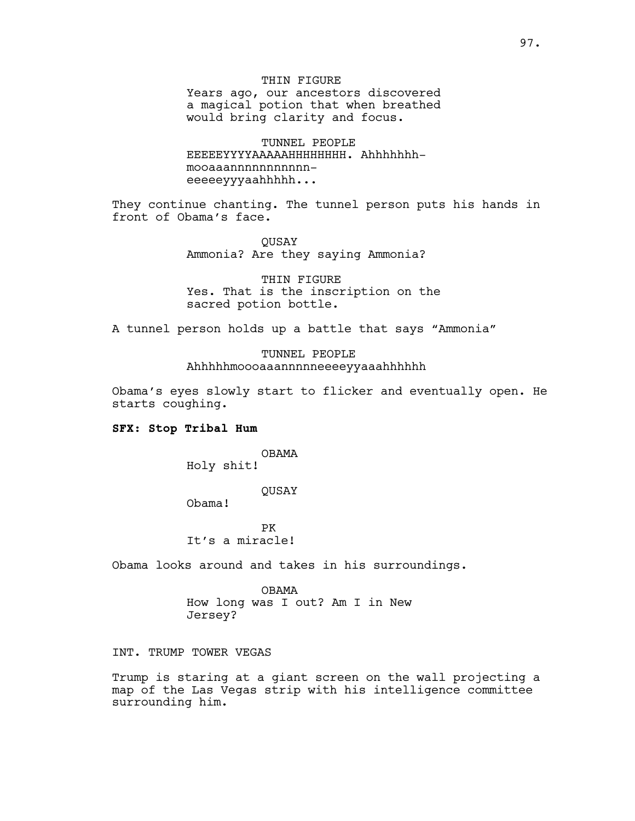THIN FIGURE Years ago, our ancestors discovered a magical potion that when breathed would bring clarity and focus.

TUNNEL PEOPLE EEEEEYYYYAAAAAHHHHHHHH. Ahhhhhhhmooaaannnnnnnnnnneeeeeyyyaahhhhh...

They continue chanting. The tunnel person puts his hands in front of Obama's face.

> **OUSAY** Ammonia? Are they saying Ammonia?

THIN FIGURE Yes. That is the inscription on the sacred potion bottle.

A tunnel person holds up a battle that says "Ammonia"

# TUNNEL PEOPLE Ahhhhhmoooaaannnnneeeeyyaaahhhhhh

Obama's eyes slowly start to flicker and eventually open. He starts coughing.

#### **SFX: Stop Tribal Hum**

OBAMA Holy shit!

QUSAY

Obama!

PK It's a miracle!

Obama looks around and takes in his surroundings.

OBAMA How long was I out? Am I in New Jersey?

INT. TRUMP TOWER VEGAS

Trump is staring at a giant screen on the wall projecting a map of the Las Vegas strip with his intelligence committee surrounding him.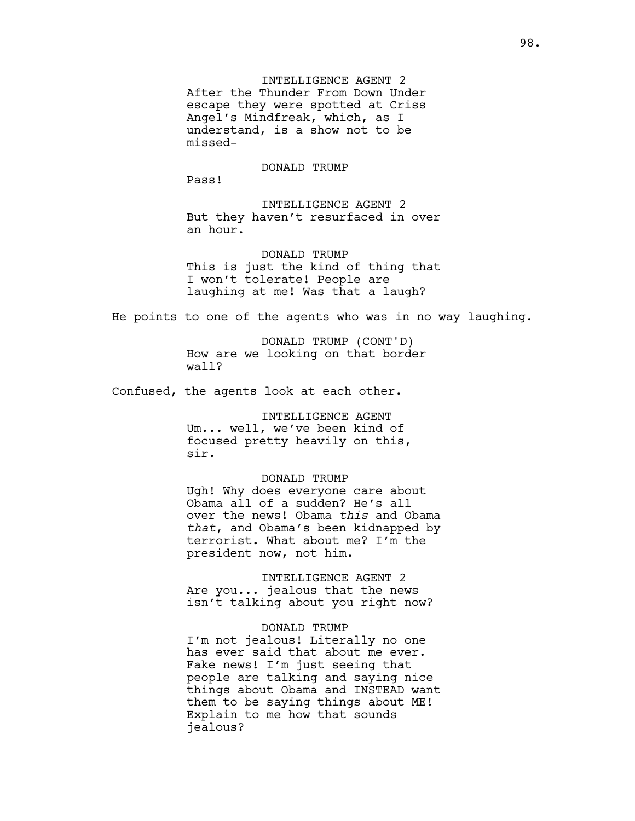INTELLIGENCE AGENT 2 After the Thunder From Down Under escape they were spotted at Criss Angel's Mindfreak, which, as I understand, is a show not to be missed-

#### DONALD TRUMP

Pass!

INTELLIGENCE AGENT 2 But they haven't resurfaced in over an hour.

DONALD TRUMP This is just the kind of thing that I won't tolerate! People are laughing at me! Was that a laugh?

He points to one of the agents who was in no way laughing.

DONALD TRUMP (CONT'D) How are we looking on that border wall?

Confused, the agents look at each other.

INTELLIGENCE AGENT Um... well, we've been kind of focused pretty heavily on this, sir.

#### DONALD TRUMP

Ugh! Why does everyone care about Obama all of a sudden? He's all over the news! Obama *this* and Obama *that*, and Obama's been kidnapped by terrorist. What about me? I'm the president now, not him.

INTELLIGENCE AGENT 2 Are you... jealous that the news isn't talking about you right now?

# DONALD TRUMP

I'm not jealous! Literally no one has ever said that about me ever. Fake news! I'm just seeing that people are talking and saying nice things about Obama and INSTEAD want them to be saying things about ME! Explain to me how that sounds jealous?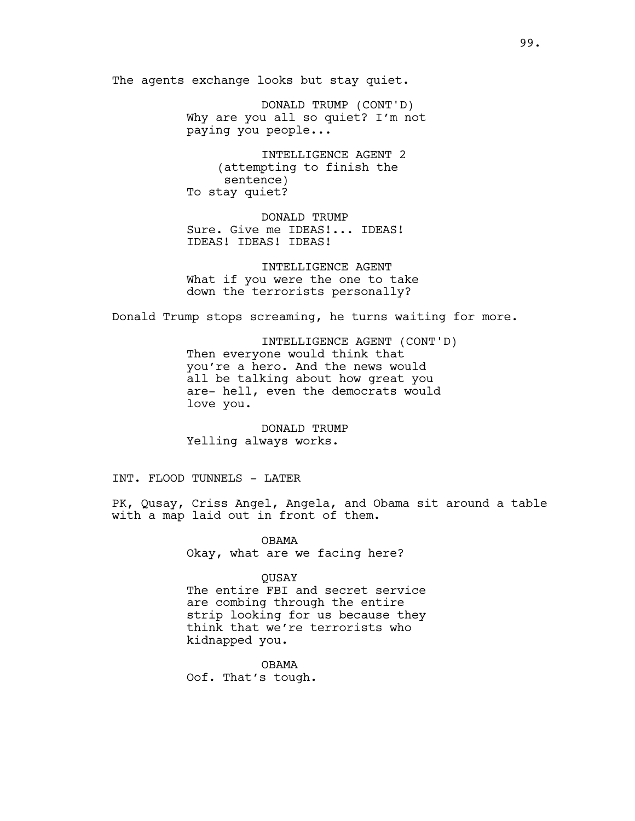The agents exchange looks but stay quiet.

DONALD TRUMP (CONT'D) Why are you all so quiet? I'm not paying you people...

INTELLIGENCE AGENT 2 (attempting to finish the sentence) To stay quiet?

DONALD TRUMP Sure. Give me IDEAS!... IDEAS! IDEAS! IDEAS! IDEAS!

INTELLIGENCE AGENT What if you were the one to take down the terrorists personally?

Donald Trump stops screaming, he turns waiting for more.

INTELLIGENCE AGENT (CONT'D) Then everyone would think that you're a hero. And the news would all be talking about how great you are- hell, even the democrats would love you.

DONALD TRUMP Yelling always works.

INT. FLOOD TUNNELS - LATER

PK, Qusay, Criss Angel, Angela, and Obama sit around a table with a map laid out in front of them.

> OBAMA Okay, what are we facing here?

**OUSAY** The entire FBI and secret service are combing through the entire strip looking for us because they think that we're terrorists who kidnapped you.

OBAMA Oof. That's tough.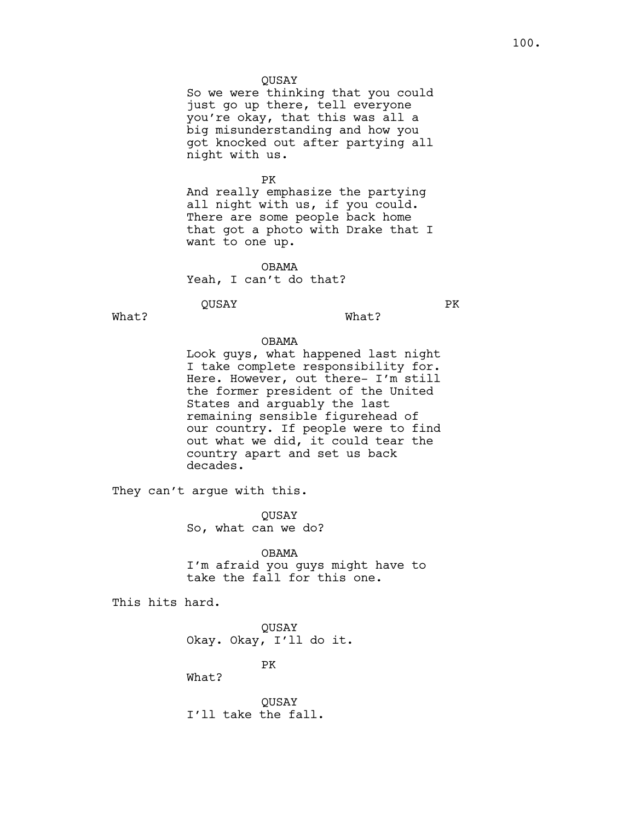# QUSAY

So we were thinking that you could just go up there, tell everyone you're okay, that this was all a big misunderstanding and how you got knocked out after partying all night with us.

PK

And really emphasize the partying all night with us, if you could. There are some people back home that got a photo with Drake that I want to one up.

OBAMA Yeah, I can't do that?

QUSAY

What?

PK

What?

#### OBAMA

Look guys, what happened last night I take complete responsibility for. Here. However, out there- I'm still the former president of the United States and arguably the last remaining sensible figurehead of our country. If people were to find out what we did, it could tear the country apart and set us back decades.

They can't argue with this.

QUSAY So, what can we do?

OBAMA I'm afraid you guys might have to take the fall for this one.

This hits hard.

QUSAY Okay. Okay, I'll do it.

PK

What?

QUSAY I'll take the fall.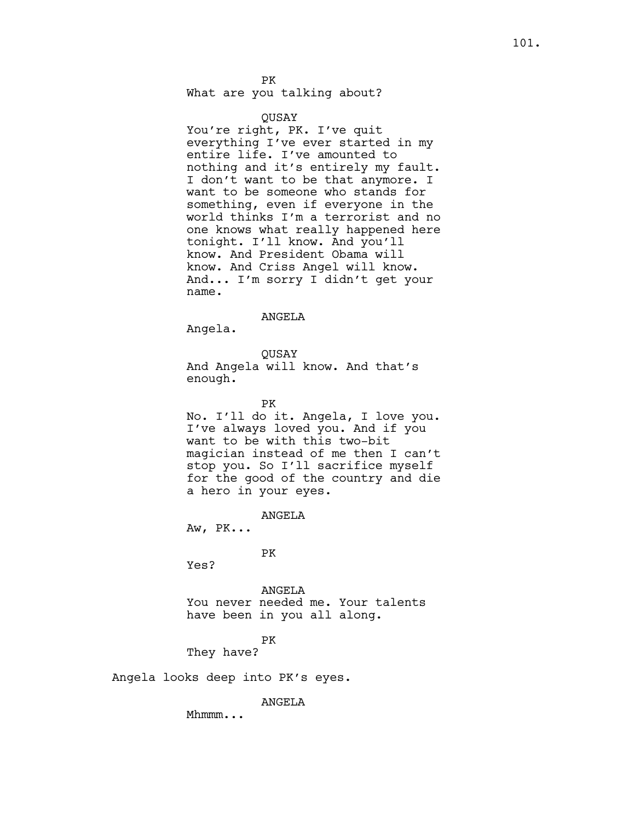PK What are you talking about?

#### QUSAY

You're right, PK. I've quit everything I've ever started in my entire life. I've amounted to nothing and it's entirely my fault. I don't want to be that anymore. I want to be someone who stands for something, even if everyone in the world thinks I'm a terrorist and no one knows what really happened here tonight. I'll know. And you'll know. And President Obama will know. And Criss Angel will know. And... I'm sorry I didn't get your name.

#### ANGELA

Angela.

#### QUSAY

And Angela will know. And that's enough.

PK

No. I'll do it. Angela, I love you. I've always loved you. And if you want to be with this two-bit magician instead of me then I can't stop you. So I'll sacrifice myself for the good of the country and die a hero in your eyes.

ANGELA

Aw, PK...

PK

Yes?

ANGELA You never needed me. Your talents have been in you all along.

### PK

They have?

Angela looks deep into PK's eyes.

ANGELA

Mhmmm...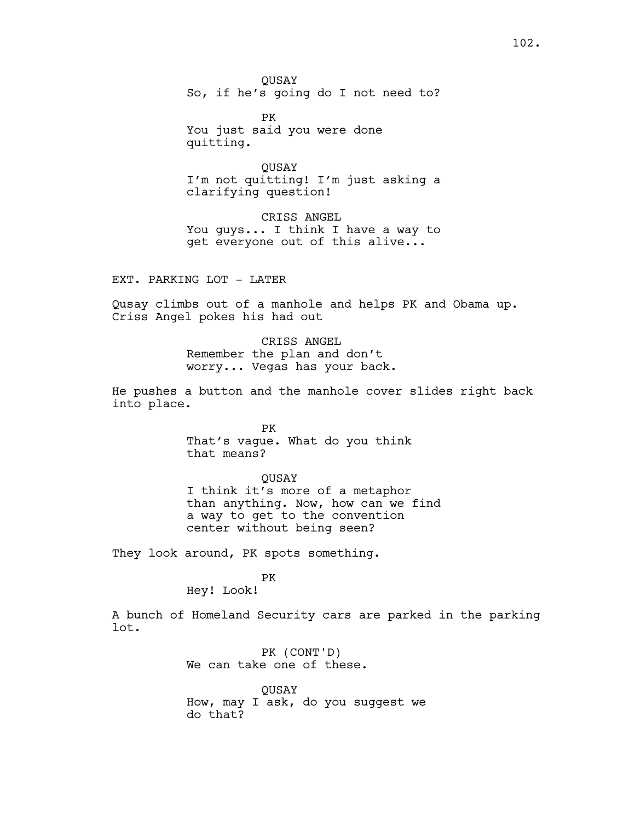QUSAY So, if he's going do I not need to?

PK You just said you were done quitting.

**OUSAY** I'm not quitting! I'm just asking a clarifying question!

CRISS ANGEL You guys... I think I have a way to get everyone out of this alive...

EXT. PARKING LOT - LATER

Qusay climbs out of a manhole and helps PK and Obama up. Criss Angel pokes his had out

> CRISS ANGEL Remember the plan and don't worry... Vegas has your back.

He pushes a button and the manhole cover slides right back into place.

> PK That's vague. What do you think that means?

QUSAY I think it's more of a metaphor than anything. Now, how can we find a way to get to the convention center without being seen?

They look around, PK spots something.

PK

Hey! Look!

A bunch of Homeland Security cars are parked in the parking lot.

> PK (CONT'D) We can take one of these.

QUSAY How, may I ask, do you suggest we do that?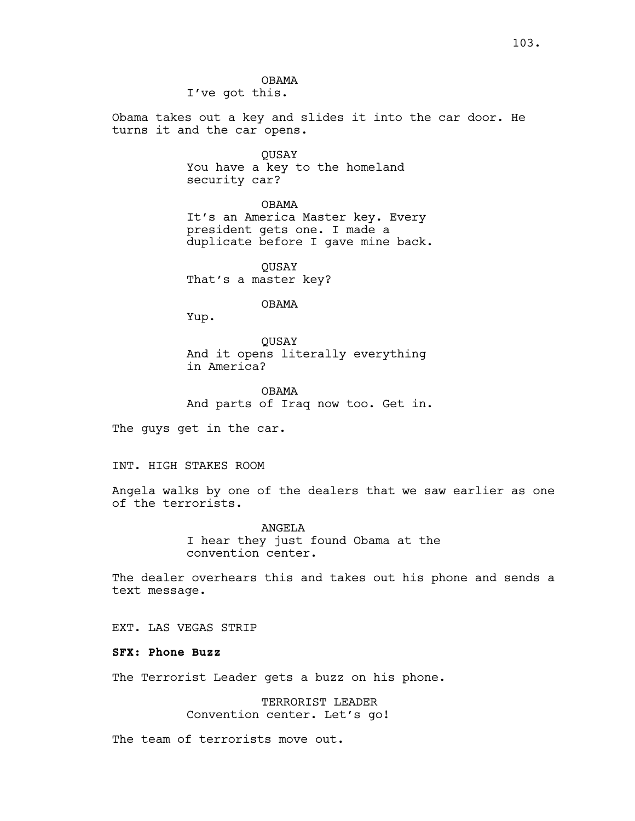OBAMA I've got this.

Obama takes out a key and slides it into the car door. He turns it and the car opens.

> QUSAY You have a key to the homeland security car?

OBAMA It's an America Master key. Every president gets one. I made a duplicate before I gave mine back.

QUSAY That's a master key?

OBAMA

Yup.

QUSAY And it opens literally everything in America?

OBAMA And parts of Iraq now too. Get in.

The guys get in the car.

### INT. HIGH STAKES ROOM

Angela walks by one of the dealers that we saw earlier as one of the terrorists.

> ANGELA I hear they just found Obama at the convention center.

The dealer overhears this and takes out his phone and sends a text message.

EXT. LAS VEGAS STRIP

# **SFX: Phone Buzz**

The Terrorist Leader gets a buzz on his phone.

TERRORIST LEADER Convention center. Let's go!

The team of terrorists move out.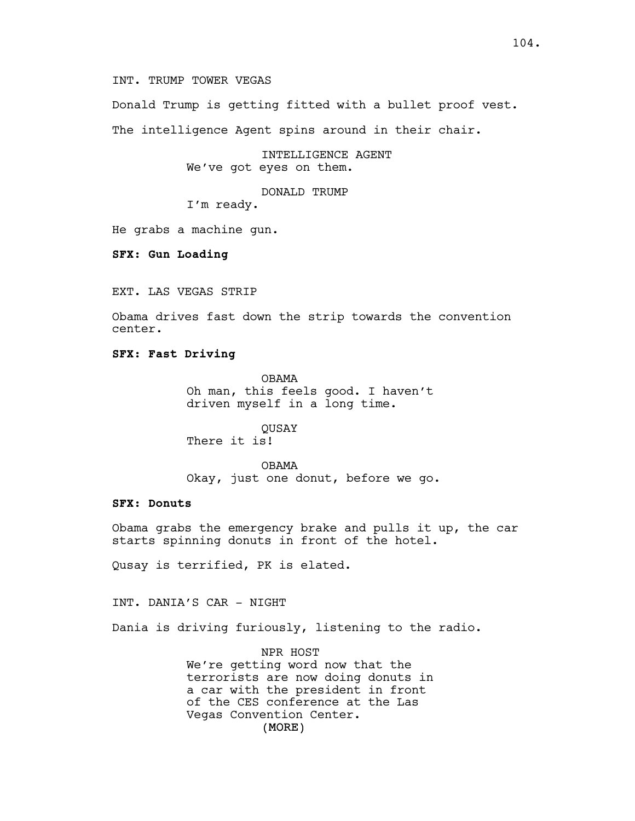INT. TRUMP TOWER VEGAS

Donald Trump is getting fitted with a bullet proof vest. The intelligence Agent spins around in their chair.

> INTELLIGENCE AGENT We've got eyes on them.

> > DONALD TRUMP

I'm ready.

He grabs a machine gun.

**SFX: Gun Loading**

EXT. LAS VEGAS STRIP

Obama drives fast down the strip towards the convention center.

# **SFX: Fast Driving**

OBAMA Oh man, this feels good. I haven't driven myself in a long time.

QUSAY There it is!

OBAMA Okay, just one donut, before we go.

# **SFX: Donuts**

Obama grabs the emergency brake and pulls it up, the car starts spinning donuts in front of the hotel.

Qusay is terrified, PK is elated.

INT. DANIA'S CAR - NIGHT

Dania is driving furiously, listening to the radio.

(MORE) NPR HOST We're getting word now that the terrorists are now doing donuts in a car with the president in front of the CES conference at the Las Vegas Convention Center.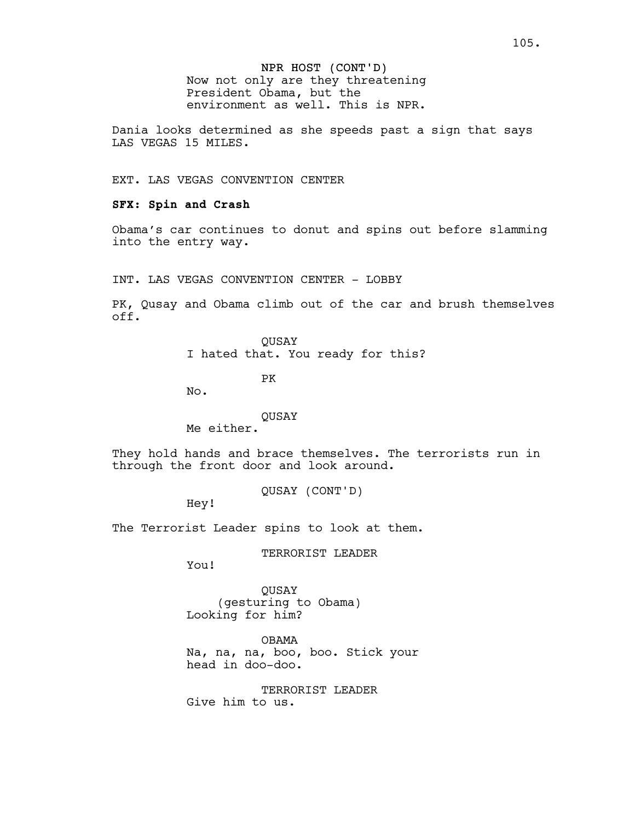NPR HOST (CONT'D) Now not only are they threatening President Obama, but the environment as well. This is NPR.

Dania looks determined as she speeds past a sign that says LAS VEGAS 15 MILES.

EXT. LAS VEGAS CONVENTION CENTER

### **SFX: Spin and Crash**

Obama's car continues to donut and spins out before slamming into the entry way.

INT. LAS VEGAS CONVENTION CENTER - LOBBY

PK, Qusay and Obama climb out of the car and brush themselves off.

> QUSAY I hated that. You ready for this?

> > PK

No.

### QUSAY

Me either.

They hold hands and brace themselves. The terrorists run in through the front door and look around.

QUSAY (CONT'D)

Hey!

The Terrorist Leader spins to look at them.

TERRORIST LEADER

You!

QUSAY (gesturing to Obama) Looking for him?

OBAMA Na, na, na, boo, boo. Stick your head in doo-doo.

TERRORIST LEADER Give him to us.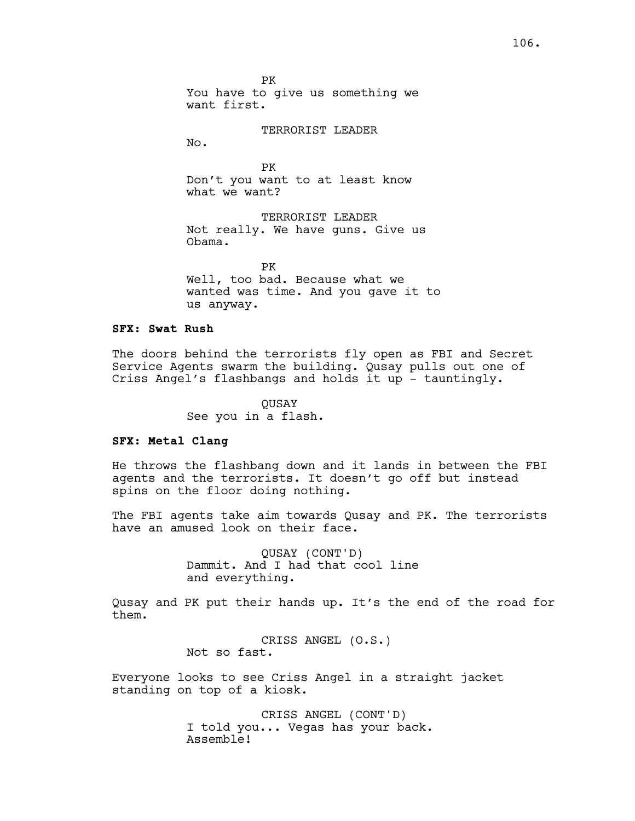PK You have to give us something we want first.

TERRORIST LEADER

No.

PK Don't you want to at least know what we want?

TERRORIST LEADER Not really. We have guns. Give us Obama.

PK Well, too bad. Because what we wanted was time. And you gave it to us anyway.

# **SFX: Swat Rush**

The doors behind the terrorists fly open as FBI and Secret Service Agents swarm the building. Qusay pulls out one of Criss Angel's flashbangs and holds it up - tauntingly.

> QUSAY See you in a flash.

# **SFX: Metal Clang**

He throws the flashbang down and it lands in between the FBI agents and the terrorists. It doesn't go off but instead spins on the floor doing nothing.

The FBI agents take aim towards Qusay and PK. The terrorists have an amused look on their face.

> QUSAY (CONT'D) Dammit. And I had that cool line and everything.

Qusay and PK put their hands up. It's the end of the road for them.

> CRISS ANGEL (O.S.) Not so fast.

Everyone looks to see Criss Angel in a straight jacket standing on top of a kiosk.

> CRISS ANGEL (CONT'D) I told you... Vegas has your back. Assemble!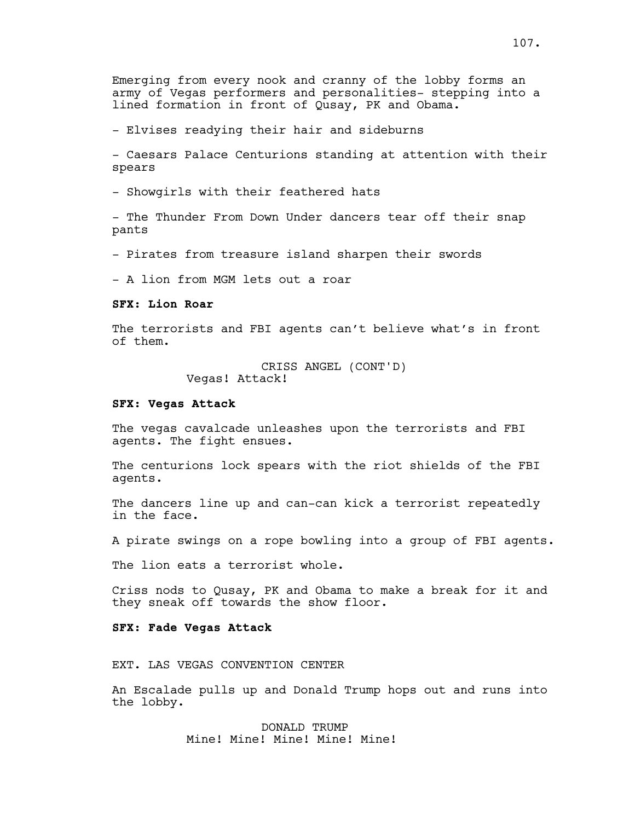Emerging from every nook and cranny of the lobby forms an army of Vegas performers and personalities- stepping into a lined formation in front of Qusay, PK and Obama.

- Elvises readying their hair and sideburns

- Caesars Palace Centurions standing at attention with their spears

- Showgirls with their feathered hats

- The Thunder From Down Under dancers tear off their snap pants

- Pirates from treasure island sharpen their swords

- A lion from MGM lets out a roar

### **SFX: Lion Roar**

The terrorists and FBI agents can't believe what's in front of them.

> CRISS ANGEL (CONT'D) Vegas! Attack!

#### **SFX: Vegas Attack**

The vegas cavalcade unleashes upon the terrorists and FBI agents. The fight ensues.

The centurions lock spears with the riot shields of the FBI agents.

The dancers line up and can-can kick a terrorist repeatedly in the face.

A pirate swings on a rope bowling into a group of FBI agents.

The lion eats a terrorist whole.

Criss nods to Qusay, PK and Obama to make a break for it and they sneak off towards the show floor.

# **SFX: Fade Vegas Attack**

EXT. LAS VEGAS CONVENTION CENTER

An Escalade pulls up and Donald Trump hops out and runs into the lobby.

> DONALD TRUMP Mine! Mine! Mine! Mine! Mine!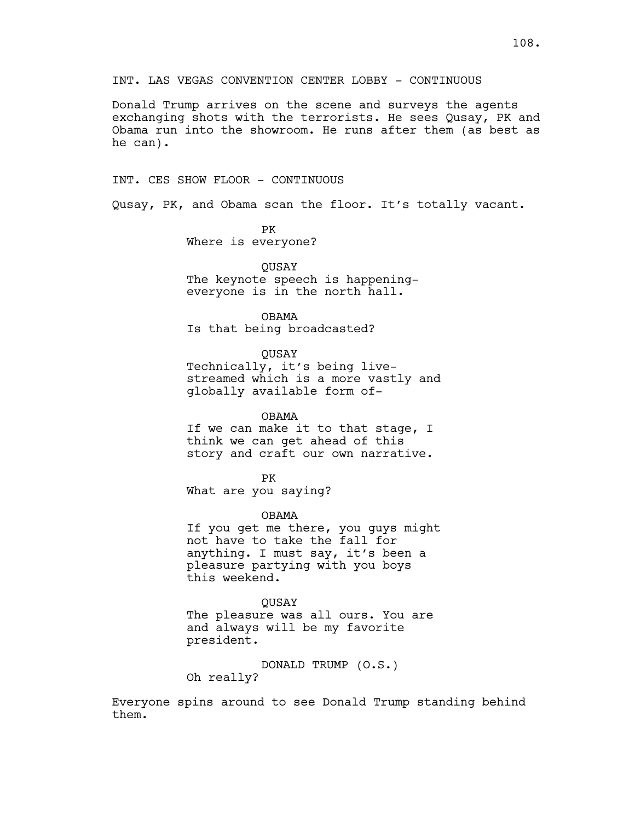INT. LAS VEGAS CONVENTION CENTER LOBBY - CONTINUOUS

Donald Trump arrives on the scene and surveys the agents exchanging shots with the terrorists. He sees Qusay, PK and Obama run into the showroom. He runs after them (as best as he can).

INT. CES SHOW FLOOR - CONTINUOUS

Qusay, PK, and Obama scan the floor. It's totally vacant.

PK Where is everyone?

QUSAY The keynote speech is happeningeveryone is in the north hall.

OBAMA Is that being broadcasted?

QUSAY Technically, it's being livestreamed which is a more vastly and globally available form of-

OBAMA If we can make it to that stage, I think we can get ahead of this story and craft our own narrative.

PK What are you saying?

OBAMA

If you get me there, you guys might not have to take the fall for anything. I must say, it's been a pleasure partying with you boys this weekend.

QUSAY The pleasure was all ours. You are and always will be my favorite president.

DONALD TRUMP (O.S.) Oh really?

Everyone spins around to see Donald Trump standing behind them.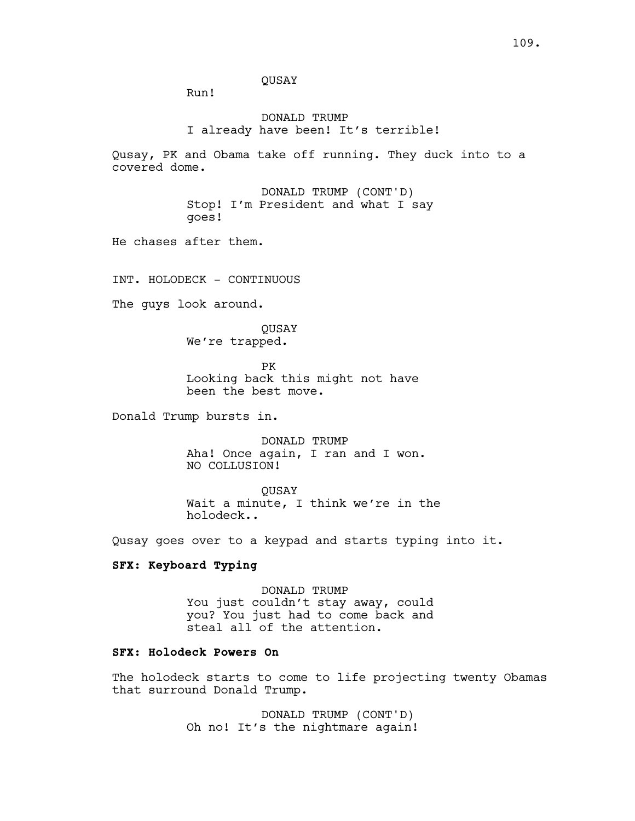QUSAY

Run!

DONALD TRUMP I already have been! It's terrible!

Qusay, PK and Obama take off running. They duck into to a covered dome.

> DONALD TRUMP (CONT'D) Stop! I'm President and what I say goes!

He chases after them.

INT. HOLODECK - CONTINUOUS

The guys look around.

QUSAY We're trapped.

PK Looking back this might not have been the best move.

Donald Trump bursts in.

DONALD TRUMP Aha! Once again, I ran and I won. NO COLLUSION!

QUSAY Wait a minute, I think we're in the holodeck..

Qusay goes over to a keypad and starts typing into it.

## **SFX: Keyboard Typing**

DONALD TRUMP You just couldn't stay away, could you? You just had to come back and steal all of the attention.

# **SFX: Holodeck Powers On**

The holodeck starts to come to life projecting twenty Obamas that surround Donald Trump.

> DONALD TRUMP (CONT'D) Oh no! It's the nightmare again!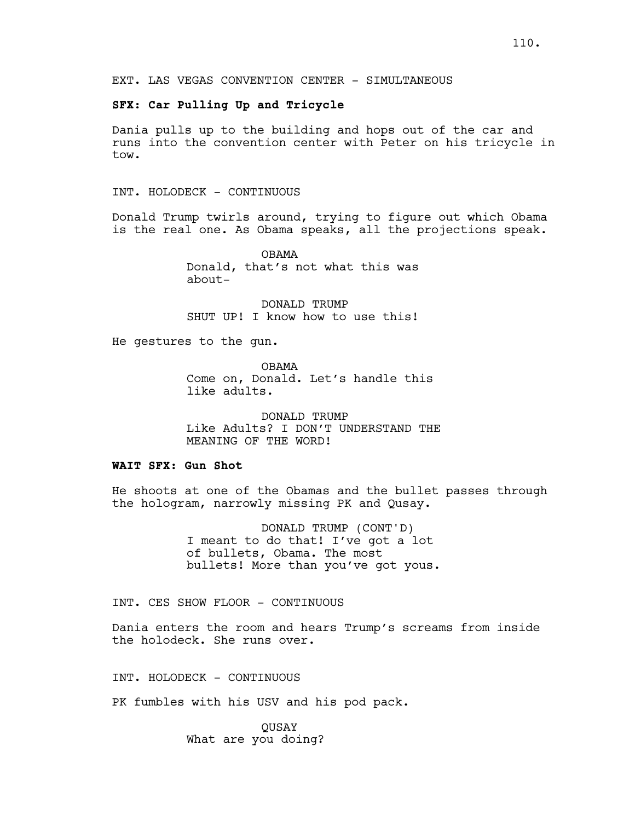EXT. LAS VEGAS CONVENTION CENTER - SIMULTANEOUS

### **SFX: Car Pulling Up and Tricycle**

Dania pulls up to the building and hops out of the car and runs into the convention center with Peter on his tricycle in tow.

INT. HOLODECK - CONTINUOUS

Donald Trump twirls around, trying to figure out which Obama is the real one. As Obama speaks, all the projections speak.

> OBAMA Donald, that's not what this was about-

DONALD TRUMP SHUT UP! I know how to use this!

He gestures to the gun.

OBAMA Come on, Donald. Let's handle this like adults.

DONALD TRUMP Like Adults? I DON'T UNDERSTAND THE MEANING OF THE WORD!

#### **WAIT SFX: Gun Shot**

He shoots at one of the Obamas and the bullet passes through the hologram, narrowly missing PK and Qusay.

> DONALD TRUMP (CONT'D) I meant to do that! I've got a lot of bullets, Obama. The most bullets! More than you've got yous.

INT. CES SHOW FLOOR - CONTINUOUS

Dania enters the room and hears Trump's screams from inside the holodeck. She runs over.

INT. HOLODECK - CONTINUOUS

PK fumbles with his USV and his pod pack.

QUSAY What are you doing?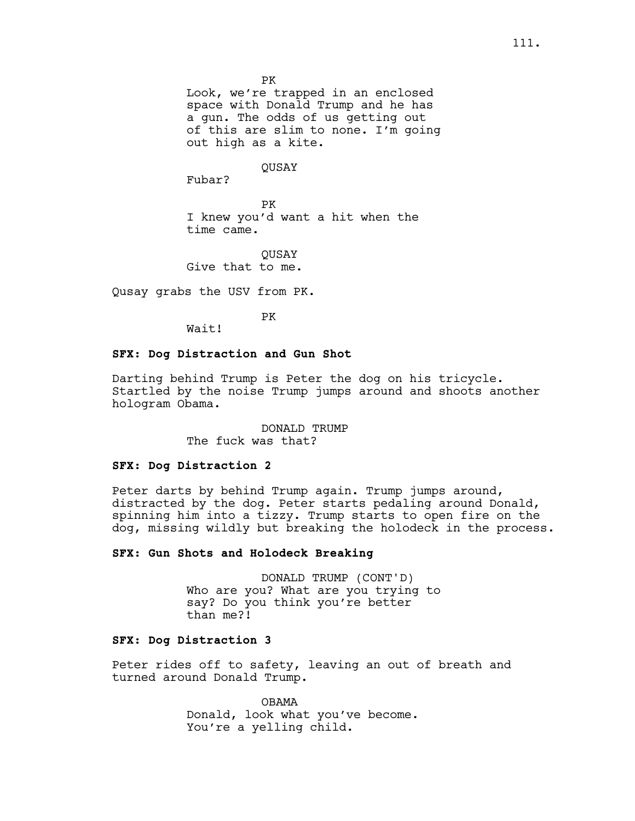Look, we're trapped in an enclosed space with Donald Trump and he has a gun. The odds of us getting out of this are slim to none. I'm going out high as a kite.

#### QUSAY

Fubar?

PK I knew you'd want a hit when the time came.

**OUSAY** Give that to me.

Qusay grabs the USV from PK.

PK

Wait!

### **SFX: Dog Distraction and Gun Shot**

Darting behind Trump is Peter the dog on his tricycle. Startled by the noise Trump jumps around and shoots another hologram Obama.

> DONALD TRUMP The fuck was that?

#### **SFX: Dog Distraction 2**

Peter darts by behind Trump again. Trump jumps around, distracted by the dog. Peter starts pedaling around Donald, spinning him into a tizzy. Trump starts to open fire on the dog, missing wildly but breaking the holodeck in the process.

### **SFX: Gun Shots and Holodeck Breaking**

DONALD TRUMP (CONT'D) Who are you? What are you trying to say? Do you think you're better than me?!

## **SFX: Dog Distraction 3**

Peter rides off to safety, leaving an out of breath and turned around Donald Trump.

> OBAMA Donald, look what you've become. You're a yelling child.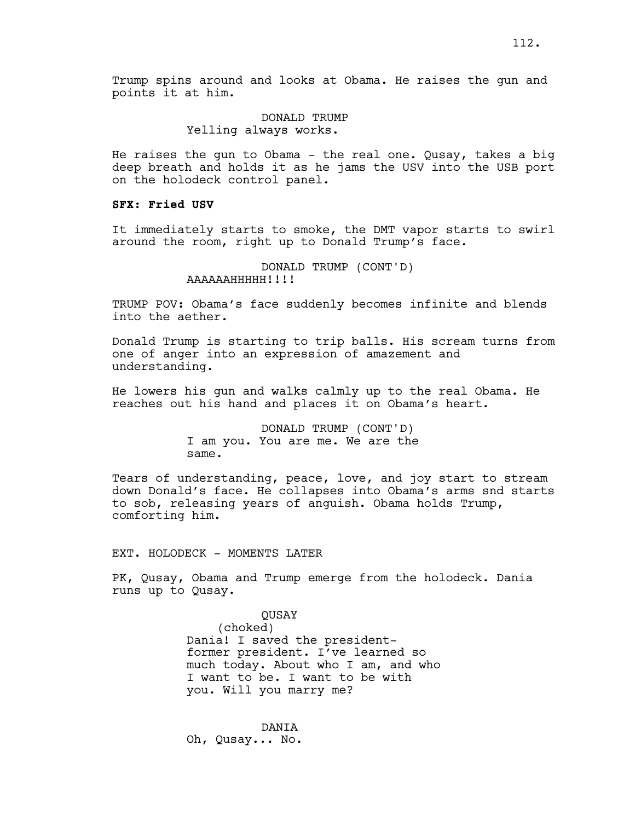Trump spins around and looks at Obama. He raises the gun and points it at him.

#### DONALD TRUMP Yelling always works.

He raises the gun to Obama - the real one. Qusay, takes a big deep breath and holds it as he jams the USV into the USB port on the holodeck control panel.

## **SFX: Fried USV**

It immediately starts to smoke, the DMT vapor starts to swirl around the room, right up to Donald Trump's face.

> DONALD TRUMP (CONT'D) AAAAAAHHHHH!!!!

TRUMP POV: Obama's face suddenly becomes infinite and blends into the aether.

Donald Trump is starting to trip balls. His scream turns from one of anger into an expression of amazement and understanding.

He lowers his gun and walks calmly up to the real Obama. He reaches out his hand and places it on Obama's heart.

> DONALD TRUMP (CONT'D) I am you. You are me. We are the same.

Tears of understanding, peace, love, and joy start to stream down Donald's face. He collapses into Obama's arms snd starts to sob, releasing years of anguish. Obama holds Trump, comforting him.

#### EXT. HOLODECK - MOMENTS LATER

PK, Qusay, Obama and Trump emerge from the holodeck. Dania runs up to Qusay.

> QUSAY (choked) Dania! I saved the presidentformer president. I've learned so much today. About who I am, and who I want to be. I want to be with you. Will you marry me?

DANIA Oh, Qusay... No.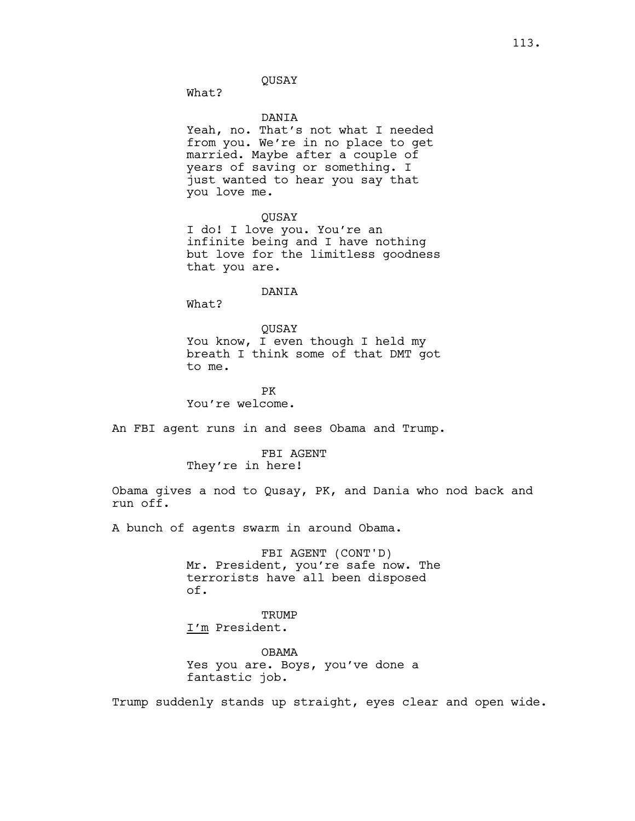#### QUSAY

What?

#### DANIA

Yeah, no. That's not what I needed from you. We're in no place to get married. Maybe after a couple of years of saving or something. I just wanted to hear you say that you love me.

QUSAY

I do! I love you. You're an infinite being and I have nothing but love for the limitless goodness that you are.

### DANIA

What?

QUSAY You know, I even though I held my breath I think some of that DMT got to me.

PK You're welcome.

An FBI agent runs in and sees Obama and Trump.

FBI AGENT They're in here!

Obama gives a nod to Qusay, PK, and Dania who nod back and run off.

A bunch of agents swarm in around Obama.

FBI AGENT (CONT'D) Mr. President, you're safe now. The terrorists have all been disposed of.

**TRUMP** I'm President.

OBAMA Yes you are. Boys, you've done a fantastic job.

Trump suddenly stands up straight, eyes clear and open wide.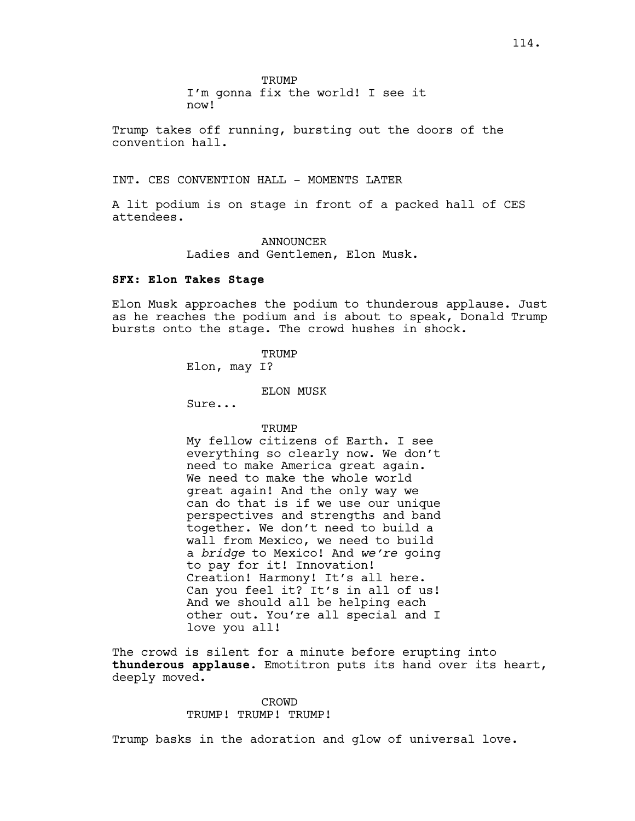I'm gonna fix the world! I see it now!

Trump takes off running, bursting out the doors of the convention hall.

INT. CES CONVENTION HALL - MOMENTS LATER

A lit podium is on stage in front of a packed hall of CES attendees.

> ANNOUNCER Ladies and Gentlemen, Elon Musk.

#### **SFX: Elon Takes Stage**

Elon Musk approaches the podium to thunderous applause. Just as he reaches the podium and is about to speak, Donald Trump bursts onto the stage. The crowd hushes in shock.

**TRUMP** 

Elon, may I?

ELON MUSK

Sure...

TRUMP

My fellow citizens of Earth. I see everything so clearly now. We don't need to make America great again. We need to make the whole world great again! And the only way we can do that is if we use our unique perspectives and strengths and band together. We don't need to build a wall from Mexico, we need to build a *bridge* to Mexico! And *we're* going to pay for it! Innovation! Creation! Harmony! It's all here. Can you feel it? It's in all of us! And we should all be helping each other out. You're all special and I love you all!

The crowd is silent for a minute before erupting into **thunderous applause**. Emotitron puts its hand over its heart, deeply moved.

> CROWD TRUMP! TRUMP! TRUMP!

Trump basks in the adoration and glow of universal love.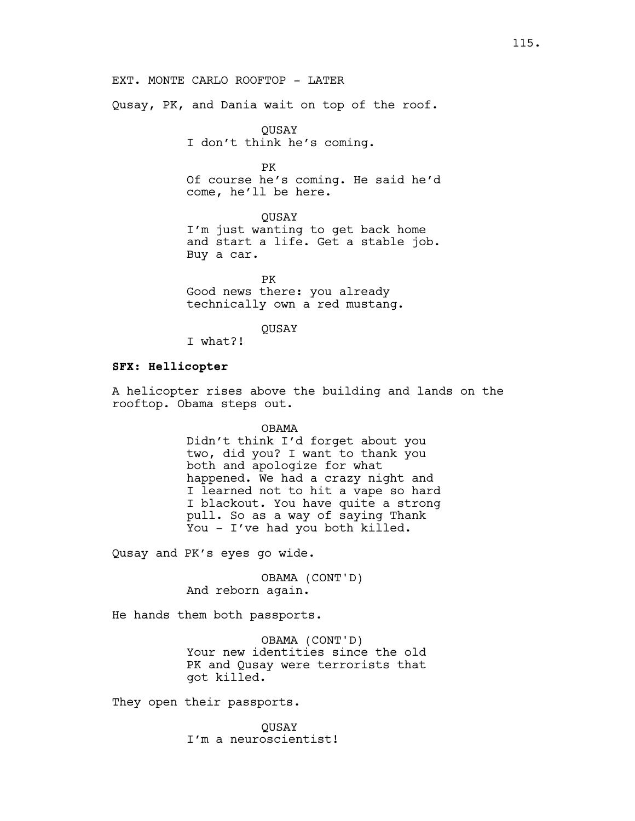Qusay, PK, and Dania wait on top of the roof.

QUSAY I don't think he's coming.

PK Of course he's coming. He said he'd come, he'll be here.

QUSAY I'm just wanting to get back home and start a life. Get a stable job. Buy a car.

PK Good news there: you already technically own a red mustang.

QUSAY

I what?!

#### **SFX: Hellicopter**

A helicopter rises above the building and lands on the rooftop. Obama steps out.

OBAMA

Didn't think I'd forget about you two, did you? I want to thank you both and apologize for what happened. We had a crazy night and I learned not to hit a vape so hard I blackout. You have quite a strong pull. So as a way of saying Thank You - I've had you both killed.

Qusay and PK's eyes go wide.

OBAMA (CONT'D) And reborn again.

He hands them both passports.

OBAMA (CONT'D) Your new identities since the old PK and Qusay were terrorists that got killed.

They open their passports.

QUSAY I'm a neuroscientist!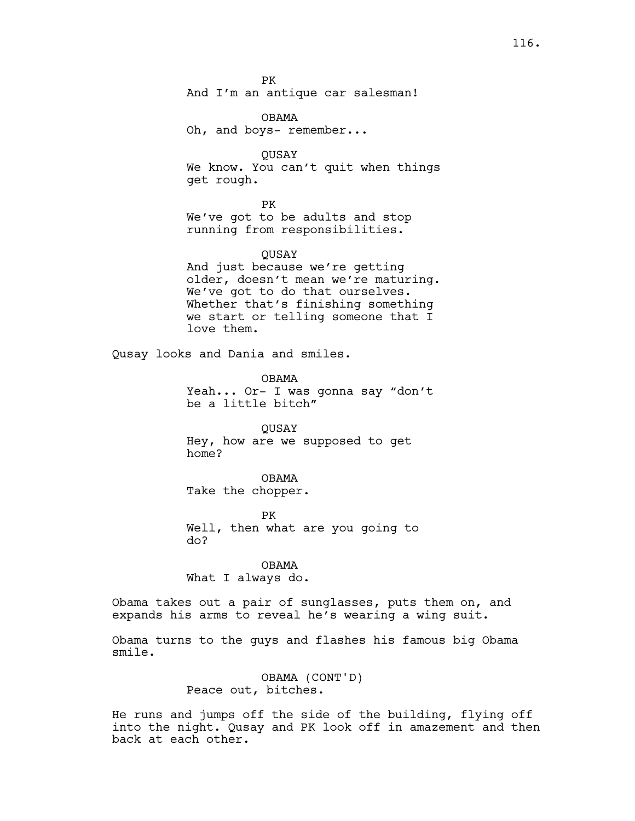PK And I'm an antique car salesman!

OBAMA Oh, and boys- remember...

QUSAY We know. You can't quit when things get rough.

PK We've got to be adults and stop running from responsibilities.

### QUSAY

And just because we're getting older, doesn't mean we're maturing. We've got to do that ourselves. Whether that's finishing something we start or telling someone that I love them.

Qusay looks and Dania and smiles.

OBAMA Yeah... Or- I was gonna say "don't be a little bitch"

QUSAY Hey, how are we supposed to get home?

OBAMA Take the chopper.

PK Well, then what are you going to do?

OBAMA What I always do.

Obama takes out a pair of sunglasses, puts them on, and expands his arms to reveal he's wearing a wing suit.

Obama turns to the guys and flashes his famous big Obama smile.

> OBAMA (CONT'D) Peace out, bitches.

He runs and jumps off the side of the building, flying off into the night. Qusay and PK look off in amazement and then back at each other.